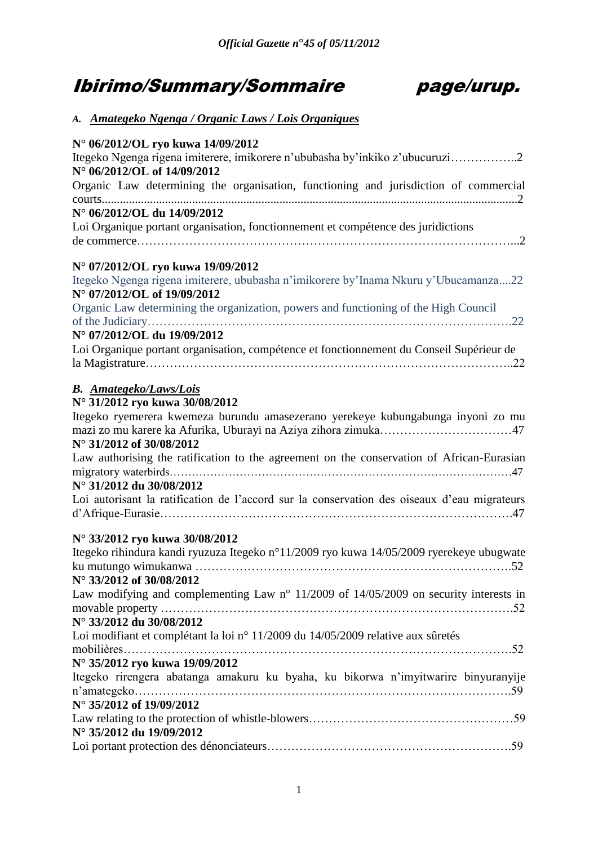# Ibirimo/Summary/Sommaire page/urup.



| A. Amategeko Ngenga / Organic Laws / Lois Organiques |  |  |  |
|------------------------------------------------------|--|--|--|
|                                                      |  |  |  |

| N° 06/2012/OL ryo kuwa 14/09/2012                                                                                  |
|--------------------------------------------------------------------------------------------------------------------|
| Itegeko Ngenga rigena imiterere, imikorere n'ububasha by'inkiko z'ubucuruzi2                                       |
| N° 06/2012/OL of 14/09/2012                                                                                        |
| Organic Law determining the organisation, functioning and jurisdiction of commercial                               |
|                                                                                                                    |
| N° 06/2012/OL du 14/09/2012                                                                                        |
| Loi Organique portant organisation, fonctionnement et compétence des juridictions                                  |
|                                                                                                                    |
| N° 07/2012/OL ryo kuwa 19/09/2012                                                                                  |
| Itegeko Ngenga rigena imiterere, ububasha n'imikorere by'Inama Nkuru y'Ubucamanza22<br>N° 07/2012/OL of 19/09/2012 |
| Organic Law determining the organization, powers and functioning of the High Council                               |
|                                                                                                                    |
| N° 07/2012/OL du 19/09/2012                                                                                        |
| Loi Organique portant organisation, compétence et fonctionnement du Conseil Supérieur de                           |
|                                                                                                                    |
| <b>B.</b> Amategeko/Laws/Lois                                                                                      |
| N° 31/2012 ryo kuwa 30/08/2012                                                                                     |
| Itegeko ryemerera kwemeza burundu amasezerano yerekeye kubungabunga inyoni zo mu                                   |
|                                                                                                                    |
| N° 31/2012 of 30/08/2012                                                                                           |
| Law authorising the ratification to the agreement on the conservation of African-Eurasian                          |
|                                                                                                                    |
| N° 31/2012 du 30/08/2012                                                                                           |
| Loi autorisant la ratification de l'accord sur la conservation des oiseaux d'eau migrateurs                        |
|                                                                                                                    |
| N° 33/2012 ryo kuwa 30/08/2012                                                                                     |
| Itegeko rihindura kandi ryuzuza Itegeko n°11/2009 ryo kuwa 14/05/2009 ryerekeye ubugwate                           |
|                                                                                                                    |
| N° 33/2012 of 30/08/2012                                                                                           |
| Law modifying and complementing Law $n^{\circ}$ 11/2009 of 14/05/2009 on security interests in                     |
|                                                                                                                    |
| N° 33/2012 du 30/08/2012                                                                                           |
| Loi modifiant et complétant la loi n° 11/2009 du 14/05/2009 relative aux sûretés                                   |
|                                                                                                                    |
| N° 35/2012 ryo kuwa 19/09/2012                                                                                     |
| Itegeko rirengera abatanga amakuru ku byaha, ku bikorwa n'imyitwarire binyuranyije                                 |
|                                                                                                                    |
| N° 35/2012 of 19/09/2012                                                                                           |
| N° 35/2012 du 19/09/2012                                                                                           |
|                                                                                                                    |
|                                                                                                                    |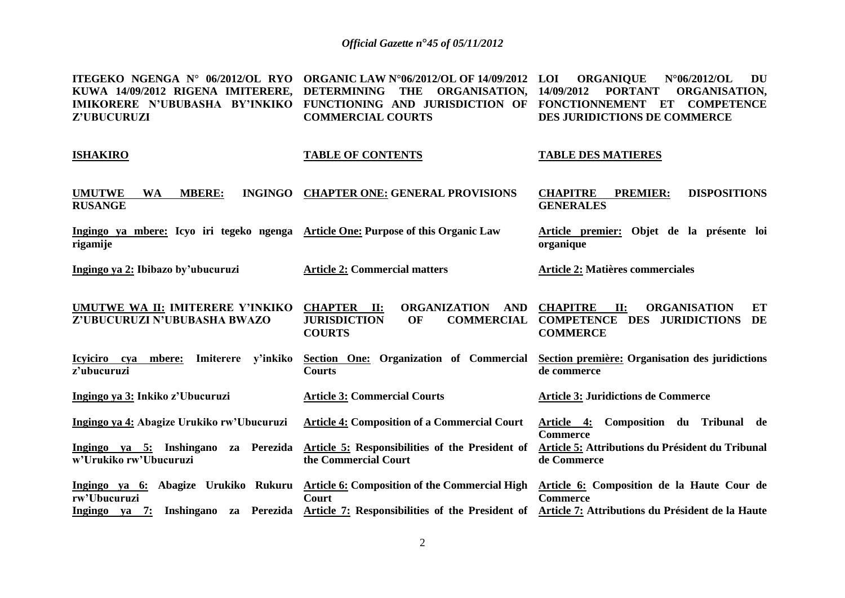**ITEGEKO NGENGA N° 06/2012/OL RYO ORGANIC LAW N°06/2012/OL OF 14/09/2012 KUWA 14/09/2012 RIGENA IMITERERE, DETERMINING THE ORGANISATION,**  IMIKORERE N'UBUBASHA BY'INKIKO FUNCTIONING AND JURISDICTION OF FONCTIONNEMENT ET COMPETENCE **Z'UBUCURUZI COMMERCIAL COURTS LOI ORGANIQUE N°06/2012/OL DU 14/09/2012 PORTANT ORGANISATION, DES JURIDICTIONS DE COMMERCE**

| <b>ISHAKIRO</b>                                                                               | <b>TABLE OF CONTENTS</b>                | <b>TABLE DES MATIERES</b>                                                     |
|-----------------------------------------------------------------------------------------------|-----------------------------------------|-------------------------------------------------------------------------------|
| <b>MBERE:</b><br><b>UMUTWE</b><br>WA<br><b>RUSANGE</b>                                        | INGINGO CHAPTER ONE: GENERAL PROVISIONS | <b>DISPOSITIONS</b><br><b>PREMIER:</b><br><b>CHAPITRE</b><br><b>GENERALES</b> |
| Ingingo ya mbere: Icyo iri tegeko ngenga Article One: Purpose of this Organic Law<br>rigamije |                                         | Article premier: Objet de la présente loi<br>organique                        |
| Ingingo ya 2: Ibibazo by'ubucuruzi                                                            | <b>Article 2: Commercial matters</b>    | Article 2: Matières commerciales                                              |

**UMUTWE WA II: IMITERERE Y'INKIKO Z'UBUCURUZI N'UBUBASHA BWAZO CHAPTER II: ORGANIZATION AND JURISDICTION OF COMMERCIAL COMPETENCE DES JURIDICTIONS DE COURTS CHAPITRE II: ORGANISATION ET COMMERCE** 

**Icyiciro cya mbere: Imiterere y'inkiko z'ubucuruzi Section One: Organization of Commercial Section première: Organisation des juridictions Courts de commerce** 

**Ingingo ya 3: Inkiko z'Ubucuruzi Article 3: Commercial Courts Article 3: Juridictions de Commerce** 

**Ingingo ya 4: Abagize Urukiko rw'Ubucuruzi Article 4: Composition of a Commercial Court Article 4: Composition du Tribunal de Commerce** 

**Ingingo ya 5: Inshingano za Perezida w'Urukiko rw'Ubucuruzi Article 5: Responsibilities of the President of the Commercial Court Article 5: Attributions du Président du Tribunal de Commerce** 

**Ingingo ya 6: Abagize Urukiko Rukuru Article 6: Composition of the Commercial High Article 6: Composition de la Haute Cour de rw'Ubucuruzi Ingingo ya 7: Inshingano za Perezida Article 7: Responsibilities of the President of Article 7: Attributions du Président de la Haute Court Commerce**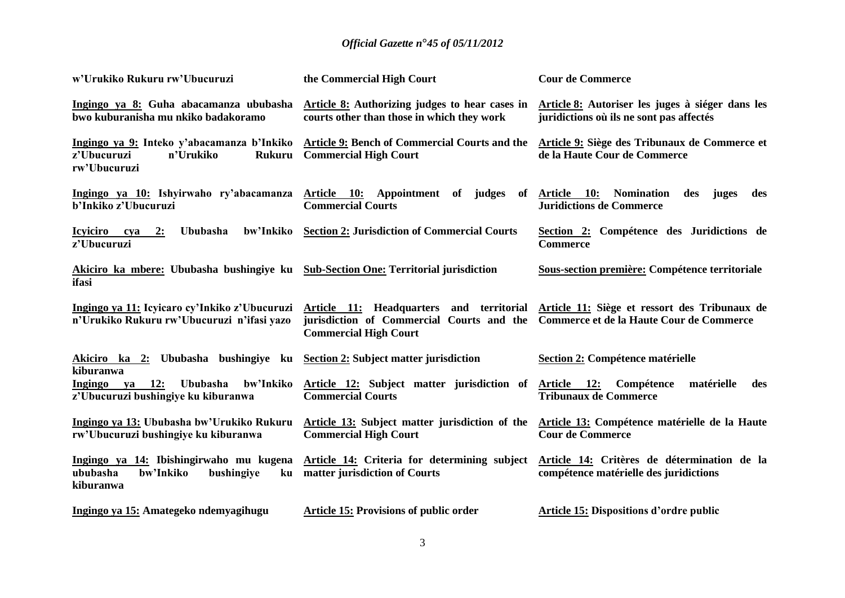| w'Urukiko Rukuru rw'Ubucuruzi                                                                           | the Commercial High Court                                                                                             | <b>Cour de Commerce</b>                                                                       |
|---------------------------------------------------------------------------------------------------------|-----------------------------------------------------------------------------------------------------------------------|-----------------------------------------------------------------------------------------------|
| Ingingo ya 8: Guha abacamanza ububasha<br>bwo kuburanisha mu nkiko badakoramo                           | <b>Article 8:</b> Authorizing judges to hear cases in<br>courts other than those in which they work                   | Article 8: Autoriser les juges à siéger dans les<br>juridictions où ils ne sont pas affectés  |
| Ingingo ya 9: Inteko y'abacamanza b'Inkiko<br>z'Ubucuruzi<br>n'Urukiko<br><b>Rukuru</b><br>rw'Ubucuruzi | <b>Article 9: Bench of Commercial Courts and the</b><br><b>Commercial High Court</b>                                  | Article 9: Siège des Tribunaux de Commerce et<br>de la Haute Cour de Commerce                 |
| Ingingo ya 10: Ishyirwaho ry'abacamanza<br>b'Inkiko z'Ubucuruzi                                         | Article 10: Appointment of judges<br><b>Commercial Courts</b>                                                         | of Article 10:<br><b>Nomination</b><br>des<br>juges<br>des<br><b>Juridictions de Commerce</b> |
| Ububasha<br>bw'Inkiko<br>Icyiciro cya<br>2:<br>z'Ubucuruzi                                              | <b>Section 2: Jurisdiction of Commercial Courts</b>                                                                   | Section 2: Compétence des Juridictions de<br><b>Commerce</b>                                  |
| Akiciro ka mbere: Ububasha bushingiye ku<br>ifasi                                                       | <b>Sub-Section One: Territorial jurisdiction</b>                                                                      | Sous-section première: Compétence territoriale                                                |
| Ingingo ya 11: Icyicaro cy'Inkiko z'Ubucuruzi<br>n'Urukiko Rukuru rw'Ubucuruzi n'ifasi yazo             | Article 11: Headquarters and territorial<br>jurisdiction of Commercial Courts and the<br><b>Commercial High Court</b> | Article 11: Siège et ressort des Tribunaux de<br>Commerce et de la Haute Cour de Commerce     |
| Akiciro ka 2: Ububasha bushingiye ku<br>kiburanwa                                                       | <b>Section 2: Subject matter jurisdiction</b>                                                                         | Section 2: Compétence matérielle                                                              |
| ya 12:<br>bw'Inkiko<br>Ingingo<br><b>Ububasha</b><br>z'Ubucuruzi bushingiye ku kiburanwa                | Article 12: Subject matter jurisdiction of<br><b>Commercial Courts</b>                                                | Article 12:<br>Compétence<br>matérielle<br>des<br><b>Tribunaux de Commerce</b>                |
| Ingingo ya 13: Ububasha bw'Urukiko Rukuru<br>rw'Ubucuruzi bushingiye ku kiburanwa                       | Article 13: Subject matter jurisdiction of the<br><b>Commercial High Court</b>                                        | Article 13: Compétence matérielle de la Haute<br><b>Cour de Commerce</b>                      |
| Ingingo ya 14: Ibishingirwaho mu kugena<br>bw'Inkiko<br>ububasha<br>bushingiye<br>ku<br>kiburanwa       | Article 14: Criteria for determining subject<br>matter jurisdiction of Courts                                         | Article 14: Critères de détermination de la<br>compétence matérielle des juridictions         |
| Ingingo ya 15: Amategeko ndemyagihugu                                                                   | <b>Article 15: Provisions of public order</b>                                                                         | <b>Article 15: Dispositions d'ordre public</b>                                                |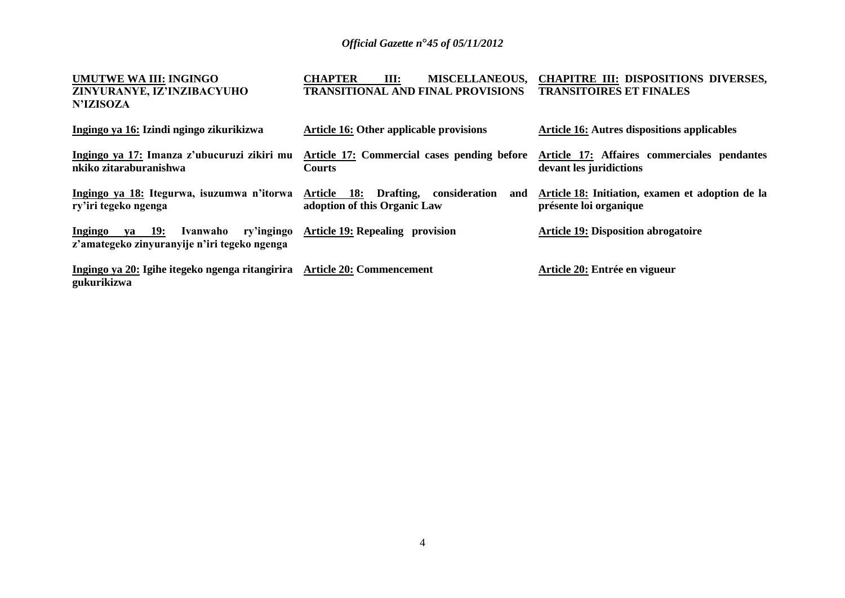| UMUTWE WA III: INGINGO<br>ZINYURANYE, IZ'INZIBACYUHO<br><b>N'IZISOZA</b>                    | <b>CHAPTER</b><br><b>MISCELLANEOUS,</b><br>Ш:<br><b>TRANSITIONAL AND FINAL PROVISIONS</b> | <b>CHAPITRE III: DISPOSITIONS DIVERSES,</b><br><b>TRANSITOIRES ET FINALES</b> |
|---------------------------------------------------------------------------------------------|-------------------------------------------------------------------------------------------|-------------------------------------------------------------------------------|
| Ingingo ya 16: Izindi ngingo zikurikizwa                                                    | Article 16: Other applicable provisions                                                   | <b>Article 16: Autres dispositions applicables</b>                            |
| Ingingo ya 17: Imanza z'ubucuruzi zikiri mu<br>nkiko zitaraburanishwa                       | Article 17: Commercial cases pending before<br><b>Courts</b>                              | Article 17: Affaires commerciales pendantes<br>devant les juridictions        |
| Ingingo ya 18: Itegurwa, isuzumwa n'itorwa<br>ry'iri tegeko ngenga                          | Drafting,<br>consideration<br>Article 18:<br>and<br>adoption of this Organic Law          | Article 18: Initiation, examen et adoption de la<br>présente loi organique    |
| ya 19:<br>Ivanwaho<br>ry'ingingo<br>Ingingo<br>z'amategeko zinyuranyije n'iri tegeko ngenga | <b>Article 19: Repealing provision</b>                                                    | <b>Article 19: Disposition abrogatoire</b>                                    |
| Ingingo ya 20: Igihe itegeko ngenga ritangirira Article 20: Commencement<br>gukurikizwa     |                                                                                           | Article 20: Entrée en vigueur                                                 |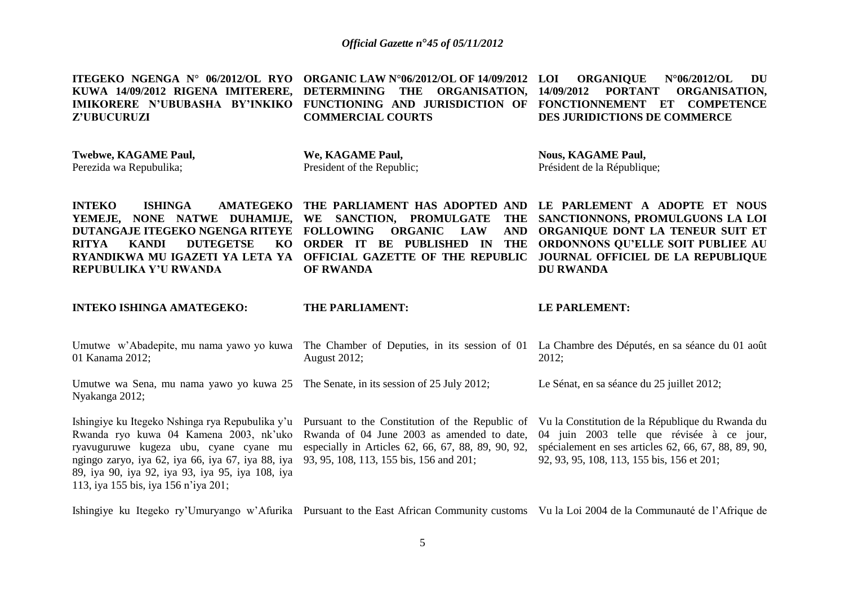**ITEGEKO NGENGA N° 06/2012/OL RYO ORGANIC LAW N°06/2012/OL OF 14/09/2012 LOI ORGANIQUE N°06/2012/OL DU KUWA 14/09/2012 RIGENA IMITERERE, DETERMINING THE ORGANISATION, 14/09/2012 PORTANT ORGANISATION,**  IMIKORERE N'UBUBASHA BY'INKIKO FUNCTIONING AND JURISDICTION OF FONCTIONNEMENT ET COMPETENCE **Z'UBUCURUZI COMMERCIAL COURTS DES JURIDICTIONS DE COMMERCE**

| <b>Twebwe, KAGAME Paul,</b><br>Perezida wa Repubulika; | We, KAGAME Paul,<br>President of the Republic; | <b>Nous, KAGAME Paul,</b><br>Président de la République;                                                                                                                                                                                                                                                                                                                                                                                                                                                                  |
|--------------------------------------------------------|------------------------------------------------|---------------------------------------------------------------------------------------------------------------------------------------------------------------------------------------------------------------------------------------------------------------------------------------------------------------------------------------------------------------------------------------------------------------------------------------------------------------------------------------------------------------------------|
| <b>INTEKO</b><br>ISHINGA<br>REPUBULIKA Y'U RWANDA      | OF RWANDA                                      | AMATEGEKO THE PARLIAMENT HAS ADOPTED AND LE PARLEMENT A ADOPTE ET NOUS<br>YEMEJE, NONE NATWE DUHAMIJE, WE SANCTION, PROMULGATE THE SANCTIONNONS,PROMULGUONS_LA_LOI<br>DUTANGAJE ITEGEKO NGENGA RITEYE   FOLLOWING    ORGANIC    LAW    AND   ORGANIQUE DONT LA TENEUR SUIT ET<br>RITYA     KANDI     DUTEGETSE     KO  ORDER  IT  BE  PUBLISHED  IN  THE  ORDONNONS OU'ELLE SOIT PUBLIEE AU<br>RYANDIKWA MU IGAZETI YA LETA YA   OFFICIAL GAZETTE OF THE REPUBLIC   JOURNAL OFFICIEL DE LA REPUBLIQUE<br><b>DU RWANDA</b> |

**INTEKO ISHINGA AMATEGEKO:**

113, iya 155 bis, iya 156 n'iya 201;

**THE PARLIAMENT:**

#### **LE PARLEMENT:**

| Umutwe w'Abadepite, mu nama yawo yo kuwa<br>01 Kanama 2012;                                                                                                                             | The Chamber of Deputies, in its session of 01<br><b>August 2012;</b>                                                                                                                                                                       | La Chambre des Députés, en sa séance du 01 août<br>2012;                                                                                                                                            |
|-----------------------------------------------------------------------------------------------------------------------------------------------------------------------------------------|--------------------------------------------------------------------------------------------------------------------------------------------------------------------------------------------------------------------------------------------|-----------------------------------------------------------------------------------------------------------------------------------------------------------------------------------------------------|
| Umutwe wa Sena, mu nama yawo yo kuwa 25 The Senate, in its session of 25 July 2012;<br>Nyakanga 2012;                                                                                   |                                                                                                                                                                                                                                            | Le Sénat, en sa séance du 25 juillet 2012;                                                                                                                                                          |
| ryavuguruwe kugeza ubu, cyane cyane mu<br>ngingo zaryo, iya 62, iya 66, iya 67, iya 88, iya 93, 95, 108, 113, 155 bis, 156 and 201;<br>89, iya 90, iya 92, iya 93, iya 95, iya 108, iya | Ishingiye ku Itegeko Nshinga rya Repubulika y'u Pursuant to the Constitution of the Republic of<br>Rwanda ryo kuwa 04 Kamena 2003, nk'uko Rwanda of 04 June 2003 as amended to date,<br>especially in Articles 62, 66, 67, 88, 89, 90, 92, | Vu la Constitution de la République du Rwanda du<br>04 juin 2003 telle que révisée à ce jour,<br>spécialement en ses articles 62, 66, 67, 88, 89, 90,<br>92, 93, 95, 108, 113, 155 bis, 156 et 201; |

Ishingiye ku Itegeko ry'Umuryango w'Afurika Pursuant to the East African Community customs Vu la Loi 2004 de la Communauté de l'Afrique de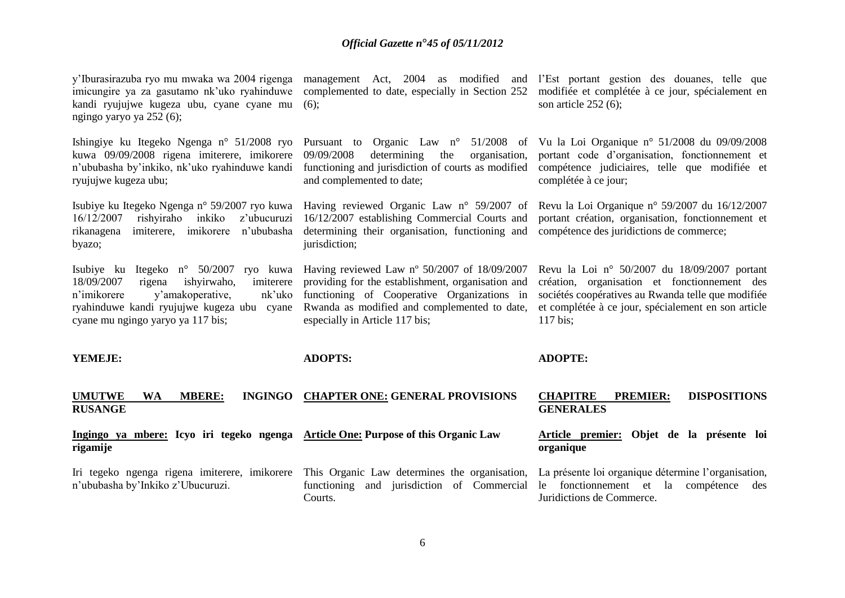| y'Iburasirazuba ryo mu mwaka wa 2004 rigenga<br>imicungire ya za gasutamo nk'uko ryahinduwe<br>kandi ryujujwe kugeza ubu, cyane cyane mu<br>ngingo yaryo ya 252 (6);                                                       | complemented to date, especially in Section 252<br>$(6)$ ;                                                                                                                                                                         | management Act, 2004 as modified and l'Est portant gestion des douanes, telle que<br>modifiée et complétée à ce jour, spécialement en<br>son article $252(6)$ ;                                                       |
|----------------------------------------------------------------------------------------------------------------------------------------------------------------------------------------------------------------------------|------------------------------------------------------------------------------------------------------------------------------------------------------------------------------------------------------------------------------------|-----------------------------------------------------------------------------------------------------------------------------------------------------------------------------------------------------------------------|
| Ishingiye ku Itegeko Ngenga n° 51/2008 ryo<br>kuwa 09/09/2008 rigena imiterere, imikorere<br>n'ububasha by'inkiko, nk'uko ryahinduwe kandi<br>ryujujwe kugeza ubu;                                                         | 09/09/2008<br>determining<br>organisation,<br>the<br>functioning and jurisdiction of courts as modified<br>and complemented to date;                                                                                               | Pursuant to Organic Law n° 51/2008 of Vu la Loi Organique n° 51/2008 du 09/09/2008<br>portant code d'organisation, fonctionnement et<br>compétence judiciaires, telle que modifiée et<br>complétée à ce jour;         |
| Isubiye ku Itegeko Ngenga n° 59/2007 ryo kuwa<br>16/12/2007<br>rishyiraho inkiko<br>z'ubucuruzi<br>imiterere, imikorere<br>n'ububasha<br>rikanagena<br>byazo;                                                              | Having reviewed Organic Law n° 59/2007 of<br>16/12/2007 establishing Commercial Courts and<br>determining their organisation, functioning and<br>jurisdiction;                                                                     | Revu la Loi Organique nº 59/2007 du 16/12/2007<br>portant création, organisation, fonctionnement et<br>compétence des juridictions de commerce;                                                                       |
| Isubiye ku Itegeko n° 50/2007 ryo kuwa<br>18/09/2007<br>ishyirwaho,<br>imiterere<br>rigena<br>y'amakoperative,<br>n'imikorere<br>nk'uko<br>ryahinduwe kandi ryujujwe kugeza ubu cyane<br>cyane mu ngingo yaryo ya 117 bis; | Having reviewed Law nº 50/2007 of 18/09/2007<br>providing for the establishment, organisation and<br>functioning of Cooperative Organizations in<br>Rwanda as modified and complemented to date,<br>especially in Article 117 bis; | Revu la Loi nº 50/2007 du 18/09/2007 portant<br>création, organisation et fonctionnement des<br>sociétés coopératives au Rwanda telle que modifiée<br>et complétée à ce jour, spécialement en son article<br>117 bis; |
| YEMEJE:                                                                                                                                                                                                                    | <b>ADOPTS:</b>                                                                                                                                                                                                                     | <b>ADOPTE:</b>                                                                                                                                                                                                        |
| <b>UMUTWE</b><br><b>INGINGO</b><br><b>WA</b><br><b>MBERE:</b><br><b>RUSANGE</b>                                                                                                                                            | <b>CHAPTER ONE: GENERAL PROVISIONS</b>                                                                                                                                                                                             | <b>DISPOSITIONS</b><br><b>CHAPITRE</b><br><b>PREMIER:</b><br><b>GENERALES</b>                                                                                                                                         |
| Ingingo ya mbere: Icyo iri tegeko ngenga Article One: Purpose of this Organic Law<br>rigamije                                                                                                                              |                                                                                                                                                                                                                                    | Article premier:<br>Objet de la présente loi<br>organique                                                                                                                                                             |
| Iri tegeko ngenga rigena imiterere, imikorere<br>n'ububasha by'Inkiko z'Ubucuruzi.                                                                                                                                         | This Organic Law determines the organisation,<br>functioning and jurisdiction of Commercial<br>Courts.                                                                                                                             | La présente loi organique détermine l'organisation,<br>fonctionnement et la compétence<br>le<br>des<br>Juridictions de Commerce.                                                                                      |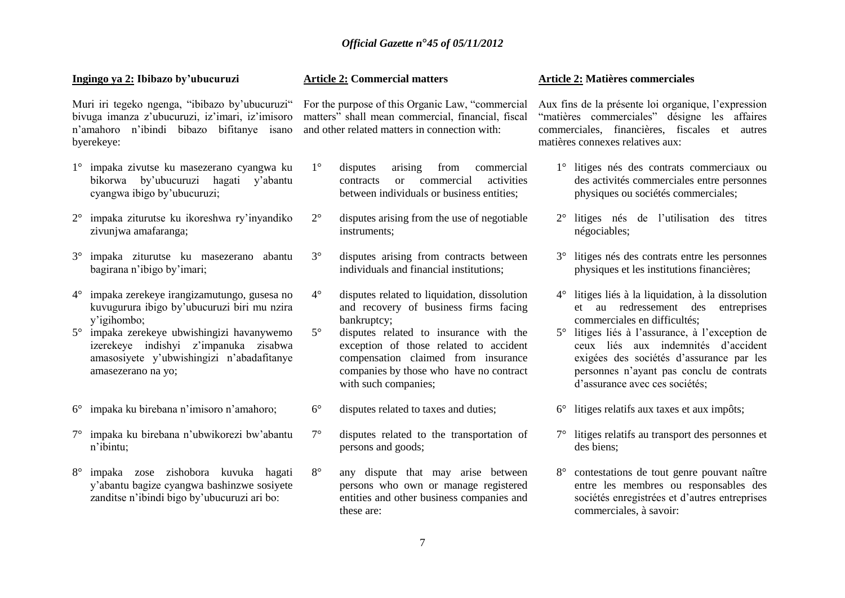#### **Ingingo ya 2: Ibibazo by'ubucuruzi**

Muri iri tegeko ngenga, "ibibazo by'ubucuruzi" bivuga imanza z'ubucuruzi, iz'imari, iz'imisoro n'amahoro n'ibindi bibazo bifitanye isano byerekeye:

- 1° impaka zivutse ku masezerano cyangwa ku bikorwa by'ubucuruzi hagati y'abantu cyangwa ibigo by'ubucuruzi;
- 2° impaka ziturutse ku ikoreshwa ry'inyandiko zivunjwa amafaranga;
- 3° impaka ziturutse ku masezerano abantu bagirana n'ibigo by'imari;
- 4° impaka zerekeye irangizamutungo, gusesa no kuvugurura ibigo by'ubucuruzi biri mu nzira y'igihombo;
- 5° impaka zerekeye ubwishingizi havanywemo izerekeye indishyi z'impanuka zisabwa amasosiyete y'ubwishingizi n'abadafitanye amasezerano na yo;
- 6° impaka ku birebana n'imisoro n'amahoro;
- 7° impaka ku birebana n'ubwikorezi bw'abantu n'ibintu;
- 8° impaka zose zishobora kuvuka hagati y'abantu bagize cyangwa bashinzwe sosiyete zanditse n'ibindi bigo by'ubucuruzi ari bo:

#### **Article 2: Commercial matters**

For the purpose of this Organic Law, "commercial matters" shall mean commercial, financial, fiscal and other related matters in connection with:

- 1° disputes arising from commercial contracts or commercial activities between individuals or business entities;
- 2° disputes arising from the use of negotiable instruments;
- 3° disputes arising from contracts between individuals and financial institutions;
- 4° disputes related to liquidation, dissolution and recovery of business firms facing bankruptcy;
- 5° disputes related to insurance with the exception of those related to accident compensation claimed from insurance companies by those who have no contract with such companies:
- 6° disputes related to taxes and duties;
- 7° disputes related to the transportation of persons and goods;
- 8° any dispute that may arise between persons who own or manage registered entities and other business companies and these are:

#### **Article 2: Matières commerciales**

Aux fins de la présente loi organique, l'expression "matières commerciales" désigne les affaires commerciales, financières, fiscales et autres matières connexes relatives aux:

- 1° litiges nés des contrats commerciaux ou des activités commerciales entre personnes physiques ou sociétés commerciales;
- 2° litiges nés de l'utilisation des titres négociables;
- 3° litiges nés des contrats entre les personnes physiques et les institutions financières;
- 4° litiges liés à la liquidation, à la dissolution et au redressement des entreprises commerciales en difficultés;
- 5° litiges liés à l'assurance, à l'exception de ceux liés aux indemnités d'accident exigées des sociétés d'assurance par les personnes n'ayant pas conclu de contrats d'assurance avec ces sociétés;
- 6° litiges relatifs aux taxes et aux impôts;
- 7° litiges relatifs au transport des personnes et des biens;
- 8° contestations de tout genre pouvant naître entre les membres ou responsables des sociétés enregistrées et d'autres entreprises commerciales, à savoir: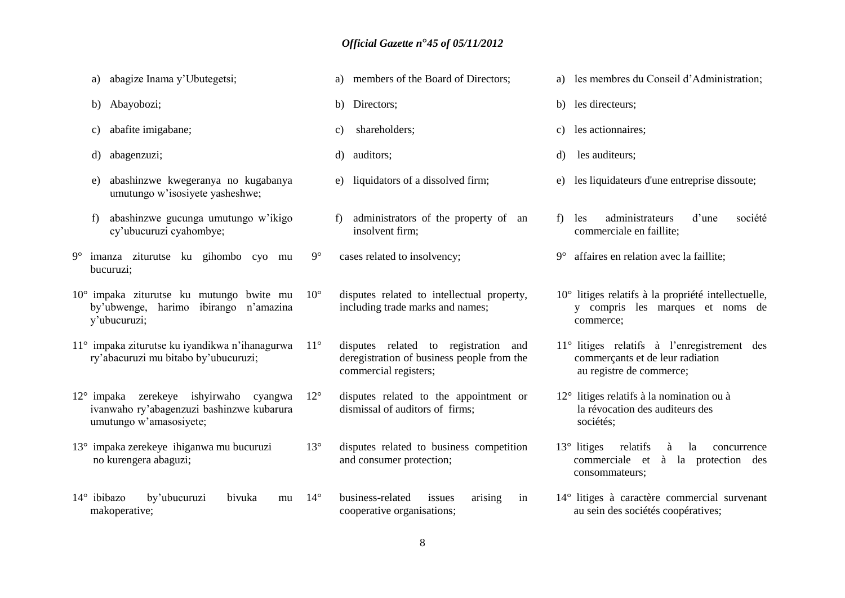- a) abagize Inama y'Ubutegetsi;
- b) Abayobozi;
- c) abafite imigabane;
- d) abagenzuzi;
- e) abashinzwe kwegeranya no kugabanya umutungo w'isosiyete yasheshwe;
- f) abashinzwe gucunga umutungo w'ikigo cy'ubucuruzi cyahombye;
- 9° imanza ziturutse ku gihombo cyo mu bucuruzi;
- 10° impaka ziturutse ku mutungo bwite mu by'ubwenge, harimo ibirango n'amazina y'ubucuruzi;
- 11° impaka ziturutse ku iyandikwa n'ihanagurwa ry'abacuruzi mu bitabo by'ubucuruzi;
- 12° impaka zerekeye ishyirwaho cyangwa ivanwaho ry'abagenzuzi bashinzwe kubarura umutungo w'amasosiyete;
- 13° impaka zerekeye ihiganwa mu bucuruzi no kurengera abaguzi;
- 14° ibibazo by'ubucuruzi bivuka mu makoperative;
- a) members of the Board of Directors;
- b) Directors;
- c) shareholders;
- d) auditors;
- e) liquidators of a dissolved firm;
- f) administrators of the property of an insolvent firm;
- 9° cases related to insolvency;
- 10° disputes related to intellectual property, including trade marks and names;
- 11° disputes related to registration and deregistration of business people from the commercial registers;
	- 12° disputes related to the appointment or dismissal of auditors of firms;
	- 13° disputes related to business competition and consumer protection;
	- 14° business-related issues arising in cooperative organisations;
- a) les membres du Conseil d'Administration;
- b) les directeurs;
- c) les actionnaires;
- d) les auditeurs;
- e) les liquidateurs d'une entreprise dissoute;
- f) les administrateurs d'une société commerciale en faillite;
- 9° affaires en relation avec la faillite;
- 10° litiges relatifs à la propriété intellectuelle, y compris les marques et noms de commerce;
- 11° litiges relatifs à l'enregistrement des commerçants et de leur radiation au registre de commerce;
- 12° litiges relatifs à la nomination ou à la révocation des auditeurs des sociétés;
- 13° litiges relatifs à la concurrence commerciale et à la protection des consommateurs;
- 14° litiges à caractère commercial survenant au sein des sociétés coopératives;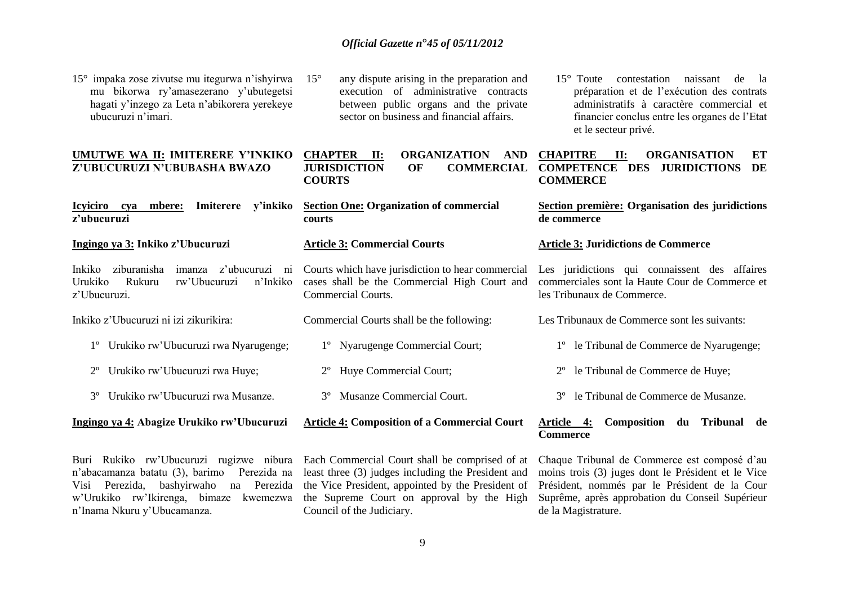15° impaka zose zivutse mu itegurwa n'ishyirwa mu bikorwa ry'amasezerano y'ubutegetsi hagati y'inzego za Leta n'abikorera yerekeye ubucuruzi n'imari.

### **UMUTWE WA II: IMITERERE Y'INKIKO Z'UBUCURUZI N'UBUBASHA BWAZO**

**Icyiciro cya mbere: Imiterere y'inkiko z'ubucuruzi** 

**Ingingo ya 3: Inkiko z'Ubucuruzi**

Inkiko ziburanisha imanza z'ubucuruzi ni Urukiko Rukuru rw'Ubucuruzi n'Inkiko z'Ubucuruzi.

Inkiko z'Ubucuruzi ni izi zikurikira:

- 1º Urukiko rw'Ubucuruzi rwa Nyarugenge;
- 2º Urukiko rw'Ubucuruzi rwa Huye;
- 3º Urukiko rw'Ubucuruzi rwa Musanze.

#### **Ingingo ya 4: Abagize Urukiko rw'Ubucuruzi**

Buri Rukiko rw'Ubucuruzi rugizwe nibura n'abacamanza batatu (3), barimo Perezida na Visi Perezida, bashyirwaho na Perezida w'Urukiko rw'Ikirenga, bimaze kwemezwa n'Inama Nkuru y'Ubucamanza.

15° any dispute arising in the preparation and execution of administrative contracts between public organs and the private sector on business and financial affairs.

# **CHAPTER II: ORGANIZATION AND COURTS**

**Section One: Organization of commercial courts** 

#### **Article 3: Commercial Courts**

Courts which have jurisdiction to hear commercial cases shall be the Commercial High Court and Commercial Courts.

- Commercial Courts shall be the following:
	- 1º Nyarugenge Commercial Court;
	- 2º Huye Commercial Court;
	- 3º Musanze Commercial Court.

### **Article 4: Composition of a Commercial Court**

Each Commercial Court shall be comprised of at least three (3) judges including the President and the Vice President, appointed by the President of the Supreme Court on approval by the High Council of the Judiciary.

15° Toute contestation naissant de la préparation et de l'exécution des contrats administratifs à caractère commercial et financier conclus entre les organes de l'Etat et le secteur privé.

#### **JURISDICTION OF COMMERCIAL COMPETENCE DES JURIDICTIONS DE CHAPITRE II: ORGANISATION ET COMMERCE**

#### **Section première: Organisation des juridictions de commerce**

#### **Article 3: Juridictions de Commerce**

Les juridictions qui connaissent des affaires commerciales sont la Haute Cour de Commerce et les Tribunaux de Commerce.

Les Tribunaux de Commerce sont les suivants:

- 1º le Tribunal de Commerce de Nyarugenge;
- 2º le Tribunal de Commerce de Huye;
- 3º le Tribunal de Commerce de Musanze.

#### **Article 4: Composition du Tribunal de Commerce**

Chaque Tribunal de Commerce est composé d'au moins trois (3) juges dont le Président et le Vice Président, nommés par le Président de la Cour Suprême, après approbation du Conseil Supérieur de la Magistrature.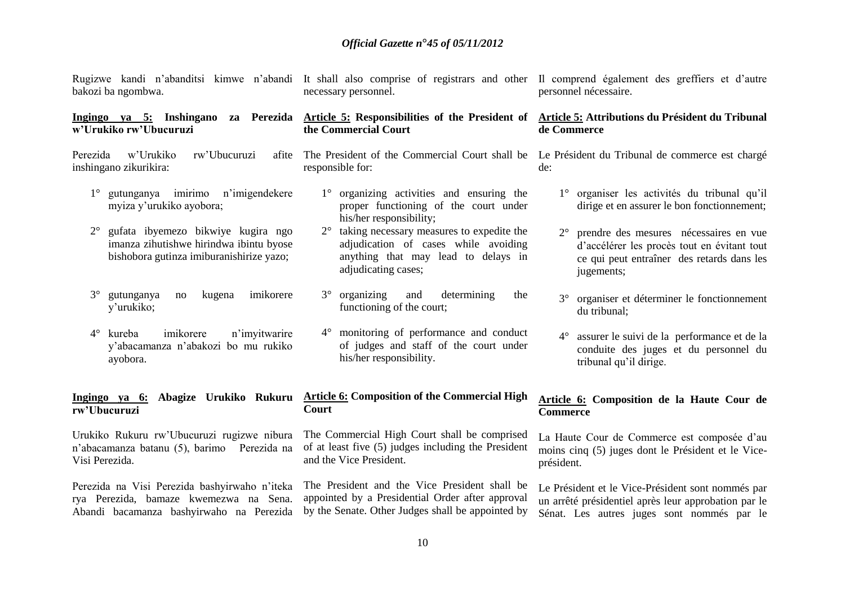| bakozi ba ngombwa.                                                                                   | Rugizwe kandi n'abanditsi kimwe n'abandi It shall also comprise of registrars and other Il comprend également des greffiers et d'autre<br>necessary personnel. | personnel nécessaire.                                                                                                       |
|------------------------------------------------------------------------------------------------------|----------------------------------------------------------------------------------------------------------------------------------------------------------------|-----------------------------------------------------------------------------------------------------------------------------|
| Ingingo ya 5: Inshingano za Perezida                                                                 | Article 5: Responsibilities of the President of                                                                                                                | Article 5: Attributions du Président du Tribunal                                                                            |
| w'Urukiko rw'Ubucuruzi                                                                               | the Commercial Court                                                                                                                                           | de Commerce                                                                                                                 |
| Perezida<br>w'Urukiko<br>rw'Ubucuruzi<br>afite<br>inshingano zikurikira:                             | The President of the Commercial Court shall be<br>responsible for:                                                                                             | Le Président du Tribunal de commerce est chargé<br>de:                                                                      |
| gutunganya imirimo n'imigendekere<br>$1^{\circ}$<br>myiza y'urukiko ayobora;                         | organizing activities and ensuring the<br>$1^{\circ}$<br>proper functioning of the court under<br>his/her responsibility;                                      | 1° organiser les activités du tribunal qu'il<br>dirige et en assurer le bon fonctionnement;                                 |
| gufata ibyemezo bikwiye kugira ngo                                                                   | taking necessary measures to expedite the                                                                                                                      | prendre des mesures nécessaires en vue                                                                                      |
| $2^{\circ}$                                                                                          | adjudication of cases while avoiding                                                                                                                           | d'accélérer les procès tout en évitant tout                                                                                 |
| imanza zihutishwe hirindwa ibintu byose                                                              | anything that may lead to delays in                                                                                                                            | ce qui peut entraîner des retards dans les                                                                                  |
| bishobora gutinza imiburanishirize yazo;                                                             | adjudicating cases;                                                                                                                                            | jugements;                                                                                                                  |
| $3^{\circ}$<br>gutunganya<br>imikorere<br>no<br>kugena<br>y'urukiko;                                 | $3^\circ$<br>organizing<br>and<br>determining<br>the<br>functioning of the court;                                                                              | organiser et déterminer le fonctionnement<br>$3^\circ$<br>du tribunal;                                                      |
| imikorere<br>kureba<br>n'imyitwarire<br>$4^\circ$<br>y'abacamanza n'abakozi bo mu rukiko<br>ayobora. | 4° monitoring of performance and conduct<br>of judges and staff of the court under<br>his/her responsibility.                                                  | $4^\circ$<br>assurer le suivi de la performance et de la<br>conduite des juges et du personnel du<br>tribunal qu'il dirige. |
| Ingingo ya 6: Abagize Urukiko Rukuru                                                                 | <b>Article 6: Composition of the Commercial High</b>                                                                                                           | Article 6: Composition de la Haute Cour de                                                                                  |
| rw'Ubucuruzi                                                                                         | Court                                                                                                                                                          | <b>Commerce</b>                                                                                                             |
| Urukiko Rukuru rw'Ubucuruzi rugizwe nibura                                                           | The Commercial High Court shall be comprised                                                                                                                   | La Haute Cour de Commerce est composée d'au                                                                                 |
| n'abacamanza batanu (5), barimo Perezida na                                                          | of at least five (5) judges including the President                                                                                                            | moins cinq (5) juges dont le Président et le Vice-                                                                          |
| Visi Perezida.                                                                                       | and the Vice President.                                                                                                                                        | président.                                                                                                                  |
| Perezida na Visi Perezida bashyirwaho n'iteka                                                        | The President and the Vice President shall be                                                                                                                  | Le Président et le Vice-Président sont nommés par                                                                           |
| rya Perezida, bamaze kwemezwa na Sena.                                                               | appointed by a Presidential Order after approval                                                                                                               | un arrêté présidentiel après leur approbation par le                                                                        |
| Abandi bacamanza bashyirwaho na Perezida                                                             | by the Senate. Other Judges shall be appointed by                                                                                                              | Sénat. Les autres juges sont nommés par le                                                                                  |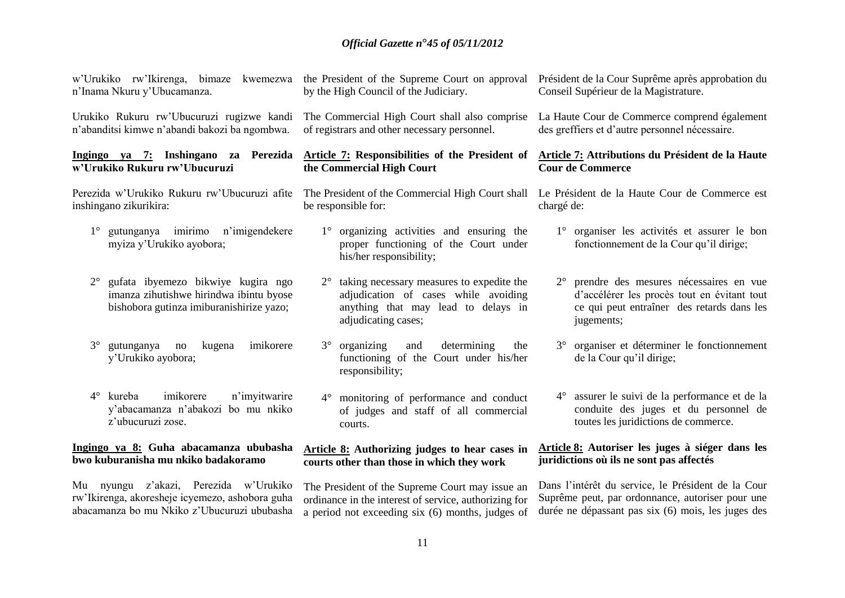| w'Urukiko rw'Ikirenga, bimaze kwemezwa                                                                                                   | the President of the Supreme Court on approval                                                                                                  | Président de la Cour Suprême après approbation du                                                                                                                |
|------------------------------------------------------------------------------------------------------------------------------------------|-------------------------------------------------------------------------------------------------------------------------------------------------|------------------------------------------------------------------------------------------------------------------------------------------------------------------|
| n'Inama Nkuru y'Ubucamanza.                                                                                                              | by the High Council of the Judiciary.                                                                                                           | Conseil Supérieur de la Magistrature.                                                                                                                            |
| Urukiko Rukuru rw'Ubucuruzi rugizwe kandi                                                                                                | The Commercial High Court shall also comprise                                                                                                   | La Haute Cour de Commerce comprend également                                                                                                                     |
| n'abanditsi kimwe n'abandi bakozi ba ngombwa.                                                                                            | of registrars and other necessary personnel.                                                                                                    | des greffiers et d'autre personnel nécessaire.                                                                                                                   |
| Ingingo ya 7: Inshingano za Perezida                                                                                                     | Article 7: Responsibilities of the President of                                                                                                 | Article 7: Attributions du Président de la Haute                                                                                                                 |
| w'Urukiko Rukuru rw'Ubucuruzi                                                                                                            | the Commercial High Court                                                                                                                       | <b>Cour de Commerce</b>                                                                                                                                          |
| Perezida w'Urukiko Rukuru rw'Ubucuruzi afite                                                                                             | The President of the Commercial High Court shall                                                                                                | Le Président de la Haute Cour de Commerce est                                                                                                                    |
| inshingano zikurikira:                                                                                                                   | be responsible for:                                                                                                                             | chargé de:                                                                                                                                                       |
| gutunganya imirimo n'imigendekere<br>$1^{\circ}$<br>myiza y'Urukiko ayobora;                                                             | organizing activities and ensuring the<br>$1^{\circ}$<br>proper functioning of the Court under<br>his/her responsibility;                       | 1° organiser les activités et assurer le bon<br>fonctionnement de la Cour qu'il dirige;                                                                          |
| gufata ibyemezo bikwiye kugira ngo<br>$2^{\circ}$<br>imanza zihutishwe hirindwa ibintu byose<br>bishobora gutinza imiburanishirize yazo; | taking necessary measures to expedite the<br>adjudication of cases while avoiding<br>anything that may lead to delays in<br>adjudicating cases; | prendre des mesures nécessaires en vue<br>$2^{\circ}$<br>d'accélérer les procès tout en évitant tout<br>ce qui peut entraîner des retards dans les<br>jugements; |
| imikorere<br>$3^\circ$<br>gutunganya<br>kugena<br>no<br>y'Urukiko ayobora;                                                               | organizing<br>determining<br>$3^\circ$<br>and<br>the<br>functioning of the Court under his/her<br>responsibility;                               | organiser et déterminer le fonctionnement<br>$3^\circ$<br>de la Cour qu'il dirige;                                                                               |
| imikorere<br>$4^\circ$ kureba<br>n'imyitwarire<br>y'abacamanza n'abakozi bo mu nkiko<br>z'ubucuruzi zose.                                | monitoring of performance and conduct<br>$4^\circ$<br>of judges and staff of all commercial<br>courts.                                          | 4° assurer le suivi de la performance et de la<br>conduite des juges et du personnel de<br>toutes les juridictions de commerce.                                  |
| Ingingo ya 8: Guha abacamanza ububasha                                                                                                   | <b>Article 8:</b> Authorizing judges to hear cases in                                                                                           | Article 8: Autoriser les juges à siéger dans les                                                                                                                 |
| bwo kuburanisha mu nkiko badakoramo                                                                                                      | courts other than those in which they work                                                                                                      | juridictions où ils ne sont pas affectés                                                                                                                         |
| Mu nyungu z'akazi, Perezida w'Urukiko                                                                                                    | The President of the Supreme Court may issue an                                                                                                 | Dans l'intérêt du service, le Président de la Cour                                                                                                               |
| rw'Ikirenga, akoresheje icyemezo, ashobora guha                                                                                          | ordinance in the interest of service, authorizing for                                                                                           | Suprême peut, par ordonnance, autoriser pour une                                                                                                                 |

a period not exceeding six (6) months, judges of

durée ne dépassant pas six (6) mois, les juges des

abacamanza bo mu Nkiko z'Ubucuruzi ububasha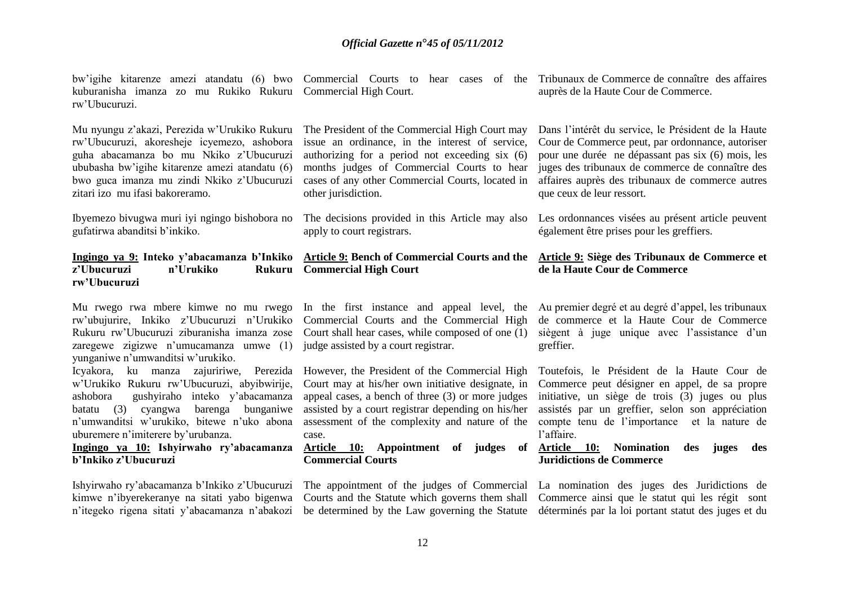bw'igihe kitarenze amezi atandatu (6) bwo Commercial Courts to hear cases of the Tribunaux de Commerce de connaître des affaires kuburanisha imanza zo mu Rukiko Rukuru Commercial High Court. rw'Ubucuruzi.

Mu nyungu z'akazi, Perezida w'Urukiko Rukuru rw'Ubucuruzi, akoresheje icyemezo, ashobora guha abacamanza bo mu Nkiko z'Ubucuruzi ububasha bw'igihe kitarenze amezi atandatu (6) bwo guca imanza mu zindi Nkiko z'Ubucuruzi zitari izo mu ifasi bakoreramo.

Ibyemezo bivugwa muri iyi ngingo bishobora no gufatirwa abanditsi b'inkiko.

## z'Ubucuruzi n'Urukiko **rw'Ubucuruzi**

zaregewe zigizwe n'umucamanza umwe (1) judge assisted by a court registrar. yunganiwe n'umwanditsi w'urukiko.

Icyakora, ku manza zajuririwe, Perezida However, the President of the Commercial High w'Urukiko Rukuru rw'Ubucuruzi, abyibwirije, ashobora gushyiraho inteko y'abacamanza batatu (3) cyangwa barenga bunganiwe n'umwanditsi w'urukiko, bitewe n'uko abona uburemere n'imiterere by'urubanza.

### **Ingingo ya 10: Ishyirwaho ry'abacamanza b'Inkiko z'Ubucuruzi**

Ishyirwaho ry'abacamanza b'Inkiko z'Ubucuruzi kimwe n'ibyerekeranye na sitati yabo bigenwa

The President of the Commercial High Court may issue an ordinance, in the interest of service, authorizing for a period not exceeding six (6) months judges of Commercial Courts to hear cases of any other Commercial Courts, located in other jurisdiction.

apply to court registrars.

#### **Ingingo ya 9: Inteko y'abacamanza b'Inkiko Article 9: Bench of Commercial Courts and the Commercial High Court**

rw'ubujurire, Inkiko z'Ubucuruzi n'Urukiko Commercial Courts and the Commercial High Rukuru rw'Ubucuruzi ziburanisha imanza zose Court shall hear cases, while composed of one (1)

> Court may at his/her own initiative designate, in appeal cases, a bench of three (3) or more judges assisted by a court registrar depending on his/her case.

**Commercial Courts** 

auprès de la Haute Cour de Commerce.

Dans l'intérêt du service, le Président de la Haute Cour de Commerce peut, par ordonnance, autoriser pour une durée ne dépassant pas six (6) mois, les juges des tribunaux de commerce de connaître des affaires auprès des tribunaux de commerce autres que ceux de leur ressort.

The decisions provided in this Article may also Les ordonnances visées au présent article peuvent également être prises pour les greffiers.

#### **Article 9: Siège des Tribunaux de Commerce et de la Haute Cour de Commerce**

Mu rwego rwa mbere kimwe no mu rwego In the first instance and appeal level, the Au premier degré et au degré d'appel, les tribunaux de commerce et la Haute Cour de Commerce siègent à juge unique avec l'assistance d'un greffier.

> assessment of the complexity and nature of the compte tenu de l'importance et la nature de Toutefois, le Président de la Haute Cour de Commerce peut désigner en appel, de sa propre initiative, un siège de trois (3) juges ou plus assistés par un greffier, selon son appréciation l'affaire.

> **Article 10: Appointment of judges of Article 10: Nomination des juges des Juridictions de Commerce**

n'itegeko rigena sitati y'abacamanza n'abakozi be determined by the Law governing the Statute déterminés par la loi portant statut des juges et du The appointment of the judges of Commercial La nomination des juges des Juridictions de Courts and the Statute which governs them shall Commerce ainsi que le statut qui les régit sont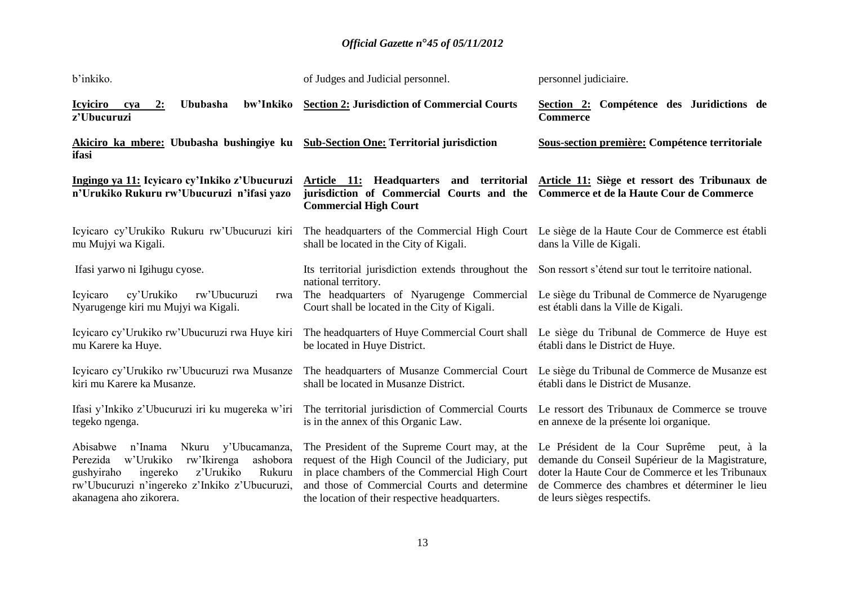| b'inkiko.                                                                                                                                                                                                                      | of Judges and Judicial personnel.                                                                                                                                                                                                                       | personnel judiciaire.                                                                                                                                                                                                               |
|--------------------------------------------------------------------------------------------------------------------------------------------------------------------------------------------------------------------------------|---------------------------------------------------------------------------------------------------------------------------------------------------------------------------------------------------------------------------------------------------------|-------------------------------------------------------------------------------------------------------------------------------------------------------------------------------------------------------------------------------------|
| bw'Inkiko<br><b>Icyiciro</b><br><b>Ububasha</b><br>2:<br>cva<br>z'Ubucuruzi                                                                                                                                                    | <b>Section 2: Jurisdiction of Commercial Courts</b>                                                                                                                                                                                                     | Section 2: Compétence des Juridictions de<br><b>Commerce</b>                                                                                                                                                                        |
| Akiciro ka mbere: Ububasha bushingiye ku<br>ifasi                                                                                                                                                                              | <b>Sub-Section One: Territorial jurisdiction</b>                                                                                                                                                                                                        | Sous-section première: Compétence territoriale                                                                                                                                                                                      |
| Ingingo ya 11: Icyicaro cy'Inkiko z'Ubucuruzi<br>n'Urukiko Rukuru rw'Ubucuruzi n'ifasi yazo                                                                                                                                    | Article 11: Headquarters and territorial<br>jurisdiction of Commercial Courts and the<br><b>Commercial High Court</b>                                                                                                                                   | Article 11: Siège et ressort des Tribunaux de<br>Commerce et de la Haute Cour de Commerce                                                                                                                                           |
| Icyicaro cy'Urukiko Rukuru rw'Ubucuruzi kiri<br>mu Mujyi wa Kigali.                                                                                                                                                            | The headquarters of the Commercial High Court<br>shall be located in the City of Kigali.                                                                                                                                                                | Le siège de la Haute Cour de Commerce est établi<br>dans la Ville de Kigali.                                                                                                                                                        |
| Ifasi yarwo ni Igihugu cyose.                                                                                                                                                                                                  | Its territorial jurisdiction extends throughout the<br>national territory.                                                                                                                                                                              | Son ressort s'étend sur tout le territoire national.                                                                                                                                                                                |
| cy'Urukiko<br>rw'Ubucuruzi<br><b>Icyicaro</b><br>rwa<br>Nyarugenge kiri mu Mujyi wa Kigali.                                                                                                                                    | The headquarters of Nyarugenge Commercial<br>Court shall be located in the City of Kigali.                                                                                                                                                              | Le siège du Tribunal de Commerce de Nyarugenge<br>est établi dans la Ville de Kigali.                                                                                                                                               |
| Icyicaro cy'Urukiko rw'Ubucuruzi rwa Huye kiri<br>mu Karere ka Huye.                                                                                                                                                           | The headquarters of Huye Commercial Court shall<br>be located in Huye District.                                                                                                                                                                         | Le siège du Tribunal de Commerce de Huye est<br>établi dans le District de Huye.                                                                                                                                                    |
| Icyicaro cy'Urukiko rw'Ubucuruzi rwa Musanze<br>kiri mu Karere ka Musanze.                                                                                                                                                     | The headquarters of Musanze Commercial Court<br>shall be located in Musanze District.                                                                                                                                                                   | Le siège du Tribunal de Commerce de Musanze est<br>établi dans le District de Musanze.                                                                                                                                              |
| Ifasi y'Inkiko z'Ubucuruzi iri ku mugereka w'iri<br>tegeko ngenga.                                                                                                                                                             | The territorial jurisdiction of Commercial Courts<br>is in the annex of this Organic Law.                                                                                                                                                               | Le ressort des Tribunaux de Commerce se trouve<br>en annexe de la présente loi organique.                                                                                                                                           |
| Abisabwe<br>n'Inama<br>Nkuru<br>y'Ubucamanza,<br>w'Urukiko<br>rw'Ikirenga<br>Perezida<br>ashobora<br>z'Urukiko<br>ingereko<br>Rukuru<br>gushyiraho<br>rw'Ubucuruzi n'ingereko z'Inkiko z'Ubucuruzi,<br>akanagena aho zikorera. | The President of the Supreme Court may, at the<br>request of the High Council of the Judiciary, put<br>in place chambers of the Commercial High Court<br>and those of Commercial Courts and determine<br>the location of their respective headquarters. | Le Président de la Cour Suprême peut, à la<br>demande du Conseil Supérieur de la Magistrature,<br>doter la Haute Cour de Commerce et les Tribunaux<br>de Commerce des chambres et déterminer le lieu<br>de leurs sièges respectifs. |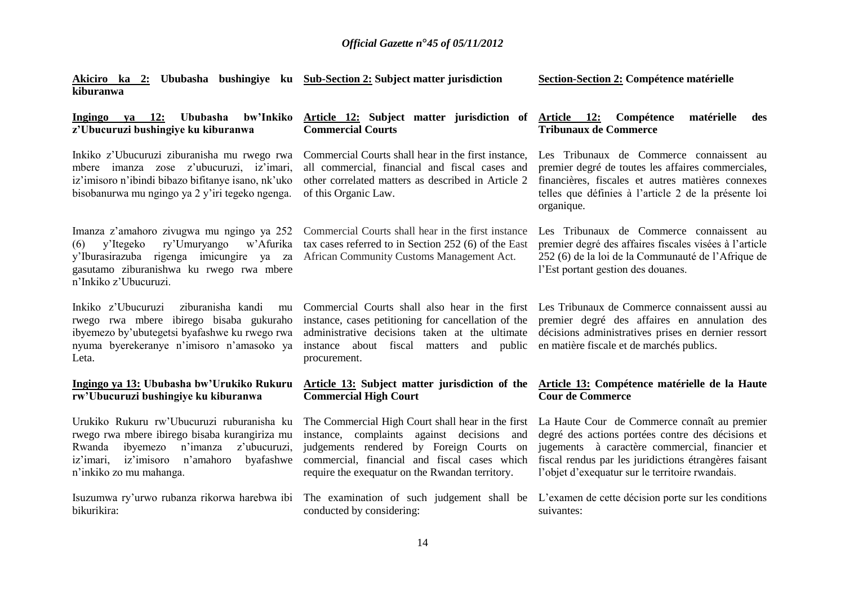| Akiciro ka 2: Ububasha bushingiye ku Sub-Section 2: Subject matter jurisdiction<br>kiburanwa                                                                                                                                  |                                                                                                                                                                                                                                                   | <b>Section-Section 2: Compétence matérielle</b>                                                                                                                                                                                                                 |
|-------------------------------------------------------------------------------------------------------------------------------------------------------------------------------------------------------------------------------|---------------------------------------------------------------------------------------------------------------------------------------------------------------------------------------------------------------------------------------------------|-----------------------------------------------------------------------------------------------------------------------------------------------------------------------------------------------------------------------------------------------------------------|
| Ububasha<br>bw'Inkiko<br>Ingingo ya<br><b>12:</b><br>z'Ubucuruzi bushingiye ku kiburanwa                                                                                                                                      | Article 12: Subject matter jurisdiction of<br><b>Commercial Courts</b>                                                                                                                                                                            | Article 12:<br>Compétence<br>matérielle<br>des<br><b>Tribunaux de Commerce</b>                                                                                                                                                                                  |
| Inkiko z'Ubucuruzi ziburanisha mu rwego rwa<br>mbere imanza zose z'ubucuruzi, iz'imari,<br>iz'imisoro n'ibindi bibazo bifitanye isano, nk'uko<br>bisobanurwa mu ngingo ya 2 y'iri tegeko ngenga.                              | Commercial Courts shall hear in the first instance,<br>all commercial, financial and fiscal cases and<br>other correlated matters as described in Article 2<br>of this Organic Law.                                                               | Les Tribunaux de Commerce connaissent au<br>premier degré de toutes les affaires commerciales,<br>financières, fiscales et autres matières connexes<br>telles que définies à l'article 2 de la présente loi<br>organique.                                       |
| Imanza z'amahoro zivugwa mu ngingo ya 252<br>ry'Umuryango<br>w'Afurika<br>y'Itegeko<br>(6)<br>y'Iburasirazuba rigenga imicungire ya za<br>gasutamo ziburanishwa ku rwego rwa mbere<br>n'Inkiko z'Ubucuruzi.                   | Commercial Courts shall hear in the first instance<br>tax cases referred to in Section 252 (6) of the East<br>African Community Customs Management Act.                                                                                           | Les Tribunaux de Commerce connaissent au<br>premier degré des affaires fiscales visées à l'article<br>252 (6) de la loi de la Communauté de l'Afrique de<br>l'Est portant gestion des douanes.                                                                  |
| Inkiko z'Ubucuruzi<br>ziburanisha kandi<br>mu<br>rwego rwa mbere ibirego bisaba gukuraho<br>ibyemezo by'ubutegetsi byafashwe ku rwego rwa<br>nyuma byerekeranye n'imisoro n'amasoko ya<br>Leta.                               | instance, cases petitioning for cancellation of the<br>administrative decisions taken at the ultimate<br>instance about fiscal matters and public<br>procurement.                                                                                 | Commercial Courts shall also hear in the first Les Tribunaux de Commerce connaissent aussi au<br>premier degré des affaires en annulation des<br>décisions administratives prises en dernier ressort<br>en matière fiscale et de marchés publics.               |
| Ingingo ya 13: Ububasha bw'Urukiko Rukuru<br>rw'Ubucuruzi bushingiye ku kiburanwa                                                                                                                                             | Article 13: Subject matter jurisdiction of the<br><b>Commercial High Court</b>                                                                                                                                                                    | Article 13: Compétence matérielle de la Haute<br><b>Cour de Commerce</b>                                                                                                                                                                                        |
| Urukiko Rukuru rw'Ubucuruzi ruburanisha ku<br>rwego rwa mbere ibirego bisaba kurangiriza mu<br>n'imanza<br>z'ubucuruzi,<br>Rwanda<br>ibyemezo<br>iz'imisoro<br>n'amahoro<br>byafashwe<br>iz'imari,<br>n'inkiko zo mu mahanga. | The Commercial High Court shall hear in the first<br>instance, complaints against decisions<br>and<br>judgements rendered by Foreign Courts on<br>commercial, financial and fiscal cases which<br>require the exequatur on the Rwandan territory. | La Haute Cour de Commerce connaît au premier<br>degré des actions portées contre des décisions et<br>jugements à caractère commercial, financier et<br>fiscal rendus par les juridictions étrangères faisant<br>l'objet d'exequatur sur le territoire rwandais. |
| Isuzumwa ry'urwo rubanza rikorwa harebwa ibi<br>bikurikira:                                                                                                                                                                   | The examination of such judgement shall be<br>conducted by considering:                                                                                                                                                                           | L'examen de cette décision porte sur les conditions<br>suivantes:                                                                                                                                                                                               |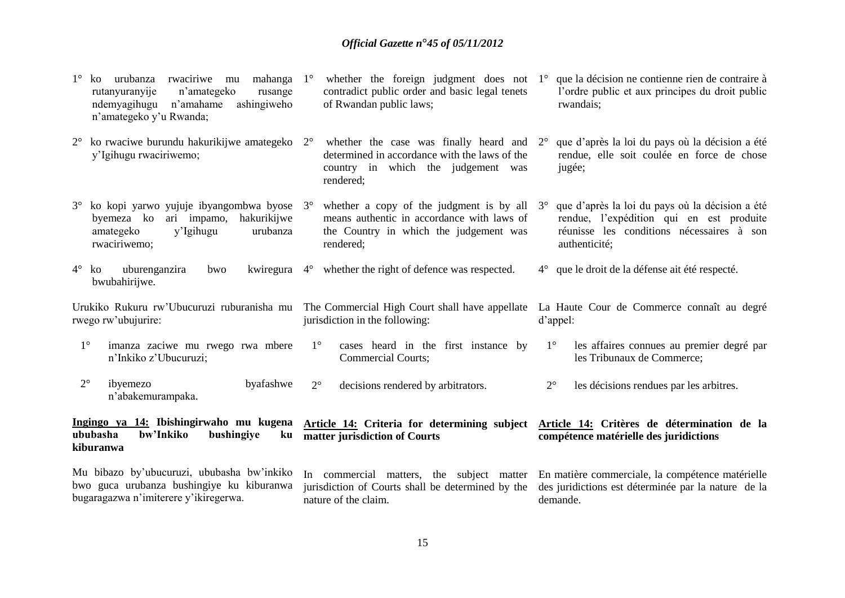|                                                                                                                                  | rwaciriwe mu<br>mahanga<br>urubanza<br>ko<br>rutanyuranyije<br>n'amategeko<br>rusange<br>ashingiweho<br>ndemyagihugu n'amahame<br>n'amategeko y'u Rwanda; | $1^{\circ}$ | whether the foreign judgment does not $1^\circ$<br>contradict public order and basic legal tenets<br>of Rwandan public laws;                              |             | que la décision ne contienne rien de contraire à<br>l'ordre public et aux principes du droit public<br>rwandais;                                          |
|----------------------------------------------------------------------------------------------------------------------------------|-----------------------------------------------------------------------------------------------------------------------------------------------------------|-------------|-----------------------------------------------------------------------------------------------------------------------------------------------------------|-------------|-----------------------------------------------------------------------------------------------------------------------------------------------------------|
| $2^{\circ}$                                                                                                                      | ko rwaciwe burundu hakurikijwe amategeko 2°<br>y'Igihugu rwaciriwemo;                                                                                     |             | whether the case was finally heard and $2^{\circ}$<br>determined in accordance with the laws of the<br>country in which the judgement was<br>rendered;    |             | que d'après la loi du pays où la décision a été<br>rendue, elle soit coulée en force de chose<br>jugée;                                                   |
| $3^\circ$                                                                                                                        | ko kopi yarwo yujuje ibyangombwa byose<br>ari impamo, hakurikijwe<br>byemeza ko<br>amategeko<br>y'Igihugu<br>urubanza<br>rwaciriwemo;                     | $3^\circ$   | whether a copy of the judgment is by all $3^{\circ}$<br>means authentic in accordance with laws of<br>the Country in which the judgement was<br>rendered; |             | que d'après la loi du pays où la décision a été<br>rendue, l'expédition qui en est produite<br>réunisse les conditions nécessaires à son<br>authenticité; |
|                                                                                                                                  | uburenganzira<br>$4^\circ$ ko<br>bwo<br>bwubahirijwe.                                                                                                     |             | kwiregura 4° whether the right of defence was respected.                                                                                                  |             | 4° que le droit de la défense ait été respecté.                                                                                                           |
|                                                                                                                                  | Urukiko Rukuru rw'Ubucuruzi ruburanisha mu<br>rwego rw'ubujurire:                                                                                         |             | The Commercial High Court shall have appellate<br>jurisdiction in the following:                                                                          |             | La Haute Cour de Commerce connaît au degré<br>d'appel:                                                                                                    |
| $1^{\circ}$                                                                                                                      | imanza zaciwe mu rwego rwa mbere<br>n'Inkiko z'Ubucuruzi;                                                                                                 | $1^{\circ}$ | cases heard in the first instance by<br><b>Commercial Courts;</b>                                                                                         | $1^{\circ}$ | les affaires connues au premier degré par<br>les Tribunaux de Commerce;                                                                                   |
| $2^{\circ}$                                                                                                                      | ibyemezo<br>byafashwe<br>n'abakemurampaka.                                                                                                                | $2^{\circ}$ | decisions rendered by arbitrators.                                                                                                                        | $2^{\circ}$ | les décisions rendues par les arbitres.                                                                                                                   |
|                                                                                                                                  | Ingingo ya 14: Ibishingirwaho mu kugena<br>ububasha<br>bw'Inkiko<br>bushingiye<br>ku<br>kiburanwa                                                         |             | Article 14: Criteria for determining subject<br>matter jurisdiction of Courts                                                                             |             | Article 14: Critères de détermination de la<br>compétence matérielle des juridictions                                                                     |
| Mu bibazo by'ubucuruzi, ububasha bw'inkiko<br>bwo guca urubanza bushingiye ku kiburanwa<br>bugaragazwa n'imiterere y'ikiregerwa. |                                                                                                                                                           |             | In commercial matters, the subject matter<br>jurisdiction of Courts shall be determined by the<br>nature of the claim.                                    |             | En matière commerciale, la compétence matérielle<br>des juridictions est déterminée par la nature de la<br>demande.                                       |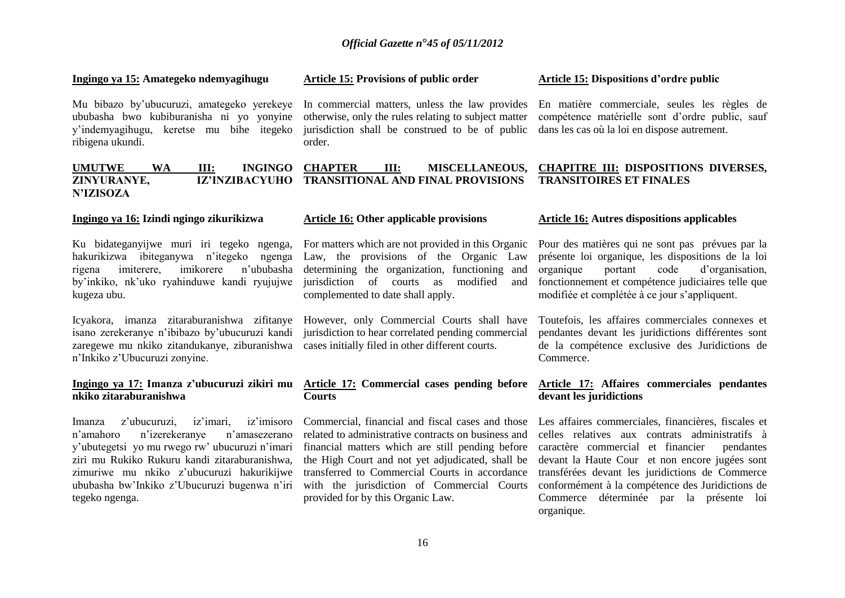#### **Ingingo ya 15: Amategeko ndemyagihugu**

Mu bibazo by'ubucuruzi, amategeko yerekeye ububasha bwo kubiburanisha ni yo yonyine y'indemyagihugu, keretse mu bihe itegeko ribigena ukundi.

#### **Article 15: Provisions of public order**

In commercial matters, unless the law provides En matière commerciale, seules les règles de otherwise, only the rules relating to subject matter jurisdiction shall be construed to be of public order.

#### **Article 15: Dispositions d'ordre public**

compétence matérielle sont d'ordre public, sauf dans les cas où la loi en dispose autrement.

#### **UMUTWE WA III: INGINGO ZINYURANYE, IZ'INZIBACYUHO TRANSITIONAL AND FINAL PROVISIONS N'IZISOZA CHAPTER III: MISCELLANEOUS, CHAPITRE III: DISPOSITIONS DIVERSES, TRANSITOIRES ET FINALES**

#### **Ingingo ya 16: Izindi ngingo zikurikizwa**

Ku bidateganyijwe muri iri tegeko ngenga, hakurikizwa ibiteganywa n'itegeko ngenga rigena imiterere, imikorere n'ububasha by'inkiko, nk'uko ryahinduwe kandi ryujujwe kugeza ubu.

Icyakora, imanza zitaraburanishwa zifitanye However, only Commercial Courts shall have zaregewe mu nkiko zitandukanye, ziburanishwa cases initially filed in other different courts. n'Inkiko z'Ubucuruzi zonyine.

#### **Ingingo ya 17: Imanza z'ubucuruzi zikiri mu nkiko zitaraburanishwa**

Imanza z'ubucuruzi, iz'imari, iz'imisoro n'amahoro n'izerekeranye n'amasezerano y'ubutegetsi yo mu rwego rw' ubucuruzi n'imari ziri mu Rukiko Rukuru kandi zitaraburanishwa, zimuriwe mu nkiko z'ubucuruzi hakurikijwe ububasha bw'Inkiko z'Ubucuruzi bugenwa n'iri tegeko ngenga.

#### **Article 16: Other applicable provisions**

For matters which are not provided in this Organic Law, the provisions of the Organic Law determining the organization, functioning and jurisdiction of courts as modified and complemented to date shall apply.

isano zerekeranye n'ibibazo by'ubucuruzi kandi jurisdiction to hear correlated pending commercial

#### **Article 17: Commercial cases pending before Courts**

Commercial, financial and fiscal cases and those related to administrative contracts on business and financial matters which are still pending before the High Court and not yet adjudicated, shall be transferred to Commercial Courts in accordance with the jurisdiction of Commercial Courts provided for by this Organic Law.

#### **Article 16: Autres dispositions applicables**

Pour des matières qui ne sont pas prévues par la présente loi organique, les dispositions de la loi organique portant code d'organisation, fonctionnement et compétence judiciaires telle que modifiée et complétée à ce jour s'appliquent.

Toutefois, les affaires commerciales connexes et pendantes devant les juridictions différentes sont de la compétence exclusive des Juridictions de Commerce.

#### **Article 17: Affaires commerciales pendantes devant les juridictions**

Les affaires commerciales, financières, fiscales et celles relatives aux contrats administratifs à caractère commercial et financier pendantes devant la Haute Cour et non encore jugées sont transférées devant les juridictions de Commerce conformément à la compétence des Juridictions de Commerce déterminée par la présente loi organique.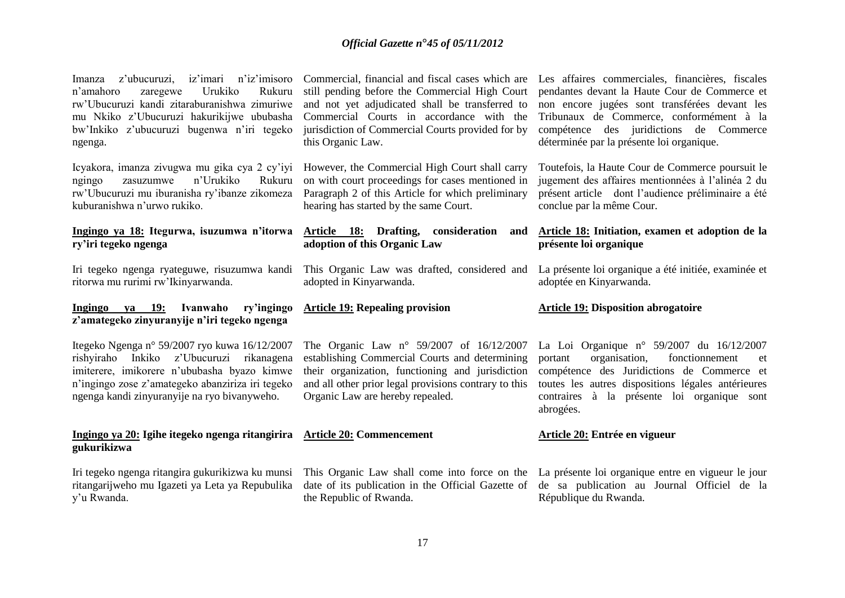Imanza z'ubucuruzi, iz'imari n'iz'imisoro n'amahoro zaregewe Urukiko Rukuru rw'Ubucuruzi kandi zitaraburanishwa zimuriwe mu Nkiko z'Ubucuruzi hakurikijwe ububasha bw'Inkiko z'ubucuruzi bugenwa n'iri tegeko ngenga.

Icyakora, imanza zivugwa mu gika cya 2 cy'iyi ngingo zasuzumwe n'Urukiko Rukuru rw'Ubucuruzi mu iburanisha ry'ibanze zikomeza kuburanishwa n'urwo rukiko.

#### **Ingingo ya 18: Itegurwa, isuzumwa n'itorwa ry'iri tegeko ngenga**

Iri tegeko ngenga ryateguwe, risuzumwa kandi ritorwa mu rurimi rw'Ikinyarwanda.

#### **Ingingo ya 19: Ivanwaho ry'ingingo z'amategeko zinyuranyije n'iri tegeko ngenga**

Itegeko Ngenga n° 59/2007 ryo kuwa 16/12/2007 rishyiraho Inkiko z'Ubucuruzi rikanagena imiterere, imikorere n'ububasha byazo kimwe n'ingingo zose z'amategeko abanziriza iri tegeko ngenga kandi zinyuranyije na ryo bivanyweho.

#### **Ingingo ya 20: Igihe itegeko ngenga ritangirira Article 20: Commencement gukurikizwa**

Iri tegeko ngenga ritangira gukurikizwa ku munsi ritangarijweho mu Igazeti ya Leta ya Repubulika y'u Rwanda.

still pending before the Commercial High Court and not yet adjudicated shall be transferred to Commercial Courts in accordance with the jurisdiction of Commercial Courts provided for by this Organic Law.

However, the Commercial High Court shall carry on with court proceedings for cases mentioned in Paragraph 2 of this Article for which preliminary hearing has started by the same Court.

#### **Article 18: Drafting, consideration and adoption of this Organic Law**

This Organic Law was drafted, considered and adopted in Kinyarwanda.

# **Article 19: Repealing provision**

The Organic Law n° 59/2007 of 16/12/2007 establishing Commercial Courts and determining their organization, functioning and jurisdiction and all other prior legal provisions contrary to this Organic Law are hereby repealed.

the Republic of Rwanda.

Commercial, financial and fiscal cases which are Les affaires commerciales, financières, fiscales pendantes devant la Haute Cour de Commerce et non encore jugées sont transférées devant les Tribunaux de Commerce, conformément à la compétence des juridictions de Commerce déterminée par la présente loi organique.

> Toutefois, la Haute Cour de Commerce poursuit le jugement des affaires mentionnées à l'alinéa 2 du présent article dont l'audience préliminaire a été conclue par la même Cour.

#### **Article 18: Initiation, examen et adoption de la présente loi organique**

La présente loi organique a été initiée, examinée et adoptée en Kinyarwanda.

#### **Article 19: Disposition abrogatoire**

La Loi Organique n° 59/2007 du 16/12/2007 portant organisation, fonctionnement et compétence des Juridictions de Commerce et toutes les autres dispositions légales antérieures contraires à la présente loi organique sont abrogées.

#### **Article 20: Entrée en vigueur**

This Organic Law shall come into force on the La présente loi organique entre en vigueur le jour date of its publication in the Official Gazette of de sa publication au Journal Officiel de la République du Rwanda.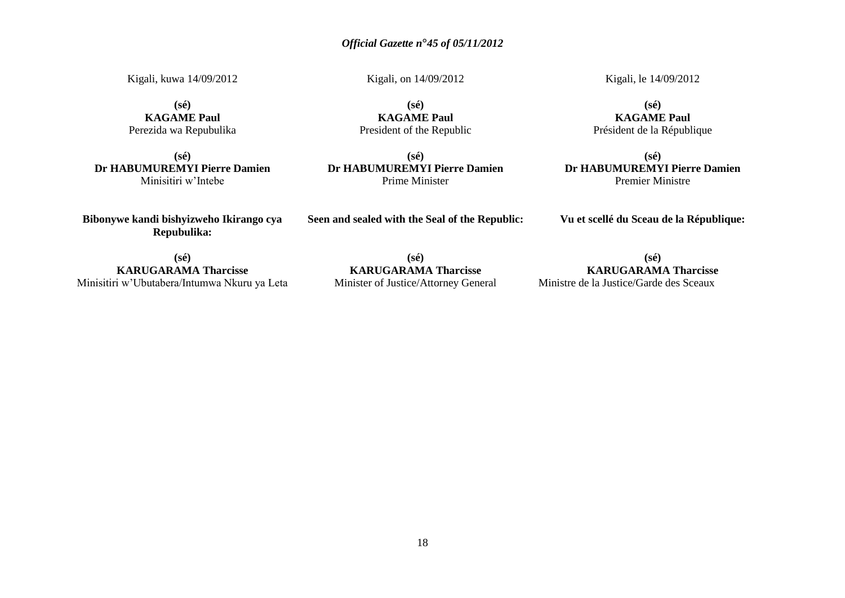Kigali, kuwa 14/09/2012 Kigali, on 14/09/2012 Kigali, le 14/09/2012

**(sé)**

**(sé) KAGAME Paul** Perezida wa Repubulika

**(sé) Dr HABUMUREMYI Pierre Damien** Minisitiri w'Intebe

**KAGAME Paul** President of the Republic

**(sé) Dr HABUMUREMYI Pierre Damien** Prime Minister

**(sé) KAGAME Paul** Président de la République

**(sé) Dr HABUMUREMYI Pierre Damien** Premier Ministre

**Bibonywe kandi bishyizweho Ikirango cya Repubulika:**

**Seen and sealed with the Seal of the Republic:**

**Vu et scellé du Sceau de la République:**

**(sé) KARUGARAMA Tharcisse** Minisitiri w'Ubutabera/Intumwa Nkuru ya Leta

**(sé) KARUGARAMA Tharcisse** Minister of Justice/Attorney General

**(sé) KARUGARAMA Tharcisse** Ministre de la Justice/Garde des Sceaux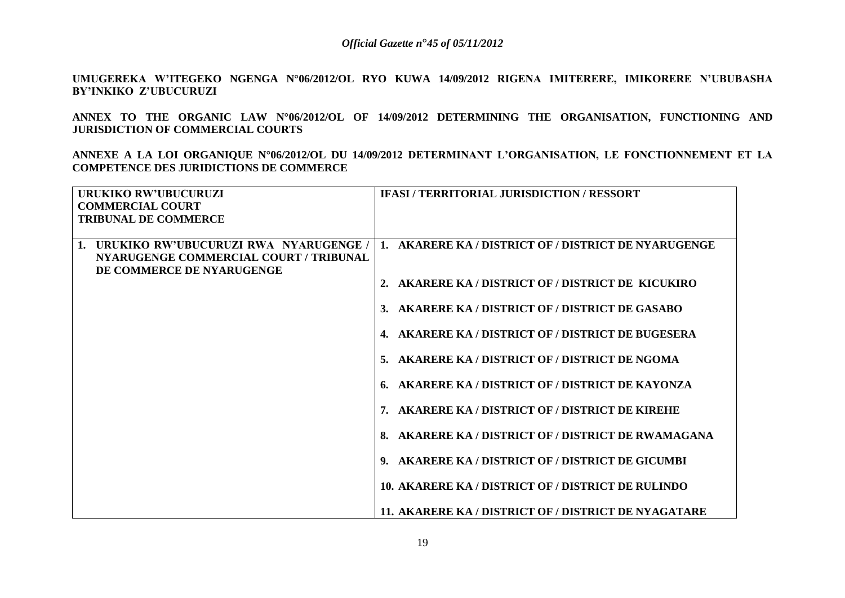**UMUGEREKA W'ITEGEKO NGENGA N°06/2012/OL RYO KUWA 14/09/2012 RIGENA IMITERERE, IMIKORERE N'UBUBASHA BY'INKIKO Z'UBUCURUZI** 

**ANNEX TO THE ORGANIC LAW N°06/2012/OL OF 14/09/2012 DETERMINING THE ORGANISATION, FUNCTIONING AND JURISDICTION OF COMMERCIAL COURTS** 

**ANNEXE A LA LOI ORGANIQUE N°06/2012/OL DU 14/09/2012 DETERMINANT L'ORGANISATION, LE FONCTIONNEMENT ET LA COMPETENCE DES JURIDICTIONS DE COMMERCE**

| URUKIKO RW'UBUCURUZI                                                                                                           | <b>IFASI / TERRITORIAL JURISDICTION / RESSORT</b>    |
|--------------------------------------------------------------------------------------------------------------------------------|------------------------------------------------------|
| <b>COMMERCIAL COURT</b><br><b>TRIBUNAL DE COMMERCE</b>                                                                         |                                                      |
|                                                                                                                                |                                                      |
| $\mathbf{1}$ .<br>URUKIKO RW'UBUCURUZI RWA NYARUGENGE /<br>NYARUGENGE COMMERCIAL COURT / TRIBUNAL<br>DE COMMERCE DE NYARUGENGE | 1. AKARERE KA / DISTRICT OF / DISTRICT DE NYARUGENGE |
|                                                                                                                                | 2. AKARERE KA / DISTRICT OF / DISTRICT DE KICUKIRO   |
|                                                                                                                                | 3. AKARERE KA / DISTRICT OF / DISTRICT DE GASABO     |
|                                                                                                                                | 4. AKARERE KA / DISTRICT OF / DISTRICT DE BUGESERA   |
|                                                                                                                                | 5. AKARERE KA / DISTRICT OF / DISTRICT DE NGOMA      |
|                                                                                                                                | 6. AKARERE KA / DISTRICT OF / DISTRICT DE KAYONZA    |
|                                                                                                                                | 7. AKARERE KA / DISTRICT OF / DISTRICT DE KIREHE     |
|                                                                                                                                | 8. AKARERE KA / DISTRICT OF / DISTRICT DE RWAMAGANA  |
|                                                                                                                                | 9. AKARERE KA / DISTRICT OF / DISTRICT DE GICUMBI    |
|                                                                                                                                | 10. AKARERE KA / DISTRICT OF / DISTRICT DE RULINDO   |
|                                                                                                                                | 11. AKARERE KA / DISTRICT OF / DISTRICT DE NYAGATARE |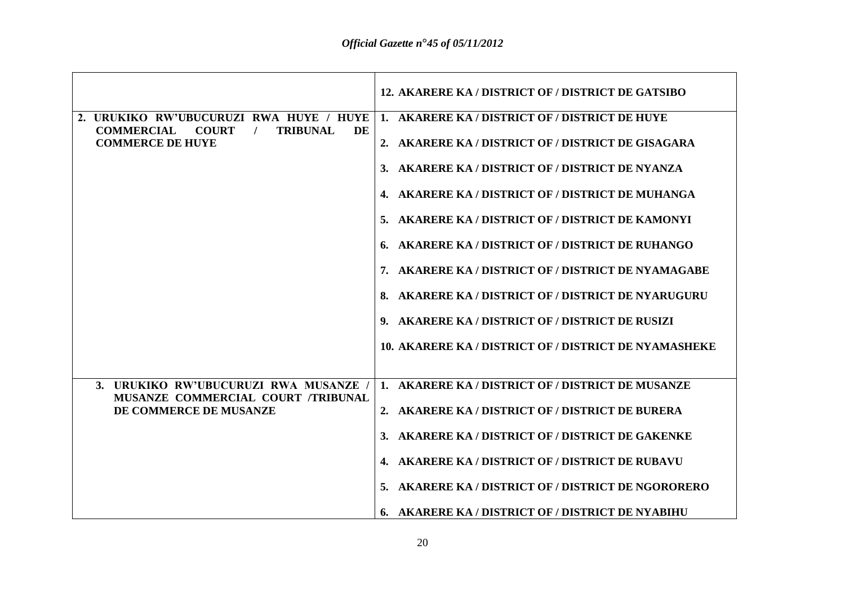|                                                                                                                                  | 12. AKARERE KA / DISTRICT OF / DISTRICT DE GATSIBO    |
|----------------------------------------------------------------------------------------------------------------------------------|-------------------------------------------------------|
| 2. URUKIKO RW'UBUCURUZI RWA HUYE / HUYE<br><b>COMMERCIAL</b><br><b>COURT</b><br><b>TRIBUNAL</b><br>DE<br><b>COMMERCE DE HUYE</b> | 1. AKARERE KA / DISTRICT OF / DISTRICT DE HUYE        |
|                                                                                                                                  | 2. AKARERE KA / DISTRICT OF / DISTRICT DE GISAGARA    |
|                                                                                                                                  | AKARERE KA / DISTRICT OF / DISTRICT DE NYANZA         |
|                                                                                                                                  | AKARERE KA / DISTRICT OF / DISTRICT DE MUHANGA        |
|                                                                                                                                  | 5. AKARERE KA / DISTRICT OF / DISTRICT DE KAMONYI     |
|                                                                                                                                  | 6. AKARERE KA / DISTRICT OF / DISTRICT DE RUHANGO     |
|                                                                                                                                  | 7. AKARERE KA / DISTRICT OF / DISTRICT DE NYAMAGABE   |
|                                                                                                                                  | 8. AKARERE KA / DISTRICT OF / DISTRICT DE NYARUGURU   |
|                                                                                                                                  | 9. AKARERE KA / DISTRICT OF / DISTRICT DE RUSIZI      |
|                                                                                                                                  | 10. AKARERE KA / DISTRICT OF / DISTRICT DE NYAMASHEKE |
|                                                                                                                                  |                                                       |
| 3. URUKIKO RW'UBUCURUZI RWA MUSANZE<br>MUSANZE COMMERCIAL COURT /TRIBUNAL                                                        | 1. AKARERE KA / DISTRICT OF / DISTRICT DE MUSANZE     |
| DE COMMERCE DE MUSANZE                                                                                                           | 2. AKARERE KA / DISTRICT OF / DISTRICT DE BURERA      |
|                                                                                                                                  | 3. AKARERE KA / DISTRICT OF / DISTRICT DE GAKENKE     |
|                                                                                                                                  | 4. AKARERE KA / DISTRICT OF / DISTRICT DE RUBAVU      |
|                                                                                                                                  | 5. AKARERE KA / DISTRICT OF / DISTRICT DE NGORORERO   |
|                                                                                                                                  | 6. AKARERE KA / DISTRICT OF / DISTRICT DE NYABIHU     |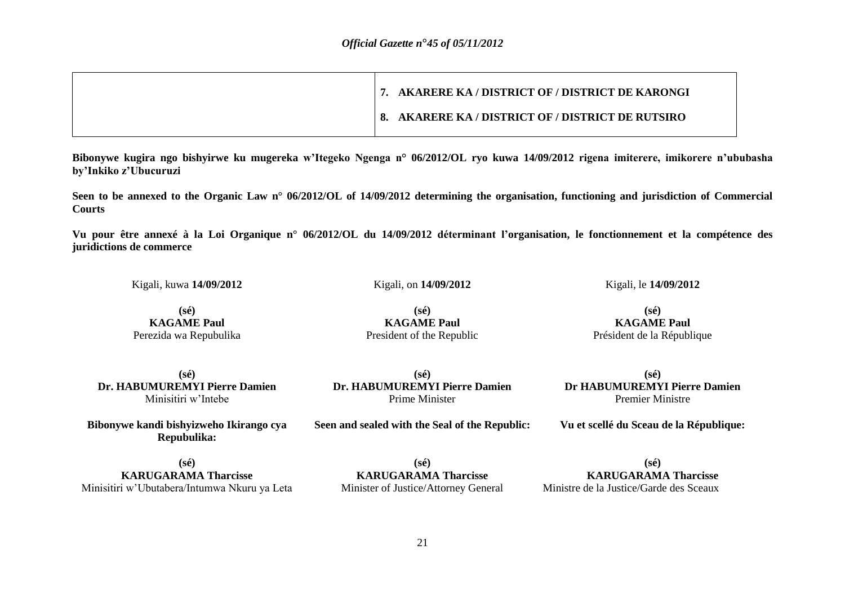|  | 7. AKARERE KA / DISTRICT OF / DISTRICT DE KARONGI |
|--|---------------------------------------------------|
|  | 8. AKARERE KA / DISTRICT OF / DISTRICT DE RUTSIRO |

**Bibonywe kugira ngo bishyirwe ku mugereka w'Itegeko Ngenga n° 06/2012/OL ryo kuwa 14/09/2012 rigena imiterere, imikorere n'ububasha by'Inkiko z'Ubucuruzi** 

**Seen to be annexed to the Organic Law n° 06/2012/OL of 14/09/2012 determining the organisation, functioning and jurisdiction of Commercial Courts** 

**Vu pour être annexé à la Loi Organique n° 06/2012/OL du 14/09/2012 déterminant l'organisation, le fonctionnement et la compétence des juridictions de commerce**

Kigali, kuwa **14/09/2012** Kigali, on **14/09/2012** Kigali, le **14/09/2012**

**(sé) KAGAME Paul** Perezida wa Repubulika

**(sé) KAGAME Paul** President of the Republic

**(sé) KAGAME Paul** Président de la République

**(sé) Dr. HABUMUREMYI Pierre Damien** Minisitiri w'Intebe

**Bibonywe kandi bishyizweho Ikirango cya Repubulika:**

**(sé) Dr. HABUMUREMYI Pierre Damien** Prime Minister

**Seen and sealed with the Seal of the Republic:**

**(sé) Dr HABUMUREMYI Pierre Damien** Premier Ministre

**Vu et scellé du Sceau de la République:**

**(sé) KARUGARAMA Tharcisse** Minisitiri w'Ubutabera/Intumwa Nkuru ya Leta

**(sé) KARUGARAMA Tharcisse** Minister of Justice/Attorney General

**(sé) KARUGARAMA Tharcisse** Ministre de la Justice/Garde des Sceaux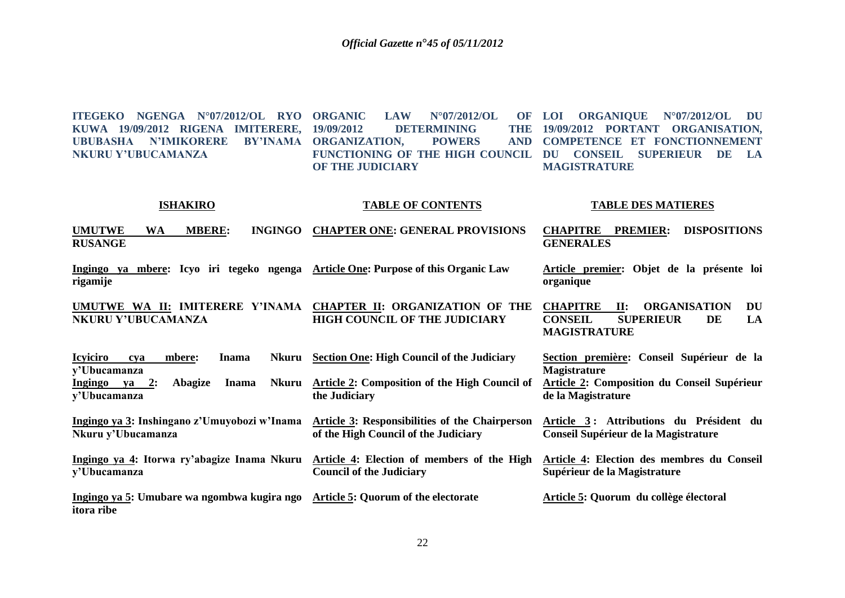**ITEGEKO NGENGA N°07/2012/OL RYO KUWA 19/09/2012 RIGENA IMITERERE, UBUBASHA N'IMIKORERE BY'INAMA ORGANIZATION, POWERS AND NKURU Y'UBUCAMANZA LAW N°07/2012/OL DETERMINING FUNCTIONING OF THE HIGH COUNCIL DU CONSEIL SUPERIEUR DE LA OF THE JUDICIARY LOI ORGANIQUE N°07/2012/OL DU**  THE 19/09/2012 PORTANT ORGANISATION, **COMPETENCE ET FONCTIONNEMENT MAGISTRATURE**

#### **ISHAKIRO TABLE OF CONTENTS TABLE DES MATIERES**

**UMUTWE WA MBERE: INGINGO CHAPTER ONE: GENERAL PROVISIONS RUSANGE CHAPITRE PREMIER: DISPOSITIONS GENERALES** 

**Ingingo ya mbere: Icyo iri tegeko ngenga Article One: Purpose of this Organic Law rigamije Article premier: Objet de la présente loi organique** 

**UMUTWE WA II: IMITERERE Y'INAMA CHAPTER II: ORGANIZATION OF THE NKURU Y'UBUCAMANZA HIGH COUNCIL OF THE JUDICIARY CHAPITRE II: ORGANISATION DU CONSEIL SUPERIEUR DE LA MAGISTRATURE**

| <b>Icyiciro</b> | cva | mbere:         | <b>Inama</b> | Nkuru Section One: High Council of the Judiciary                                                | Section première: Conseil Supérieur de la |
|-----------------|-----|----------------|--------------|-------------------------------------------------------------------------------------------------|-------------------------------------------|
| y'Ubucamanza    |     |                |              |                                                                                                 | <b>Magistrature</b>                       |
| Ingingo ya      | 2:  | <b>Abagize</b> | <b>Inama</b> | Nkuru Article 2: Composition of the High Council of Article 2: Composition du Conseil Supérieur |                                           |
| y'Ubucamanza    |     |                |              | the Judiciary                                                                                   | de la Magistrature                        |
|                 |     |                |              |                                                                                                 |                                           |

**Ingingo ya 3: Inshingano z'Umuyobozi w'Inama Article 3: Responsibilities of the Chairperson Nkuru y'Ubucamanza of the High Council of the Judiciary Article 3 : Attributions du Président du Conseil Supérieur de la Magistrature**

**Ingingo ya 4: Itorwa ry'abagize Inama Nkuru Article 4: Election of members of the High y'Ubucamanza Council of the Judiciary Article 4: Election des membres du Conseil Supérieur de la Magistrature**

**Ingingo ya 5: Umubare wa ngombwa kugira ngo Article 5: Quorum of the electorate itora ribe Article 5: Quorum du collège électoral**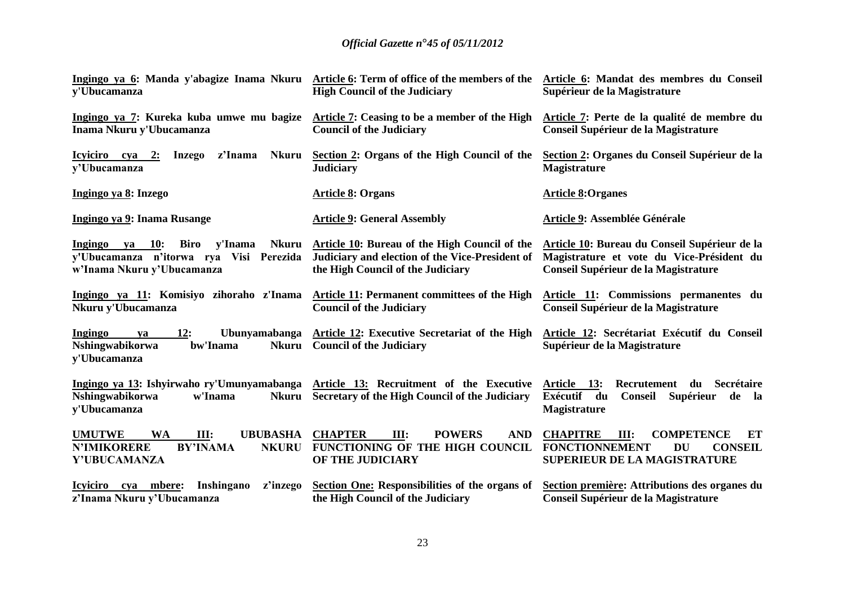| Ingingo ya 6: Manda y'abagize Inama Nkuru<br>y'Ubucamanza                                                                                                            | Article 6: Term of office of the members of the<br><b>High Council of the Judiciary</b>                                                      | Article 6: Mandat des membres du Conseil<br>Supérieur de la Magistrature                                                                   |
|----------------------------------------------------------------------------------------------------------------------------------------------------------------------|----------------------------------------------------------------------------------------------------------------------------------------------|--------------------------------------------------------------------------------------------------------------------------------------------|
| Ingingo ya 7: Kureka kuba umwe mu bagize<br>Inama Nkuru y'Ubucamanza                                                                                                 | Article 7: Ceasing to be a member of the High<br><b>Council of the Judiciary</b>                                                             | Article 7: Perte de la qualité de membre du<br>Conseil Supérieur de la Magistrature                                                        |
| <b>Nkuru</b><br>Icyiciro cya 2:<br>Inzego<br>z'Inama<br>y'Ubucamanza                                                                                                 | Section 2: Organs of the High Council of the<br><b>Judiciary</b>                                                                             | Section 2: Organes du Conseil Supérieur de la<br><b>Magistrature</b>                                                                       |
| Ingingo ya 8: Inzego                                                                                                                                                 | <b>Article 8: Organs</b>                                                                                                                     | <b>Article 8:Organes</b>                                                                                                                   |
| Ingingo ya 9: Inama Rusange                                                                                                                                          | <b>Article 9: General Assembly</b>                                                                                                           | Article 9: Assemblée Générale                                                                                                              |
| y'Inama<br>Ingingo ya 10:<br>Biro<br><b>Nkuru</b><br>y'Ubucamanza n'itorwa rya Visi Perezida<br>w'Inama Nkuru y'Ubucamanza                                           | <b>Article 10: Bureau of the High Council of the</b><br>Judiciary and election of the Vice-President of<br>the High Council of the Judiciary | Article 10: Bureau du Conseil Supérieur de la<br>Magistrature et vote du Vice-Président du<br>Conseil Supérieur de la Magistrature         |
| Ingingo ya 11: Komisiyo zihoraho z'Inama<br>Nkuru y'Ubucamanza                                                                                                       | Article 11: Permanent committees of the High<br><b>Council of the Judiciary</b>                                                              | Article 11: Commissions permanentes du<br>Conseil Supérieur de la Magistrature                                                             |
| 12:<br>Ubunyamabanga<br>Ingingo<br>va<br>Nshingwabikorwa<br>bw'Inama<br><b>Nkuru</b><br>y'Ubucamanza                                                                 | Article 12: Executive Secretariat of the High<br><b>Council of the Judiciary</b>                                                             | Article 12: Secrétariat Exécutif du Conseil<br>Supérieur de la Magistrature                                                                |
| Ingingo ya 13: Ishyirwaho ry'Umunyamabanga Article 13: Recruitment of the Executive Article 13:<br><b>Nshingwabikorwa</b><br>w'Inama<br><b>Nkuru</b><br>y'Ubucamanza | Secretary of the High Council of the Judiciary                                                                                               | Recrutement<br>Secrétaire<br>du<br>Exécutif du<br><b>Conseil</b><br>Supérieur<br>de la<br>Magistrature                                     |
| <b>UMUTWE</b><br><b>UBUBASHA</b><br><b>WA</b><br>III:<br><b>N'IMIKORERE</b><br><b>BY'INAMA</b><br><b>NKURU</b><br>Y'UBUCAMANZA                                       | <b>CHAPTER</b><br><b>POWERS</b><br>III:<br><b>AND</b><br>FUNCTIONING OF THE HIGH COUNCIL<br>OF THE JUDICIARY                                 | <b>CHAPITRE</b><br><b>COMPETENCE</b><br>III:<br>ET<br><b>FONCTIONNEMENT</b><br><b>DU</b><br><b>CONSEIL</b><br>SUPERIEUR DE LA MAGISTRATURE |
| mbere:<br>Inshingano<br>Icyiciro cya<br>z'inzego<br>z'Inama Nkuru y'Ubucamanza                                                                                       | Section One: Responsibilities of the organs of<br>the High Council of the Judiciary                                                          | Section première: Attributions des organes du<br>Conseil Supérieur de la Magistrature                                                      |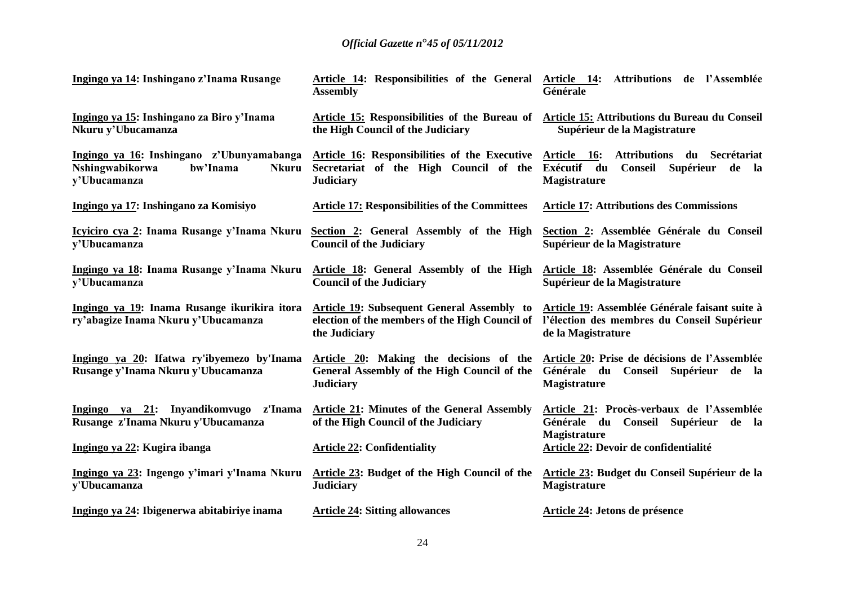| Ingingo ya 14: Inshingano z'Inama Rusange                                                                | <b>Assembly</b>                                                                                                                                                 | Article 14: Responsibilities of the General Article 14: Attributions de l'Assemblée<br>Générale                             |
|----------------------------------------------------------------------------------------------------------|-----------------------------------------------------------------------------------------------------------------------------------------------------------------|-----------------------------------------------------------------------------------------------------------------------------|
| Ingingo ya 15: Inshingano za Biro y'Inama<br>Nkuru y'Ubucamanza                                          | the High Council of the Judiciary                                                                                                                               | Article 15: Responsibilities of the Bureau of Article 15: Attributions du Bureau du Conseil<br>Supérieur de la Magistrature |
| Ingingo ya 16: Inshingano z'Ubunyamabanga<br>Nshingwabikorwa<br>bw'Inama<br><b>Nkuru</b><br>y'Ubucamanza | Article 16: Responsibilities of the Executive Article 16: Attributions du Secrétariat<br>Secretariat of the High Council of the Exécutif du<br><b>Judiciary</b> | Supérieur de la<br>Conseil<br><b>Magistrature</b>                                                                           |
| Ingingo ya 17: Inshingano za Komisiyo                                                                    | <b>Article 17: Responsibilities of the Committees</b>                                                                                                           | <b>Article 17: Attributions des Commissions</b>                                                                             |
| Icyiciro cya 2: Inama Rusange y'Inama Nkuru<br>v'Ubucamanza                                              | Section 2: General Assembly of the High<br><b>Council of the Judiciary</b>                                                                                      | Section 2: Assemblée Générale du Conseil<br>Supérieur de la Magistrature                                                    |
| Ingingo ya 18: Inama Rusange y'Inama Nkuru<br>v'Ubucamanza                                               | Article 18: General Assembly of the High<br><b>Council of the Judiciary</b>                                                                                     | Article 18: Assemblée Générale du Conseil<br>Supérieur de la Magistrature                                                   |
| Ingingo ya 19: Inama Rusange ikurikira itora<br>ry'abagize Inama Nkuru y'Ubucamanza                      | Article 19: Subsequent General Assembly to<br>election of the members of the High Council of<br>the Judiciary                                                   | Article 19: Assemblée Générale faisant suite à<br>l'élection des membres du Conseil Supérieur<br>de la Magistrature         |
| Ingingo ya 20: Ifatwa ry'ibyemezo by'Inama<br>Rusange y'Inama Nkuru y'Ubucamanza                         | Article 20: Making the decisions of the Article 20: Prise de décisions de l'Assemblée<br>General Assembly of the High Council of the<br><b>Judiciary</b>        | Générale du Conseil Supérieur de la<br><b>Magistrature</b>                                                                  |
| Ingingo ya 21: Inyandikomvugo z'Inama<br>Rusange z'Inama Nkuru y'Ubucamanza                              | <b>Article 21: Minutes of the General Assembly</b><br>of the High Council of the Judiciary                                                                      | Article 21: Procès-verbaux de l'Assemblée<br>Générale du Conseil Supérieur de la<br><b>Magistrature</b>                     |
| Ingingo ya 22: Kugira ibanga                                                                             | <b>Article 22: Confidentiality</b>                                                                                                                              | Article 22: Devoir de confidentialité                                                                                       |
| Ingingo ya 23: Ingengo y'imari y'Inama Nkuru<br>y'Ubucamanza                                             | Article 23: Budget of the High Council of the<br><b>Judiciary</b>                                                                                               | Article 23: Budget du Conseil Supérieur de la<br><b>Magistrature</b>                                                        |
| Ingingo ya 24: Ibigenerwa abitabiriye inama                                                              | <b>Article 24: Sitting allowances</b>                                                                                                                           | Article 24: Jetons de présence                                                                                              |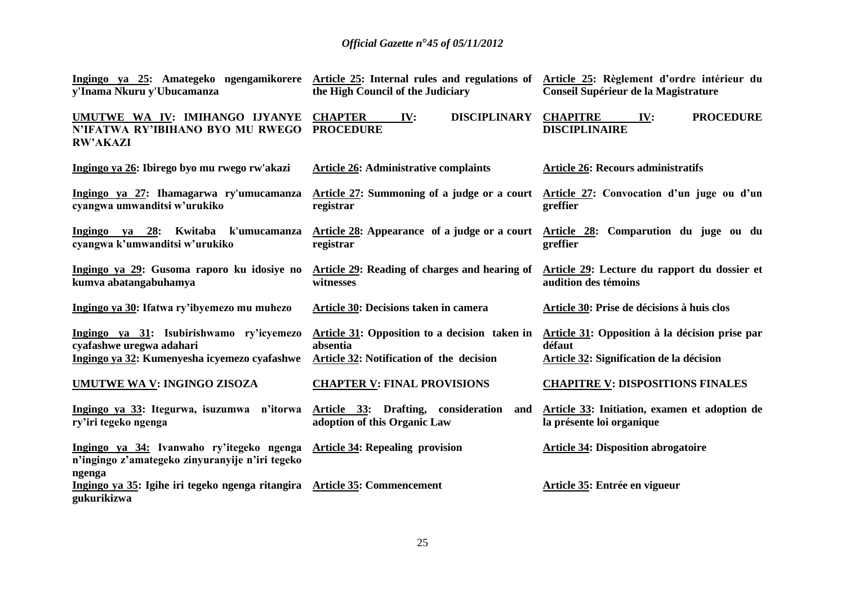| Ingingo ya 25: Amategeko ngengamikorere Article 25: Internal rules and regulations of Article 25: Règlement d'ordre intérieur du<br>y'Inama Nkuru y'Ubucamanza | the High Council of the Judiciary                                                                     | Conseil Supérieur de la Magistrature                                                                 |
|----------------------------------------------------------------------------------------------------------------------------------------------------------------|-------------------------------------------------------------------------------------------------------|------------------------------------------------------------------------------------------------------|
| UMUTWE WA IV: IMIHANGO IJYANYE<br>N'IFATWA RY'IBIHANO BYO MU RWEGO<br><b>RW'AKAZI</b>                                                                          | <b>CHAPTER</b><br><b>DISCIPLINARY</b><br>IV:<br><b>PROCEDURE</b>                                      | <b>CHAPITRE</b><br><b>PROCEDURE</b><br>IV:<br><b>DISCIPLINAIRE</b>                                   |
| Ingingo ya 26: Ibirego byo mu rwego rw'akazi                                                                                                                   | <b>Article 26: Administrative complaints</b>                                                          | <b>Article 26: Recours administratifs</b>                                                            |
| Ingingo ya 27: Ihamagarwa ry'umucamanza<br>cyangwa umwanditsi w'urukiko                                                                                        | Article 27: Summoning of a judge or a court<br>registrar                                              | Article 27: Convocation d'un juge ou d'un<br>greffier                                                |
| Ingingo ya 28: Kwitaba k'umucamanza<br>cyangwa k'umwanditsi w'urukiko                                                                                          | Article 28: Appearance of a judge or a court<br>registrar                                             | Article 28: Comparution du juge ou du<br>greffier                                                    |
| Ingingo ya 29: Gusoma raporo ku idosiye no<br>kumva abatangabuhamya                                                                                            | Article 29: Reading of charges and hearing of<br>witnesses                                            | Article 29: Lecture du rapport du dossier et<br>audition des témoins                                 |
| Ingingo ya 30: Ifatwa ry'ibyemezo mu muhezo                                                                                                                    | Article 30: Decisions taken in camera                                                                 | Article 30: Prise de décisions à huis clos                                                           |
| Ingingo ya 31: Isubirishwamo ry'icyemezo<br>cyafashwe uregwa adahari<br>Ingingo ya 32: Kumenyesha icyemezo cyafashwe                                           | Article 31: Opposition to a decision taken in<br>absentia<br>Article 32: Notification of the decision | Article 31: Opposition à la décision prise par<br>défaut<br>Article 32: Signification de la décision |
| <b>UMUTWE WA V: INGINGO ZISOZA</b>                                                                                                                             | <b>CHAPTER V: FINAL PROVISIONS</b>                                                                    | <b>CHAPITRE V: DISPOSITIONS FINALES</b>                                                              |
| Ingingo ya 33: Itegurwa, isuzumwa n'itorwa<br>ry'iri tegeko ngenga                                                                                             | Article 33: Drafting, consideration<br>and<br>adoption of this Organic Law                            | Article 33: Initiation, examen et adoption de<br>la présente loi organique                           |
| Ingingo ya 34: Ivanwaho ry'itegeko ngenga<br>n'ingingo z'amategeko zinyuranyije n'iri tegeko                                                                   | <b>Article 34: Repealing provision</b>                                                                | <b>Article 34: Disposition abrogatoire</b>                                                           |
| ngenga<br>Ingingo ya 35: Igihe iri tegeko ngenga ritangira Article 35: Commencement<br>gukurikizwa                                                             |                                                                                                       | Article 35: Entrée en vigueur                                                                        |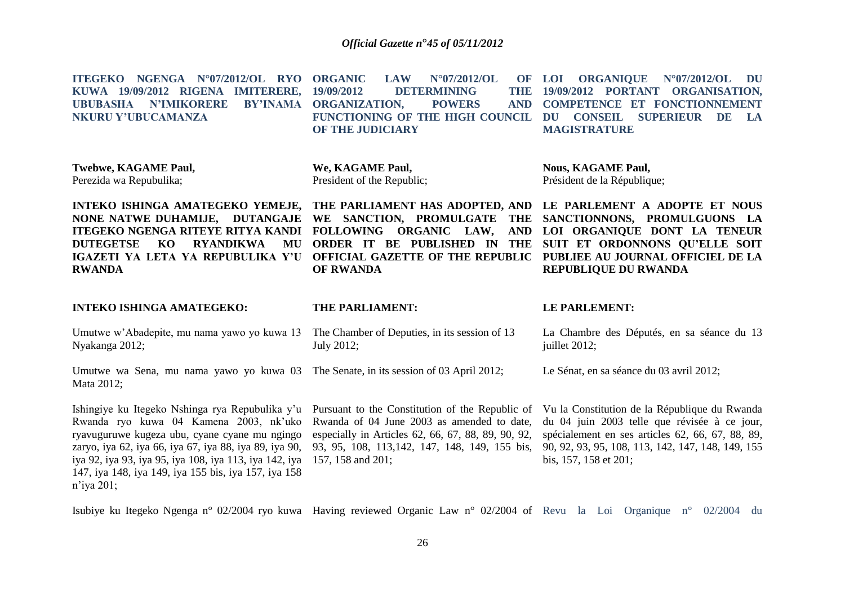| ITEGEKO NGENGA N°07/2012/OL RYO<br>KUWA 19/09/2012 RIGENA IMITERERE,<br><b>N'IMIKORERE</b><br><b>BY'INAMA</b><br><b>UBUBASHA</b><br>NKURU Y'UBUCAMANZA                                                                   | <b>ORGANIC</b><br><b>LAW</b><br>N°07/2012/OL<br>OF<br>19/09/2012<br>THE<br><b>DETERMINING</b><br><b>ORGANIZATION,</b><br><b>POWERS</b><br><b>AND</b><br>FUNCTIONING OF THE HIGH COUNCIL<br>OF THE JUDICIARY                               | <b>ORGANIQUE</b><br>$N^{\circ}07/2012/OL$<br>LOI<br>DU<br>19/09/2012 PORTANT ORGANISATION,<br><b>COMPETENCE ET FONCTIONNEMENT</b><br>DU<br><b>CONSEIL</b><br><b>SUPERIEUR</b><br><b>DE</b><br>LA<br><b>MAGISTRATURE</b> |  |  |
|--------------------------------------------------------------------------------------------------------------------------------------------------------------------------------------------------------------------------|-------------------------------------------------------------------------------------------------------------------------------------------------------------------------------------------------------------------------------------------|-------------------------------------------------------------------------------------------------------------------------------------------------------------------------------------------------------------------------|--|--|
| Twebwe, KAGAME Paul,<br>Perezida wa Repubulika;                                                                                                                                                                          | We, KAGAME Paul,<br>President of the Republic;                                                                                                                                                                                            | <b>Nous, KAGAME Paul,</b><br>Président de la République;                                                                                                                                                                |  |  |
| INTEKO ISHINGA AMATEGEKO YEMEJE,<br>NONE NATWE DUHAMIJE, DUTANGAJE<br><b>ITEGEKO NGENGA RITEYE RITYA KANDI</b><br><b>RYANDIKWA</b><br><b>DUTEGETSE</b><br>KO<br>MU<br>IGAZETI YA LETA YA REPUBULIKA Y'U<br><b>RWANDA</b> | THE PARLIAMENT HAS ADOPTED, AND LE PARLEMENT A ADOPTE ET NOUS<br>WE SANCTION, PROMULGATE<br><b>THE</b><br>FOLLOWING ORGANIC LAW,<br><b>AND</b><br>ORDER IT BE PUBLISHED IN<br>THE<br><b>OFFICIAL GAZETTE OF THE REPUBLIC</b><br>OF RWANDA | SANCTIONNONS, PROMULGUONS LA<br>LOI ORGANIQUE DONT LA TENEUR<br>SUIT ET ORDONNONS QU'ELLE SOIT<br>PUBLIEE AU JOURNAL OFFICIEL DE LA<br><b>REPUBLIQUE DU RWANDA</b>                                                      |  |  |
| <b>INTEKO ISHINGA AMATEGEKO:</b>                                                                                                                                                                                         | THE PARLIAMENT:                                                                                                                                                                                                                           | LE PARLEMENT:                                                                                                                                                                                                           |  |  |
| Umutwe w'Abadepite, mu nama yawo yo kuwa 13                                                                                                                                                                              | The Chamber of Deputies, in its session of 13                                                                                                                                                                                             | La Chambre des Députés, en sa séance du 13                                                                                                                                                                              |  |  |
| Nyakanga 2012;                                                                                                                                                                                                           | July 2012;                                                                                                                                                                                                                                | juillet 2012;                                                                                                                                                                                                           |  |  |
| Umutwe wa Sena, mu nama yawo yo kuwa 03 The Senate, in its session of 03 April 2012;<br>Mata 2012;                                                                                                                       |                                                                                                                                                                                                                                           | Le Sénat, en sa séance du 03 avril 2012;                                                                                                                                                                                |  |  |

Isubiye ku Itegeko Ngenga n° 02/2004 ryo kuwa Having reviewed Organic Law n° 02/2004 of Revu la Loi Organique n° 02/2004 du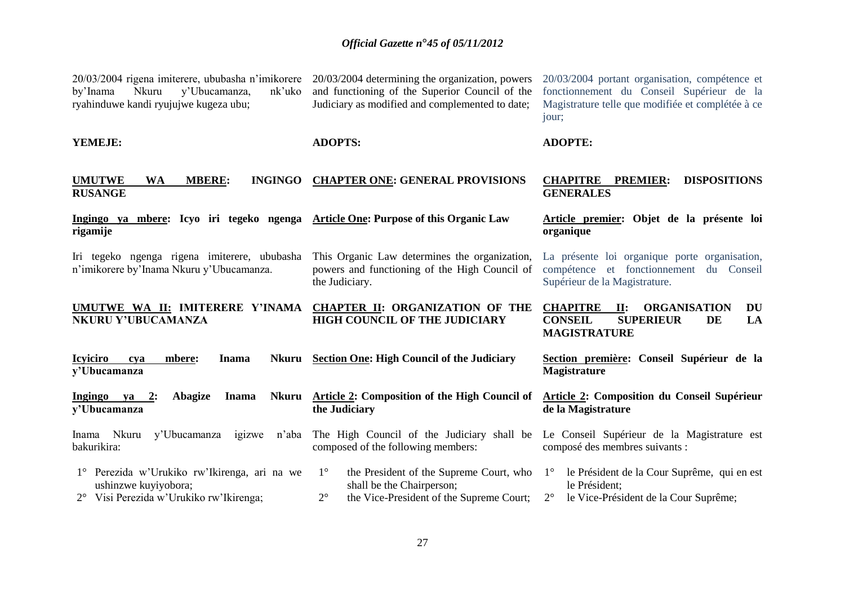| 20/03/2004 rigena imiterere, ububasha n'imikorere 20/03/2004 determining the organization, powers<br>Nkuru<br>y'Ubucamanza,<br>nk'uko<br>by'Inama<br>ryahinduwe kandi ryujujwe kugeza ubu; | and functioning of the Superior Council of the<br>Judiciary as modified and complemented to date;                                              | 20/03/2004 portant organisation, compétence et<br>fonctionnement du Conseil Supérieur de la<br>Magistrature telle que modifiée et complétée à ce<br>jour; |
|--------------------------------------------------------------------------------------------------------------------------------------------------------------------------------------------|------------------------------------------------------------------------------------------------------------------------------------------------|-----------------------------------------------------------------------------------------------------------------------------------------------------------|
| YEMEJE:                                                                                                                                                                                    | <b>ADOPTS:</b>                                                                                                                                 | <b>ADOPTE:</b>                                                                                                                                            |
| <b>UMUTWE</b><br><b>MBERE:</b><br><b>INGINGO</b><br><b>WA</b><br><b>RUSANGE</b>                                                                                                            | <b>CHAPTER ONE: GENERAL PROVISIONS</b>                                                                                                         | <b>CHAPITRE</b><br><b>PREMIER:</b><br><b>DISPOSITIONS</b><br><b>GENERALES</b>                                                                             |
| Ingingo ya mbere: Icyo iri tegeko ngenga<br>rigamije                                                                                                                                       | <b>Article One: Purpose of this Organic Law</b>                                                                                                | Article premier: Objet de la présente loi<br>organique                                                                                                    |
| Iri tegeko ngenga rigena imiterere, ububasha<br>n'imikorere by'Inama Nkuru y'Ubucamanza.                                                                                                   | This Organic Law determines the organization,<br>powers and functioning of the High Council of<br>the Judiciary.                               | La présente loi organique porte organisation,<br>compétence et fonctionnement du Conseil<br>Supérieur de la Magistrature.                                 |
| UMUTWE WA II: IMITERERE Y'INAMA<br>NKURU Y'UBUCAMANZA                                                                                                                                      | CHAPTER II: ORGANIZATION OF THE<br><b>HIGH COUNCIL OF THE JUDICIARY</b>                                                                        | <b>CHAPITRE</b><br><b>ORGANISATION</b><br>$\mathbf{II}$ :<br>DU<br><b>CONSEIL</b><br><b>SUPERIEUR</b><br>LA<br>DE<br><b>MAGISTRATURE</b>                  |
| <b>Icyiciro</b><br><b>Inama</b><br>Nkuru<br>mbere:<br>cva<br>y'Ubucamanza                                                                                                                  | <b>Section One: High Council of the Judiciary</b>                                                                                              | Section première: Conseil Supérieur de la<br><b>Magistrature</b>                                                                                          |
| Ingingo ya $2$ :<br><b>Abagize</b><br><b>Inama</b><br>Nkuru<br>y'Ubucamanza                                                                                                                | <b>Article 2: Composition of the High Council of</b><br>the Judiciary                                                                          | Article 2: Composition du Conseil Supérieur<br>de la Magistrature                                                                                         |
| Nkuru<br>y'Ubucamanza<br>n'aba<br>igizwe<br>Inama<br>bakurikira:                                                                                                                           | The High Council of the Judiciary shall be<br>composed of the following members:                                                               | Le Conseil Supérieur de la Magistrature est<br>composé des membres suivants :                                                                             |
| 1° Perezida w'Urukiko rw'Ikirenga, ari na we<br>ushinzwe kuyiyobora;<br>2° Visi Perezida w'Urukiko rw'Ikirenga;                                                                            | $1^{\circ}$<br>the President of the Supreme Court, who<br>shall be the Chairperson;<br>$2^{\circ}$<br>the Vice-President of the Supreme Court; | le Président de la Cour Suprême, qui en est<br>$1^{\circ}$<br>le Président;<br>$2^{\circ}$<br>le Vice-Président de la Cour Suprême;                       |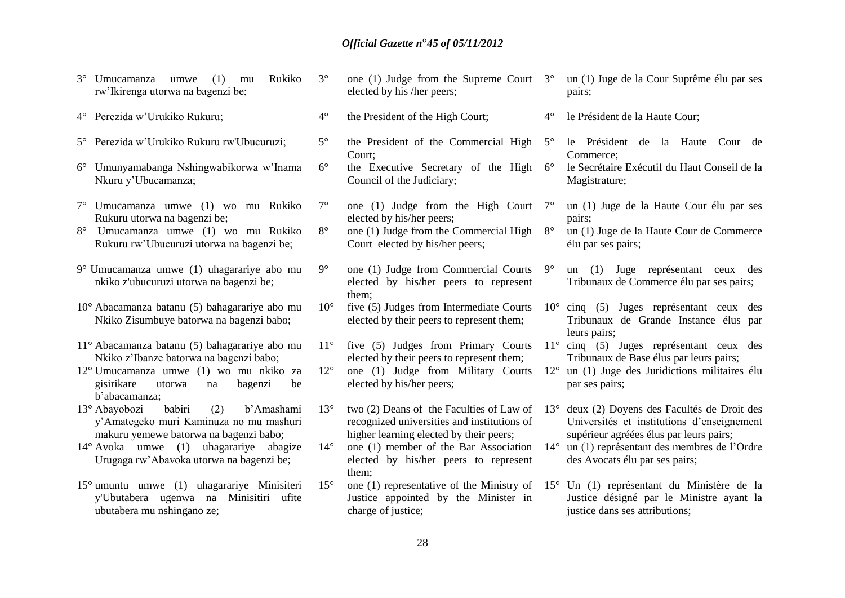| $3^\circ$   | Rukiko<br>Umucamanza<br>(1)<br>umwe<br>mu<br>rw'Ikirenga utorwa na bagenzi be;                                                    | $3^\circ$    | one (1) Judge from the Supreme Court $3^{\circ}$<br>elected by his /her peers;                                                     |              | un (1) Juge de la Cour Suprême élu par ses<br>pairs;                                                                               |
|-------------|-----------------------------------------------------------------------------------------------------------------------------------|--------------|------------------------------------------------------------------------------------------------------------------------------------|--------------|------------------------------------------------------------------------------------------------------------------------------------|
|             | 4° Perezida w'Urukiko Rukuru;                                                                                                     | $4^{\circ}$  | the President of the High Court;                                                                                                   | $4^{\circ}$  | le Président de la Haute Cour;                                                                                                     |
|             | 5° Perezida w'Urukiko Rukuru rw'Ubucuruzi;                                                                                        | $5^{\circ}$  | the President of the Commercial High<br>Court:                                                                                     | $5^\circ$    | le Président de la Haute Cour de<br>Commerce;                                                                                      |
| $6^{\circ}$ | Umunyamabanga Nshingwabikorwa w'Inama<br>Nkuru y'Ubucamanza;                                                                      | $6^{\circ}$  | the Executive Secretary of the High<br>Council of the Judiciary;                                                                   | $6^{\circ}$  | le Secrétaire Exécutif du Haut Conseil de la<br>Magistrature;                                                                      |
|             | Umucamanza umwe (1) wo mu Rukiko<br>Rukuru utorwa na bagenzi be;                                                                  | $7^\circ$    | one (1) Judge from the High Court $7^{\circ}$<br>elected by his/her peers;                                                         |              | un (1) Juge de la Haute Cour élu par ses<br>pairs;                                                                                 |
| $8^{\circ}$ | Umucamanza umwe (1) wo mu Rukiko<br>Rukuru rw'Ubucuruzi utorwa na bagenzi be;                                                     | $8^{\circ}$  | one (1) Judge from the Commercial High<br>Court elected by his/her peers;                                                          | $8^{\circ}$  | un (1) Juge de la Haute Cour de Commerce<br>élu par ses pairs;                                                                     |
|             | 9° Umucamanza umwe (1) uhagarariye abo mu<br>nkiko z'ubucuruzi utorwa na bagenzi be;                                              | $9^{\circ}$  | one (1) Judge from Commercial Courts<br>elected by his/her peers to represent<br>them;                                             | $9^{\circ}$  | Juge représentant ceux des<br>(1)<br>un<br>Tribunaux de Commerce élu par ses pairs;                                                |
|             | 10° Abacamanza batanu (5) bahagarariye abo mu<br>Nkiko Zisumbuye batorwa na bagenzi babo;                                         | $10^{\circ}$ | five (5) Judges from Intermediate Courts<br>elected by their peers to represent them;                                              |              | $10^{\circ}$ cinq (5) Juges représentant ceux des<br>Tribunaux de Grande Instance élus par<br>leurs pairs;                         |
|             | 11° Abacamanza batanu (5) bahagarariye abo mu<br>Nkiko z'Ibanze batorwa na bagenzi babo;                                          | $11^{\circ}$ | five (5) Judges from Primary Courts<br>elected by their peers to represent them;                                                   |              | $11^{\circ}$ cinq (5) Juges représentant ceux des<br>Tribunaux de Base élus par leurs pairs;                                       |
|             | 12° Umucamanza umwe (1) wo mu nkiko za<br>gisirikare<br>utorwa<br>be<br>bagenzi<br>na<br>b'abacamanza;                            | $12^{\circ}$ | one (1) Judge from Military Courts<br>elected by his/her peers;                                                                    | $12^{\circ}$ | un (1) Juge des Juridictions militaires élu<br>par ses pairs;                                                                      |
|             | babiri<br>13° Abayobozi<br>(2)<br>b'Amashami<br>y'Amategeko muri Kaminuza no mu mashuri<br>makuru yemewe batorwa na bagenzi babo; | $13^{\circ}$ | two (2) Deans of the Faculties of Law of<br>recognized universities and institutions of<br>higher learning elected by their peers; | $13^{\circ}$ | deux (2) Doyens des Facultés de Droit des<br>Universités et institutions d'enseignement<br>supérieur agréées élus par leurs pairs; |
|             | 14° Avoka umwe (1) uhagarariye abagize<br>Urugaga rw'Abavoka utorwa na bagenzi be;                                                | $14^{\circ}$ | one (1) member of the Bar Association<br>elected by his/her peers to represent<br>them;                                            | $14^{\circ}$ | un (1) représentant des membres de l'Ordre<br>des Avocats élu par ses pairs;                                                       |
|             | $15^{\circ}$ umuntu umwe $(1)$ uhagarariye Minisiteri<br>y'Ubutabera ugenwa na Minisitiri ufite<br>ubutabera mu nshingano ze;     | $15^{\circ}$ | one (1) representative of the Ministry of<br>Justice appointed by the Minister in<br>charge of justice;                            |              | 15° Un (1) représentant du Ministère de la<br>Justice désigné par le Ministre ayant la<br>justice dans ses attributions;           |
|             |                                                                                                                                   |              |                                                                                                                                    |              |                                                                                                                                    |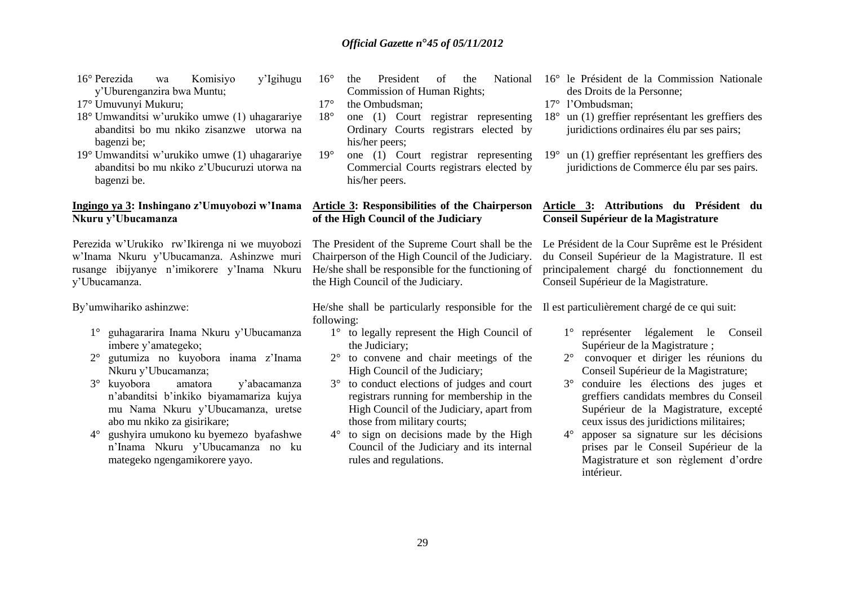- 16° Perezida wa Komisiyo y'Igihugu y'Uburenganzira bwa Muntu;
- 17° Umuvunyi Mukuru;
- 18° Umwanditsi w'urukiko umwe (1) uhagarariye abanditsi bo mu nkiko zisanzwe utorwa na bagenzi be;
- 19° Umwanditsi w'urukiko umwe (1) uhagarariye abanditsi bo mu nkiko z'Ubucuruzi utorwa na bagenzi be.

#### **Ingingo ya 3: Inshingano z'Umuyobozi w'Inama Nkuru y'Ubucamanza**

Perezida w'Urukiko rw'Ikirenga ni we muyobozi w'Inama Nkuru y'Ubucamanza. Ashinzwe muri rusange ibijyanye n'imikorere y'Inama Nkuru y'Ubucamanza.

By'umwihariko ashinzwe:

- 1° guhagararira Inama Nkuru y'Ubucamanza imbere y'amategeko;
- 2° gutumiza no kuyobora inama z'Inama Nkuru y'Ubucamanza;
- 3° kuyobora amatora y'abacamanza n'abanditsi b'inkiko biyamamariza kujya mu Nama Nkuru y'Ubucamanza, uretse abo mu nkiko za gisirikare;
- 4° gushyira umukono ku byemezo byafashwe n'Inama Nkuru y'Ubucamanza no ku mategeko ngengamikorere yayo.
- $16^\circ$  the President of the Commission of Human Rights;
- 17<sup>°</sup> the Ombudsman:
- 18° one (1) Court registrar representing Ordinary Courts registrars elected by his/her peers;
- 19° one (1) Court registrar representing Commercial Courts registrars elected by his/her peers.

#### **Article 3: Responsibilities of the Chairperson of the High Council of the Judiciary**

The President of the Supreme Court shall be the Chairperson of the High Council of the Judiciary. He/she shall be responsible for the functioning of the High Council of the Judiciary.

He/she shall be particularly responsible for the Il est particulièrement chargé de ce qui suit: following:

- 1° to legally represent the High Council of the Judiciary;
- 2° to convene and chair meetings of the High Council of the Judiciary;
- 3° to conduct elections of judges and court registrars running for membership in the High Council of the Judiciary, apart from those from military courts;
- 4° to sign on decisions made by the High Council of the Judiciary and its internal rules and regulations.
- National 16° le Président de la Commission Nationale des Droits de la Personne;
	- 17° l'Ombudsman;
	- 18° un (1) greffier représentant les greffiers des juridictions ordinaires élu par ses pairs;
	- 19° un (1) greffier représentant les greffiers des juridictions de Commerce élu par ses pairs.

#### **Article 3: Attributions du Président du Conseil Supérieur de la Magistrature**

Le Président de la Cour Suprême est le Président du Conseil Supérieur de la Magistrature. Il est principalement chargé du fonctionnement du Conseil Supérieur de la Magistrature.

- 1° représenter légalement le Conseil Supérieur de la Magistrature ;
- 2° convoquer et diriger les réunions du Conseil Supérieur de la Magistrature;
- 3° conduire les élections des juges et greffiers candidats membres du Conseil Supérieur de la Magistrature, excepté ceux issus des juridictions militaires;
- 4° apposer sa signature sur les décisions prises par le Conseil Supérieur de la Magistrature et son règlement d'ordre intérieur.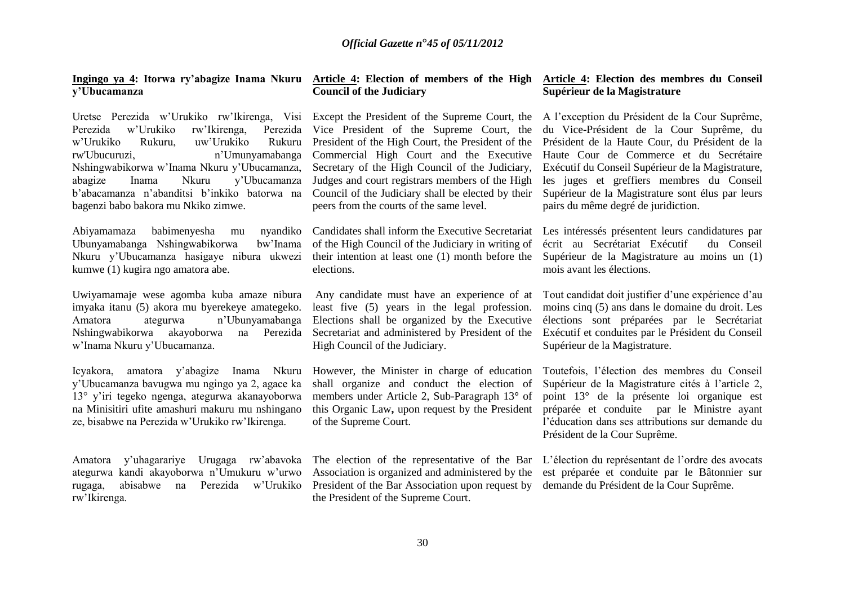## **y'Ubucamanza**

Uretse Perezida w'Urukiko rw'Ikirenga, Visi Except the President of the Supreme Court, the Al'exception du Président de la Cour Suprême, Perezida w'Urukiko rw'Ikirenga, w'Urukiko Rukuru, uw'Urukiko rw'Ubucuruzi, m<sup>'</sup>Umunyamabanga Nshingwabikorwa w'Inama Nkuru y'Ubucamanza, abagize Inama Nkuru y'Ubucamanza b'abacamanza n'abanditsi b'inkiko batorwa na Council of the Judiciary shall be elected by their bagenzi babo bakora mu Nkiko zimwe.

Abiyamamaza babimenyesha mu Ubunyamabanga Nshingwabikorwa bw'Inama Nkuru y'Ubucamanza hasigaye nibura ukwezi kumwe (1) kugira ngo amatora abe.

Uwiyamamaje wese agomba kuba amaze nibura imyaka itanu (5) akora mu byerekeye amategeko. Amatora ategurwa n'Ubunyamabanga Nshingwabikorwa akayoborwa na Perezida Secretariat and administered by President of the Exécutif et conduites par le Président du Conseil w'Inama Nkuru y'Ubucamanza.

Icyakora, amatora y'abagize Inama Nkuru However, the Minister in charge of education y'Ubucamanza bavugwa mu ngingo ya 2, agace ka 13° y'iri tegeko ngenga, ategurwa akanayoborwa na Minisitiri ufite amashuri makuru mu nshingano ze, bisabwe na Perezida w'Urukiko rw'Ikirenga.

Amatora y'uhagarariye Urugaga rw'abavoka ategurwa kandi akayoborwa n'Umukuru w'urwo rugaga, abisabwe na Perezida w'Urukiko President of the Bar Association upon request by demande du Président de la Cour Suprême.rw'Ikirenga.

#### **Ingingo ya 4: Itorwa ry'abagize Inama Nkuru Article 4: Election of members of the High Article 4: Election des membres du Conseil Council of the Judiciary**

Perezida Vice President of the Supreme Court, the Rukuru President of the High Court, the President of the Commercial High Court and the Executive Secretary of the High Council of the Judiciary, Judges and court registrars members of the High peers from the courts of the same level.

> of the High Council of the Judiciary in writing of their intention at least one (1) month before the elections.

least five (5) years in the legal profession. Elections shall be organized by the Executive High Council of the Judiciary.

shall organize and conduct the election of members under Article 2, Sub-Paragraph 13**°** of this Organic Law**,** upon request by the President of the Supreme Court.

The election of the representative of the Bar L'élection du représentant de l'ordre des avocats Association is organized and administered by the the President of the Supreme Court.

# **Supérieur de la Magistrature**

du Vice-Président de la Cour Suprême, du Président de la Haute Cour, du Président de la Haute Cour de Commerce et du Secrétaire Exécutif du Conseil Supérieur de la Magistrature, les juges et greffiers membres du Conseil Supérieur de la Magistrature sont élus par leurs pairs du même degré de juridiction.

Candidates shall inform the Executive Secretariat Les intéressés présentent leurs candidatures par écrit au Secrétariat Exécutif du Conseil Supérieur de la Magistrature au moins un (1) mois avant les élections.

Any candidate must have an experience of at Tout candidat doit justifier d'une expérience d'au moins cinq (5) ans dans le domaine du droit. Les élections sont préparées par le Secrétariat Supérieur de la Magistrature.

> Toutefois, l'élection des membres du Conseil Supérieur de la Magistrature cités à l'article 2, point 13° de la présente loi organique est préparée et conduite par le Ministre ayant l'éducation dans ses attributions sur demande du Président de la Cour Suprême.

> est préparée et conduite par le Bâtonnier sur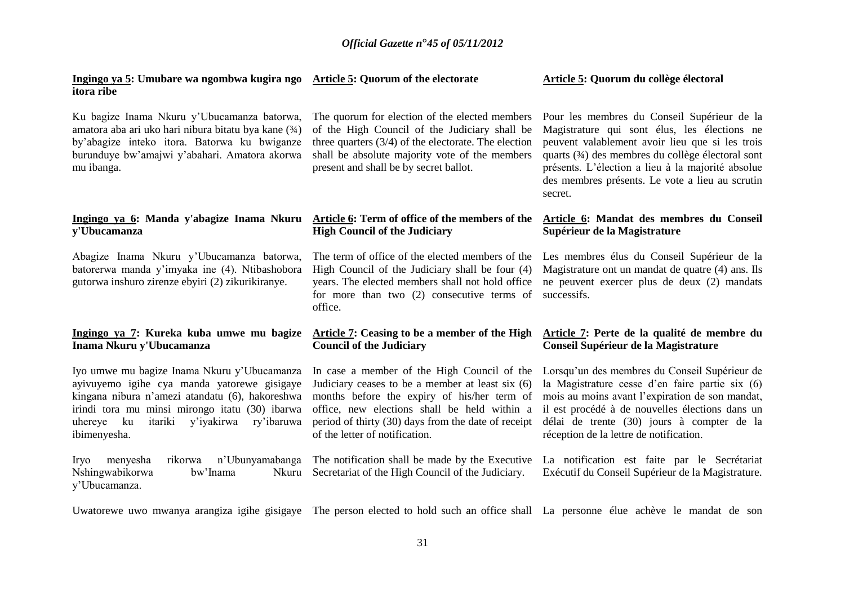| Ingingo ya 5: Umubare wa ngombwa kugira ngo Article 5: Quorum of the electorate<br>itora ribe                                                                                                                                                                        |                                                                                                                                                                                                                                                                                         | Article 5: Quorum du collège électoral                                                                                                                                                                                                                                                                                  |
|----------------------------------------------------------------------------------------------------------------------------------------------------------------------------------------------------------------------------------------------------------------------|-----------------------------------------------------------------------------------------------------------------------------------------------------------------------------------------------------------------------------------------------------------------------------------------|-------------------------------------------------------------------------------------------------------------------------------------------------------------------------------------------------------------------------------------------------------------------------------------------------------------------------|
| Ku bagize Inama Nkuru y'Ubucamanza batorwa,<br>amatora aba ari uko hari nibura bitatu bya kane (3/4)<br>by'abagize inteko itora. Batorwa ku bwiganze<br>burunduye bw'amajwi y'abahari. Amatora akorwa<br>mu ibanga.                                                  | The quorum for election of the elected members<br>of the High Council of the Judiciary shall be<br>three quarters $(3/4)$ of the electorate. The election<br>shall be absolute majority vote of the members<br>present and shall be by secret ballot.                                   | Pour les membres du Conseil Supérieur de la<br>Magistrature qui sont élus, les élections ne<br>peuvent valablement avoir lieu que si les trois<br>quarts (3/4) des membres du collège électoral sont<br>présents. L'élection a lieu à la majorité absolue<br>des membres présents. Le vote a lieu au scrutin<br>secret. |
| Ingingo ya 6: Manda y'abagize Inama Nkuru<br>y'Ubucamanza                                                                                                                                                                                                            | Article 6: Term of office of the members of the<br><b>High Council of the Judiciary</b>                                                                                                                                                                                                 | Article 6: Mandat des membres du Conseil<br>Supérieur de la Magistrature                                                                                                                                                                                                                                                |
| Abagize Inama Nkuru y'Ubucamanza batorwa,<br>batorerwa manda y'imyaka ine (4). Ntibashobora<br>gutorwa inshuro zirenze ebyiri (2) zikurikiranye.                                                                                                                     | The term of office of the elected members of the<br>High Council of the Judiciary shall be four (4)<br>years. The elected members shall not hold office<br>for more than two (2) consecutive terms of<br>office.                                                                        | Les membres élus du Conseil Supérieur de la<br>Magistrature ont un mandat de quatre (4) ans. Ils<br>ne peuvent exercer plus de deux (2) mandats<br>successifs.                                                                                                                                                          |
| Ingingo ya 7: Kureka kuba umwe mu bagize<br>Inama Nkuru y'Ubucamanza                                                                                                                                                                                                 | Article 7: Ceasing to be a member of the High<br><b>Council of the Judiciary</b>                                                                                                                                                                                                        | Article 7: Perte de la qualité de membre du<br>Conseil Supérieur de la Magistrature                                                                                                                                                                                                                                     |
| Iyo umwe mu bagize Inama Nkuru y'Ubucamanza<br>ayivuyemo igihe cya manda yatorewe gisigaye<br>kingana nibura n'amezi atandatu (6), hakoreshwa<br>irindi tora mu minsi mirongo itatu (30) ibarwa<br>y'iyakirwa<br>ry'ibaruwa<br>uhereye ku<br>itariki<br>ibimenyesha. | In case a member of the High Council of the<br>Judiciary ceases to be a member at least six (6)<br>months before the expiry of his/her term of<br>office, new elections shall be held within a<br>period of thirty (30) days from the date of receipt<br>of the letter of notification. | Lorsqu'un des membres du Conseil Supérieur de<br>la Magistrature cesse d'en faire partie six (6)<br>mois au moins avant l'expiration de son mandat,<br>il est procédé à de nouvelles élections dans un<br>délai de trente (30) jours à compter de la<br>réception de la lettre de notification.                         |
| n'Ubunyamabanga<br>menyesha<br>rikorwa<br><b>Iryo</b><br>Nshingwabikorwa<br>bw'Inama<br>Nkuru<br>y'Ubucamanza.                                                                                                                                                       | The notification shall be made by the Executive<br>Secretariat of the High Council of the Judiciary.                                                                                                                                                                                    | La notification est faite par le Secrétariat<br>Exécutif du Conseil Supérieur de la Magistrature.                                                                                                                                                                                                                       |

Uwatorewe uwo mwanya arangiza igihe gisigaye The person elected to hold such an office shall La personne élue achève le mandat de son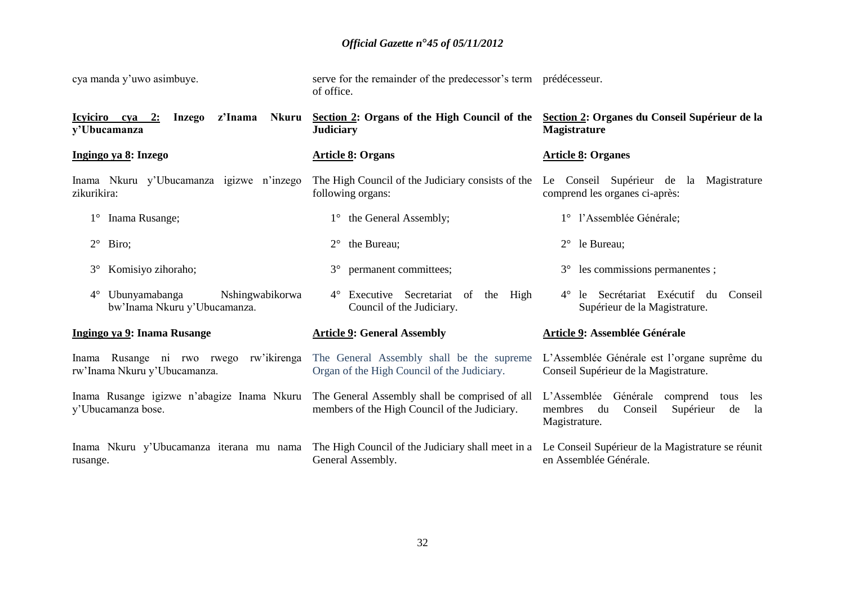| cya manda y'uwo asimbuye.                                                       | serve for the remainder of the predecessor's term prédécesseur.<br>of office.                                  |                                                                                                                       |
|---------------------------------------------------------------------------------|----------------------------------------------------------------------------------------------------------------|-----------------------------------------------------------------------------------------------------------------------|
| z'Inama<br>Icyiciro cya<br>Nkuru<br>2:<br><b>Inzego</b><br>y'Ubucamanza         | Section 2: Organs of the High Council of the<br><b>Judiciary</b>                                               | Section 2: Organes du Conseil Supérieur de la<br><b>Magistrature</b>                                                  |
| Ingingo ya 8: Inzego                                                            | <b>Article 8: Organs</b>                                                                                       | <b>Article 8: Organes</b>                                                                                             |
| Inama Nkuru y'Ubucamanza igizwe n'inzego<br>zikurikira:                         | The High Council of the Judiciary consists of the Le Conseil Superieur de la Magistrature<br>following organs: | comprend les organes ci-après:                                                                                        |
| Inama Rusange;                                                                  | 1° the General Assembly;                                                                                       | 1° l'Assemblée Générale;                                                                                              |
| $2^{\circ}$<br>Biro;                                                            | the Bureau;<br>$2^{\circ}$                                                                                     | $2^{\circ}$ le Bureau;                                                                                                |
| $3^\circ$<br>Komisiyo zihoraho;                                                 | permanent committees;<br>$3^{\circ}$                                                                           | $3^{\circ}$ les commissions permanentes ;                                                                             |
| Ubunyamabanga<br>Nshingwabikorwa<br>$4^{\circ}$<br>bw'Inama Nkuru y'Ubucamanza. | 4° Executive Secretariat of<br>the<br>High<br>Council of the Judiciary.                                        | le Secrétariat Exécutif du<br>$4^{\circ}$<br>Conseil<br>Supérieur de la Magistrature.                                 |
| Ingingo ya 9: Inama Rusange                                                     | <b>Article 9: General Assembly</b>                                                                             | Article 9: Assemblée Générale                                                                                         |
| Inama Rusange ni rwo rwego rw'ikirenga<br>rw'Inama Nkuru y'Ubucamanza.          | The General Assembly shall be the supreme<br>Organ of the High Council of the Judiciary.                       | L'Assemblée Générale est l'organe suprême du<br>Conseil Supérieur de la Magistrature.                                 |
| Inama Rusange igizwe n'abagize Inama Nkuru<br>y'Ubucamanza bose.                | The General Assembly shall be comprised of all<br>members of the High Council of the Judiciary.                | L'Assemblée Générale<br>comprend<br>tous<br>les<br>Conseil<br>Supérieur<br>membres<br>du<br>de<br>la<br>Magistrature. |
| Inama Nkuru y'Ubucamanza iterana mu nama<br>rusange.                            | The High Council of the Judiciary shall meet in a<br>General Assembly.                                         | Le Conseil Supérieur de la Magistrature se réunit<br>en Assemblée Générale.                                           |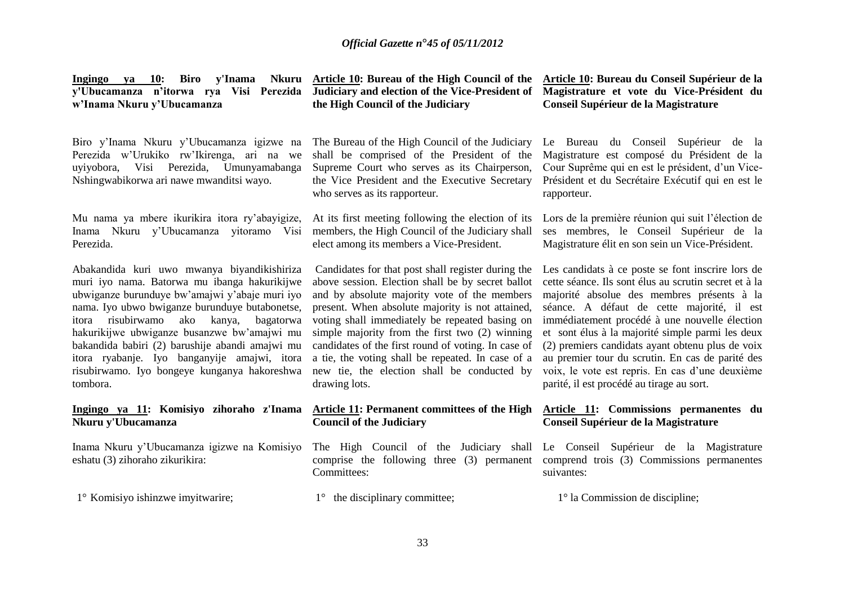| Biro y'Inama<br><b>Ingingo</b><br><b>10:</b><br>ya<br>y'Ubucamanza n'itorwa rya Visi Perezida<br>w'Inama Nkuru y'Ubucamanza                                                                                                                                                                                                                                                                                                                                         | <b>Nite Andrew Article 10: Bureau of the High Council of the</b><br>Judiciary and election of the Vice-President of<br>the High Council of the Judiciary                                                                                                                                                                                                                                                                                                                                    | Article 10: Bureau du Conseil Supérieur de la<br>Magistrature et vote du Vice-Président du<br>Conseil Supérieur de la Magistrature                                                                                                                                                                                                                                                                                                                                                                                  |
|---------------------------------------------------------------------------------------------------------------------------------------------------------------------------------------------------------------------------------------------------------------------------------------------------------------------------------------------------------------------------------------------------------------------------------------------------------------------|---------------------------------------------------------------------------------------------------------------------------------------------------------------------------------------------------------------------------------------------------------------------------------------------------------------------------------------------------------------------------------------------------------------------------------------------------------------------------------------------|---------------------------------------------------------------------------------------------------------------------------------------------------------------------------------------------------------------------------------------------------------------------------------------------------------------------------------------------------------------------------------------------------------------------------------------------------------------------------------------------------------------------|
| Biro y'Inama Nkuru y'Ubucamanza igizwe na<br>Perezida w'Urukiko rw'Ikirenga, ari na we<br>Perezida,<br>Visi<br>Umunyamabanga<br>uyiyobora,<br>Nshingwabikorwa ari nawe mwanditsi wayo.                                                                                                                                                                                                                                                                              | The Bureau of the High Council of the Judiciary<br>shall be comprised of the President of the<br>Supreme Court who serves as its Chairperson,<br>the Vice President and the Executive Secretary<br>who serves as its rapporteur.                                                                                                                                                                                                                                                            | Le Bureau du Conseil Supérieur de la<br>Magistrature est composé du Président de la<br>Cour Suprême qui en est le président, d'un Vice-<br>Président et du Secrétaire Exécutif qui en est le<br>rapporteur.                                                                                                                                                                                                                                                                                                         |
| Mu nama ya mbere ikurikira itora ry'abayigize,<br>Inama Nkuru y'Ubucamanza yitoramo Visi<br>Perezida.                                                                                                                                                                                                                                                                                                                                                               | At its first meeting following the election of its<br>members, the High Council of the Judiciary shall<br>elect among its members a Vice-President.                                                                                                                                                                                                                                                                                                                                         | Lors de la première réunion qui suit l'élection de<br>ses membres, le Conseil Supérieur de la<br>Magistrature élit en son sein un Vice-Président.                                                                                                                                                                                                                                                                                                                                                                   |
| Abakandida kuri uwo mwanya biyandikishiriza<br>muri iyo nama. Batorwa mu ibanga hakurikijwe<br>ubwiganze burunduye bw'amajwi y'abaje muri iyo<br>nama. Iyo ubwo bwiganze burunduye butabonetse,<br>kanya,<br>risubirwamo<br>ako<br>bagatorwa<br>itora<br>hakurikijwe ubwiganze busanzwe bw'amajwi mu<br>bakandida babiri (2) barushije abandi amajwi mu<br>itora ryabanje. Iyo banganyije amajwi, itora<br>risubirwamo. Iyo bongeye kunganya hakoreshwa<br>tombora. | Candidates for that post shall register during the<br>above session. Election shall be by secret ballot<br>and by absolute majority vote of the members<br>present. When absolute majority is not attained,<br>voting shall immediately be repeated basing on<br>simple majority from the first two (2) winning<br>candidates of the first round of voting. In case of<br>a tie, the voting shall be repeated. In case of a<br>new tie, the election shall be conducted by<br>drawing lots. | Les candidats à ce poste se font inscrire lors de<br>cette séance. Ils sont élus au scrutin secret et à la<br>majorité absolue des membres présents à la<br>séance. A défaut de cette majorité, il est<br>immédiatement procédé à une nouvelle élection<br>et sont élus à la majorité simple parmi les deux<br>(2) premiers candidats ayant obtenu plus de voix<br>au premier tour du scrutin. En cas de parité des<br>voix, le vote est repris. En cas d'une deuxième<br>parité, il est procédé au tirage au sort. |
| Ingingo ya 11: Komisiyo zihoraho z'Inama<br>Nkuru y'Ubucamanza                                                                                                                                                                                                                                                                                                                                                                                                      | Article 11: Permanent committees of the High<br><b>Council of the Judiciary</b>                                                                                                                                                                                                                                                                                                                                                                                                             | Article 11: Commissions permanentes du<br>Conseil Supérieur de la Magistrature                                                                                                                                                                                                                                                                                                                                                                                                                                      |
| Inama Nkuru y'Ubucamanza igizwe na Komisiyo<br>eshatu (3) zihoraho zikurikira:                                                                                                                                                                                                                                                                                                                                                                                      | The High Council of the Judiciary shall Le Conseil Supérieur de la Magistrature<br>comprise the following three (3) permanent comprend trois (3) Commissions permanentes<br>Committees:                                                                                                                                                                                                                                                                                                     | suivantes:                                                                                                                                                                                                                                                                                                                                                                                                                                                                                                          |
| 1° Komisiyo ishinzwe imyitwarire;                                                                                                                                                                                                                                                                                                                                                                                                                                   | the disciplinary committee;<br>$1^{\circ}$                                                                                                                                                                                                                                                                                                                                                                                                                                                  | $1^\circ$ la Commission de discipline;                                                                                                                                                                                                                                                                                                                                                                                                                                                                              |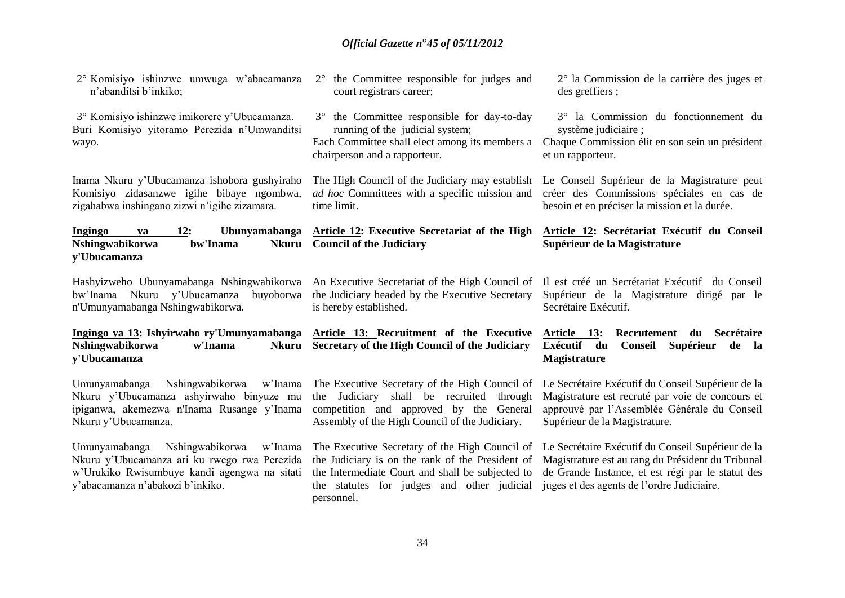| 2° Komisiyo ishinzwe umwuga w'abacamanza<br>n'abanditsi b'inkiko;                                                                                                            | the Committee responsible for judges and<br>$2^{\circ}$<br>court registrars career;                                                                                                                                | $2^{\circ}$ la Commission de la carrière des juges et<br>des greffiers;                                                                                                                                   |
|------------------------------------------------------------------------------------------------------------------------------------------------------------------------------|--------------------------------------------------------------------------------------------------------------------------------------------------------------------------------------------------------------------|-----------------------------------------------------------------------------------------------------------------------------------------------------------------------------------------------------------|
| 3° Komisiyo ishinzwe imikorere y'Ubucamanza.<br>Buri Komisiyo yitoramo Perezida n'Umwanditsi<br>wayo.                                                                        | the Committee responsible for day-to-day<br>$3^\circ$<br>running of the judicial system;<br>Each Committee shall elect among its members a<br>chairperson and a rapporteur.                                        | 3° la Commission du fonctionnement du<br>système judiciaire;<br>Chaque Commission élit en son sein un président<br>et un rapporteur.                                                                      |
| Inama Nkuru y'Ubucamanza ishobora gushyiraho<br>Komisiyo zidasanzwe igihe bibaye ngombwa,<br>zigahabwa inshingano zizwi n'igihe zizamara.                                    | The High Council of the Judiciary may establish<br>ad hoc Committees with a specific mission and<br>time limit.                                                                                                    | Le Conseil Supérieur de la Magistrature peut<br>créer des Commissions spéciales en cas de<br>besoin et en préciser la mission et la durée.                                                                |
| Ubunyamabanga<br>Ingingo<br>12:<br>va<br>Nshingwabikorwa<br>bw'Inama<br><b>Nkuru</b><br>y'Ubucamanza                                                                         | Article 12: Executive Secretariat of the High<br><b>Council of the Judiciary</b>                                                                                                                                   | Article 12: Secrétariat Exécutif du Conseil<br>Supérieur de la Magistrature                                                                                                                               |
| Hashyizweho Ubunyamabanga Nshingwabikorwa<br>bw'Inama Nkuru y'Ubucamanza<br>buyoborwa<br>n'Umunyamabanga Nshingwabikorwa.                                                    | An Executive Secretariat of the High Council of<br>the Judiciary headed by the Executive Secretary<br>is hereby established.                                                                                       | Il est créé un Secrétariat Exécutif du Conseil<br>Supérieur de la Magistrature dirigé par le<br>Secrétaire Exécutif.                                                                                      |
| Ingingo ya 13: Ishyirwaho ry'Umunyamabanga<br>Nshingwabikorwa<br>w'Inama<br><b>Nkuru</b><br>y'Ubucamanza                                                                     | Article 13: Recruitment of the Executive<br>Secretary of the High Council of the Judiciary                                                                                                                         | Article 13:<br>Recrutement du<br><b>Secrétaire</b><br>Exécutif du<br>Conseil<br>Supérieur<br>de la<br><b>Magistrature</b>                                                                                 |
| Nshingwabikorwa<br>Umunyamabanga<br>w'Inama<br>Nkuru y'Ubucamanza ashyirwaho binyuze mu<br>ipiganwa, akemezwa n'Inama Rusange y'Inama<br>Nkuru y'Ubucamanza.                 | The Executive Secretary of the High Council of<br>the Judiciary shall be recruited through<br>competition and approved by the General<br>Assembly of the High Council of the Judiciary.                            | Le Secrétaire Exécutif du Conseil Supérieur de la<br>Magistrature est recruté par voie de concours et<br>approuvé par l'Assemblée Générale du Conseil<br>Supérieur de la Magistrature.                    |
| Nshingwabikorwa w'Inama<br>Umunyamabanga<br>Nkuru y'Ubucamanza ari ku rwego rwa Perezida<br>w'Urukiko Rwisumbuye kandi agengwa na sitati<br>y'abacamanza n'abakozi b'inkiko. | The Executive Secretary of the High Council of<br>the Judiciary is on the rank of the President of<br>the Intermediate Court and shall be subjected to<br>the statutes for judges and other judicial<br>personnel. | Le Secrétaire Exécutif du Conseil Supérieur de la<br>Magistrature est au rang du Président du Tribunal<br>de Grande Instance, et est régi par le statut des<br>juges et des agents de l'ordre Judiciaire. |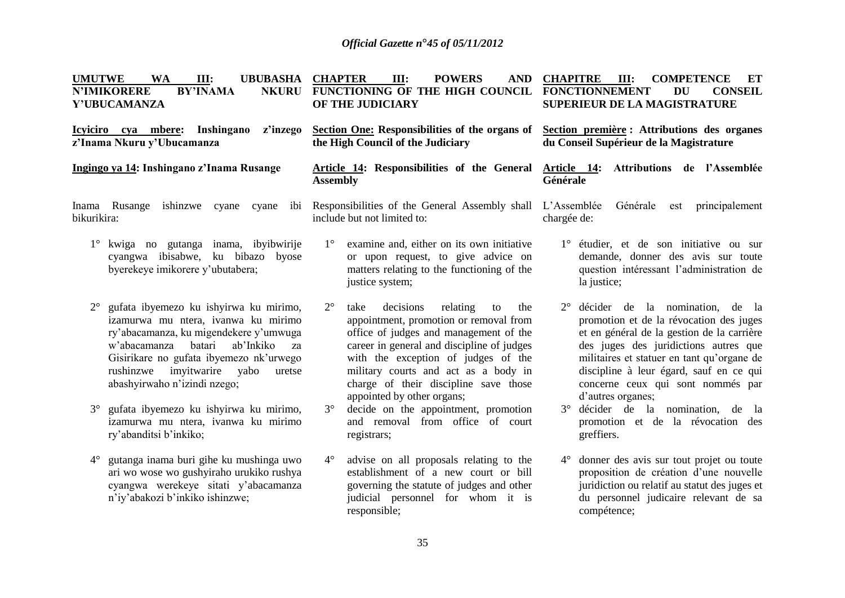| <b>UMUTWE</b><br><b>WA</b><br>III:<br><b>UBUBASHA</b><br><b>BY'INAMA</b><br><b>N'IMIKORERE</b><br><b>NKURU</b><br>Y'UBUCAMANZA                                                                                                                                                                | <b>CHAPTER</b><br>III:<br><b>POWERS</b><br><b>AND</b><br>FUNCTIONING OF THE HIGH COUNCIL<br>OF THE JUDICIARY                                                                                                                                                                                                                                      | <b>CHAPITRE</b><br>III:<br><b>COMPETENCE</b><br>ET<br><b>FONCTIONNEMENT</b><br><b>DU</b><br><b>CONSEIL</b><br>SUPERIEUR DE LA MAGISTRATURE                                                                                                                                                                                          |
|-----------------------------------------------------------------------------------------------------------------------------------------------------------------------------------------------------------------------------------------------------------------------------------------------|---------------------------------------------------------------------------------------------------------------------------------------------------------------------------------------------------------------------------------------------------------------------------------------------------------------------------------------------------|-------------------------------------------------------------------------------------------------------------------------------------------------------------------------------------------------------------------------------------------------------------------------------------------------------------------------------------|
| Icyiciro cya mbere: Inshingano<br>z'inzego<br>z'Inama Nkuru y'Ubucamanza                                                                                                                                                                                                                      | Section One: Responsibilities of the organs of<br>the High Council of the Judiciary                                                                                                                                                                                                                                                               | Section première : Attributions des organes<br>du Conseil Supérieur de la Magistrature                                                                                                                                                                                                                                              |
| Ingingo ya 14: Inshingano z'Inama Rusange                                                                                                                                                                                                                                                     | Article 14: Responsibilities of the General<br><b>Assembly</b>                                                                                                                                                                                                                                                                                    | Attributions de l'Assemblée<br>Article 14:<br>Générale                                                                                                                                                                                                                                                                              |
| Inama Rusange ishinzwe cyane cyane ibi Responsibilities of the General Assembly shall L'Assemblée<br>bikurikira:                                                                                                                                                                              | include but not limited to:                                                                                                                                                                                                                                                                                                                       | Générale<br>principalement<br>est<br>chargée de:                                                                                                                                                                                                                                                                                    |
| $1^{\circ}$<br>kwiga no gutanga inama, ibyibwirije<br>cyangwa ibisabwe, ku bibazo byose<br>byerekeye imikorere y'ubutabera;                                                                                                                                                                   | $1^{\circ}$<br>examine and, either on its own initiative<br>or upon request, to give advice on<br>matters relating to the functioning of the<br>justice system;                                                                                                                                                                                   | 1° étudier, et de son initiative ou sur<br>demande, donner des avis sur toute<br>question intéressant l'administration de<br>la justice;                                                                                                                                                                                            |
| gufata ibyemezo ku ishyirwa ku mirimo,<br>izamurwa mu ntera, ivanwa ku mirimo<br>ry'abacamanza, ku migendekere y'umwuga<br>batari<br>ab'Inkiko<br>w'abacamanza<br>za<br>Gisirikare no gufata ibyemezo nk'urwego<br>imyitwarire<br>rushinzwe<br>yabo<br>uretse<br>abashyirwaho n'izindi nzego; | $2^{\circ}$<br>decisions<br>relating<br>to<br>the<br>take<br>appointment, promotion or removal from<br>office of judges and management of the<br>career in general and discipline of judges<br>with the exception of judges of the<br>military courts and act as a body in<br>charge of their discipline save those<br>appointed by other organs; | décider de la nomination, de la<br>$2^{\circ}$<br>promotion et de la révocation des juges<br>et en général de la gestion de la carrière<br>des juges des juridictions autres que<br>militaires et statuer en tant qu'organe de<br>discipline à leur égard, sauf en ce qui<br>concerne ceux qui sont nommés par<br>d'autres organes; |
| gufata ibyemezo ku ishyirwa ku mirimo,<br>$3^\circ$<br>izamurwa mu ntera, ivanwa ku mirimo<br>ry'abanditsi b'inkiko;                                                                                                                                                                          | $3^\circ$<br>decide on the appointment, promotion<br>and removal from office of court<br>registrars;                                                                                                                                                                                                                                              | $3^\circ$<br>décider de la nomination, de la<br>promotion et de la révocation des<br>greffiers.                                                                                                                                                                                                                                     |
| $4^{\circ}$<br>gutanga inama buri gihe ku mushinga uwo<br>ari wo wose wo gushyiraho urukiko rushya<br>cyangwa werekeye sitati y'abacamanza<br>n'iy'abakozi b'inkiko ishinzwe;                                                                                                                 | $4^\circ$<br>advise on all proposals relating to the<br>establishment of a new court or bill<br>governing the statute of judges and other<br>judicial personnel for whom it is<br>responsible;                                                                                                                                                    | donner des avis sur tout projet ou toute<br>$4^{\circ}$<br>proposition de création d'une nouvelle<br>juridiction ou relatif au statut des juges et<br>du personnel judicaire relevant de sa<br>compétence;                                                                                                                          |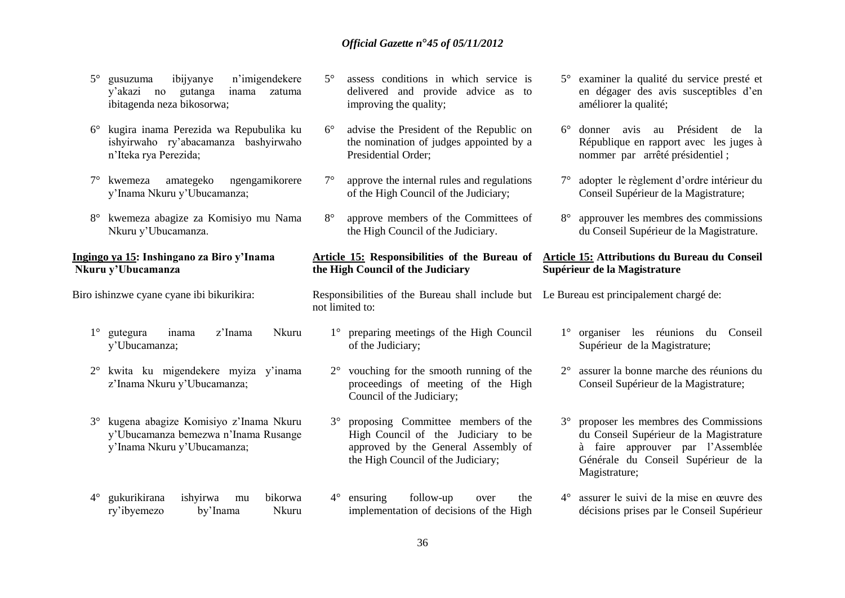- 5° gusuzuma ibijyanye n'imigendekere y'akazi no gutanga inama zatuma ibitagenda neza bikosorwa;
- 6° kugira inama Perezida wa Repubulika ku ishyirwaho ry'abacamanza bashyirwaho n'Iteka rya Perezida;
- 7° kwemeza amategeko ngengamikorere y'Inama Nkuru y'Ubucamanza;
- 8° kwemeza abagize za Komisiyo mu Nama Nkuru y'Ubucamanza.

#### **Ingingo ya 15: Inshingano za Biro y'Inama Nkuru y'Ubucamanza**

Biro ishinzwe cyane cyane ibi bikurikira:

- 1° gutegura inama z'Inama Nkuru y'Ubucamanza;
- 2° kwita ku migendekere myiza y'inama z'Inama Nkuru y'Ubucamanza;
- 3° kugena abagize Komisiyo z'Inama Nkuru y'Ubucamanza bemezwa n'Inama Rusange y'Inama Nkuru y'Ubucamanza;
- 4° gukurikirana ishyirwa mu bikorwa ry'ibyemezo by'Inama Nkuru
- 5° assess conditions in which service is delivered and provide advice as to improving the quality;
- 6° advise the President of the Republic on the nomination of judges appointed by a Presidential Order;
- 7° approve the internal rules and regulations of the High Council of the Judiciary;
- 8° approve members of the Committees of the High Council of the Judiciary.

#### **Article 15: Responsibilities of the Bureau of the High Council of the Judiciary**

Responsibilities of the Bureau shall include but Le Bureau est principalement chargé de: not limited to:

- 1° preparing meetings of the High Council of the Judiciary;
	- 2° vouching for the smooth running of the proceedings of meeting of the High Council of the Judiciary;
- 3° proposing Committee members of the High Council of the Judiciary to be approved by the General Assembly of the High Council of the Judiciary;
- 4° ensuring follow-up over the implementation of decisions of the High
- 5° examiner la qualité du service presté et en dégager des avis susceptibles d'en améliorer la qualité;
- 6° donner avis au Président de la République en rapport avec les juges à nommer par arrêté présidentiel ;
- 7° adopter le règlement d'ordre intérieur du Conseil Supérieur de la Magistrature;
- 8° approuver les membres des commissions du Conseil Supérieur de la Magistrature.

#### **Article 15: Attributions du Bureau du Conseil Supérieur de la Magistrature**

1° organiser les réunions du Conseil Supérieur de la Magistrature;

- 2° assurer la bonne marche des réunions du Conseil Supérieur de la Magistrature;
- 3° proposer les membres des Commissions du Conseil Supérieur de la Magistrature à faire approuver par l'Assemblée Générale du Conseil Supérieur de la Magistrature;
- 4° assurer le suivi de la mise en œuvre des décisions prises par le Conseil Supérieur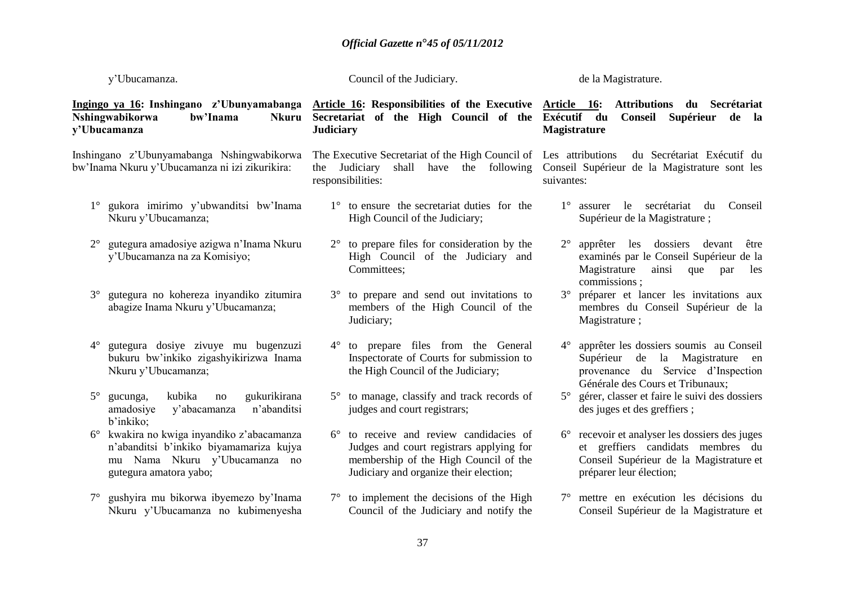| y'Ubucamanza.                                   |                                                                                                                                               |                                    | Council of the Judiciary.                                                                                                                                           |                     | de la Magistrature.                                                                                                                                     |
|-------------------------------------------------|-----------------------------------------------------------------------------------------------------------------------------------------------|------------------------------------|---------------------------------------------------------------------------------------------------------------------------------------------------------------------|---------------------|---------------------------------------------------------------------------------------------------------------------------------------------------------|
| Nshingwabikorwa<br>y'Ubucamanza                 | Ingingo ya 16: Inshingano z'Ubunyamabanga<br>bw'Inama<br><b>Nkuru</b>                                                                         | <b>Judiciary</b>                   | Secretariat of the High Council of the Exécutif du                                                                                                                  | <b>Magistrature</b> | Article 16: Responsibilities of the Executive Article 16: Attributions du Secrétariat<br>Supérieur<br>Conseil<br>de la                                  |
|                                                 | Inshingano z'Ubunyamabanga Nshingwabikorwa<br>bw'Inama Nkuru y'Ubucamanza ni izi zikurikira:                                                  | the Judiciary<br>responsibilities: | The Executive Secretariat of the High Council of Les attributions                                                                                                   | suivantes:          | du Secrétariat Exécutif du<br>shall have the following Conseil Supérieur de la Magistrature sont les                                                    |
|                                                 | gukora imirimo y'ubwanditsi bw'Inama<br>Nkuru y'Ubucamanza;                                                                                   |                                    | $1^\circ$ to ensure the secretariat duties for the<br>High Council of the Judiciary;                                                                                |                     | 1° assurer le secrétariat<br>Conseil<br>du<br>Supérieur de la Magistrature;                                                                             |
| $2^{\circ}$                                     | gutegura amadosiye azigwa n'Inama Nkuru<br>y'Ubucamanza na za Komisiyo;                                                                       | $2^{\circ}$                        | to prepare files for consideration by the<br>High Council of the Judiciary and<br>Committees;                                                                       | $2^{\circ}$         | apprêter les dossiers<br>devant<br>être<br>examinés par le Conseil Supérieur de la<br>Magistrature<br>ainsi<br>que<br>par<br>les<br>commissions:        |
| $3^{\circ}$                                     | gutegura no kohereza inyandiko zitumira<br>abagize Inama Nkuru y'Ubucamanza;                                                                  | $3^\circ$                          | to prepare and send out invitations to<br>members of the High Council of the<br>Judiciary;                                                                          | $3^\circ$           | préparer et lancer les invitations aux<br>membres du Conseil Supérieur de la<br>Magistrature;                                                           |
| $4^\circ$                                       | gutegura dosiye zivuye mu bugenzuzi<br>bukuru bw'inkiko zigashyikirizwa Inama<br>Nkuru y'Ubucamanza;                                          | $4^\circ$                          | to prepare files from the General<br>Inspectorate of Courts for submission to<br>the High Council of the Judiciary;                                                 | $4^{\circ}$         | apprêter les dossiers soumis au Conseil<br>Supérieur de la Magistrature<br>en<br>provenance du Service d'Inspection<br>Générale des Cours et Tribunaux; |
| $5^\circ$<br>gucunga,<br>amadosiye<br>b'inkiko: | kubika<br>gukurikirana<br>no<br>n'abanditsi<br>y'abacamanza                                                                                   |                                    | to manage, classify and track records of<br>judges and court registrars;                                                                                            | $5^{\circ}$         | gérer, classer et faire le suivi des dossiers<br>des juges et des greffiers;                                                                            |
|                                                 | kwakira no kwiga inyandiko z'abacamanza<br>n'abanditsi b'inkiko biyamamariza kujya<br>mu Nama Nkuru y'Ubucamanza no<br>gutegura amatora yabo; | $6^{\circ}$                        | to receive and review candidacies of<br>Judges and court registrars applying for<br>membership of the High Council of the<br>Judiciary and organize their election; | $6^{\circ}$         | recevoir et analyser les dossiers des juges<br>et greffiers candidats membres du<br>Conseil Supérieur de la Magistrature et<br>préparer leur élection;  |
| $7^{\circ}$                                     | gushyira mu bikorwa ibyemezo by'Inama<br>Nkuru y'Ubucamanza no kubimenyesha                                                                   |                                    | $7^\circ$ to implement the decisions of the High<br>Council of the Judiciary and notify the                                                                         |                     | 7° mettre en exécution les décisions du<br>Conseil Supérieur de la Magistrature et                                                                      |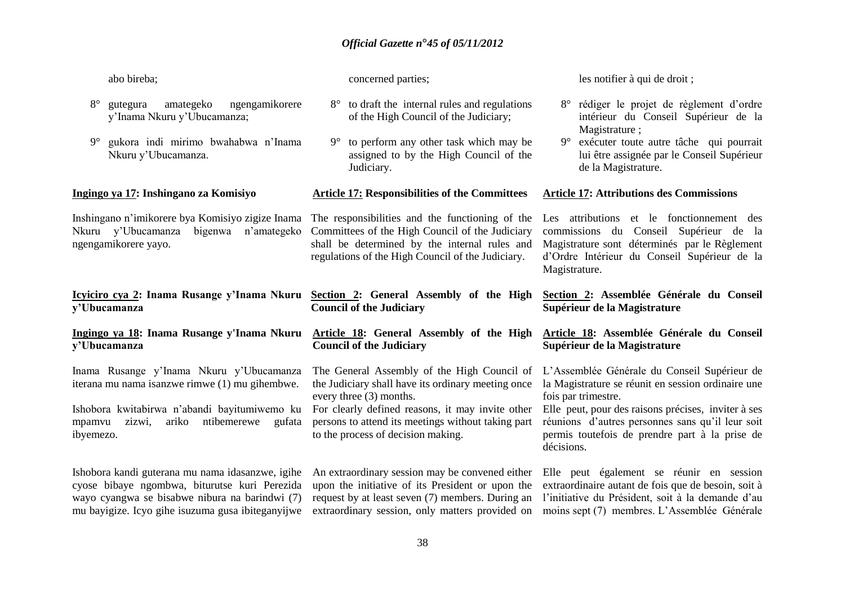| abo bireba;                                            |                                                                                            | concerned parties;                                                                                                                                                                                       | les notifier à qui de droit;                                                                                                                                                                          |
|--------------------------------------------------------|--------------------------------------------------------------------------------------------|----------------------------------------------------------------------------------------------------------------------------------------------------------------------------------------------------------|-------------------------------------------------------------------------------------------------------------------------------------------------------------------------------------------------------|
| $8^{\circ}$<br>gutegura<br>y'Inama Nkuru y'Ubucamanza; | amategeko<br>ngengamikorere                                                                | to draft the internal rules and regulations<br>$8^\circ$<br>of the High Council of the Judiciary;                                                                                                        | rédiger le projet de règlement d'ordre<br>intérieur du Conseil Supérieur de la                                                                                                                        |
| $9^{\circ}$<br>Nkuru y'Ubucamanza.                     | gukora indi mirimo bwahabwa n'Inama                                                        | to perform any other task which may be<br>$9^{\circ}$<br>assigned to by the High Council of the<br>Judiciary.                                                                                            | Magistrature;<br>9° exécuter toute autre tâche qui pourrait<br>lui être assignée par le Conseil Supérieur<br>de la Magistrature.                                                                      |
| Ingingo ya 17: Inshingano za Komisiyo                  |                                                                                            | <b>Article 17: Responsibilities of the Committees</b>                                                                                                                                                    | <b>Article 17: Attributions des Commissions</b>                                                                                                                                                       |
| Nkuru y'Ubucamanza<br>ngengamikorere yayo.             | Inshingano n'imikorere bya Komisiyo zigize Inama<br>bigenwa n'amategeko                    | The responsibilities and the functioning of the<br>Committees of the High Council of the Judiciary<br>shall be determined by the internal rules and<br>regulations of the High Council of the Judiciary. | Les attributions et le fonctionnement des<br>commissions du Conseil Supérieur de la<br>Magistrature sont déterminés par le Règlement<br>d'Ordre Intérieur du Conseil Supérieur de la<br>Magistrature. |
|                                                        |                                                                                            |                                                                                                                                                                                                          |                                                                                                                                                                                                       |
| y'Ubucamanza                                           | Icyiciro cya 2: Inama Rusange y'Inama Nkuru                                                | Section 2: General Assembly of the High<br><b>Council of the Judiciary</b>                                                                                                                               | Section 2: Assemblée Générale du Conseil<br>Supérieur de la Magistrature                                                                                                                              |
| v'Ubucamanza                                           | Ingingo ya 18: Inama Rusange y'Inama Nkuru                                                 | Article 18: General Assembly of the High<br><b>Council of the Judiciary</b>                                                                                                                              | Article 18: Assemblée Générale du Conseil<br>Supérieur de la Magistrature                                                                                                                             |
|                                                        | Inama Rusange y'Inama Nkuru y'Ubucamanza<br>iterana mu nama isanzwe rimwe (1) mu gihembwe. | The General Assembly of the High Council of<br>the Judiciary shall have its ordinary meeting once<br>every three (3) months.                                                                             | L'Assemblée Générale du Conseil Supérieur de<br>la Magistrature se réunit en session ordinaire une<br>fois par trimestre.                                                                             |
| zizwi,<br>ariko<br>mpamvu<br>ibyemezo.                 | Ishobora kwitabirwa n'abandi bayitumiwemo ku<br>ntibemerewe<br>gufata                      | For clearly defined reasons, it may invite other<br>persons to attend its meetings without taking part<br>to the process of decision making.                                                             | Elle peut, pour des raisons précises, inviter à ses<br>réunions d'autres personnes sans qu'il leur soit<br>permis toutefois de prendre part à la prise de<br>décisions.                               |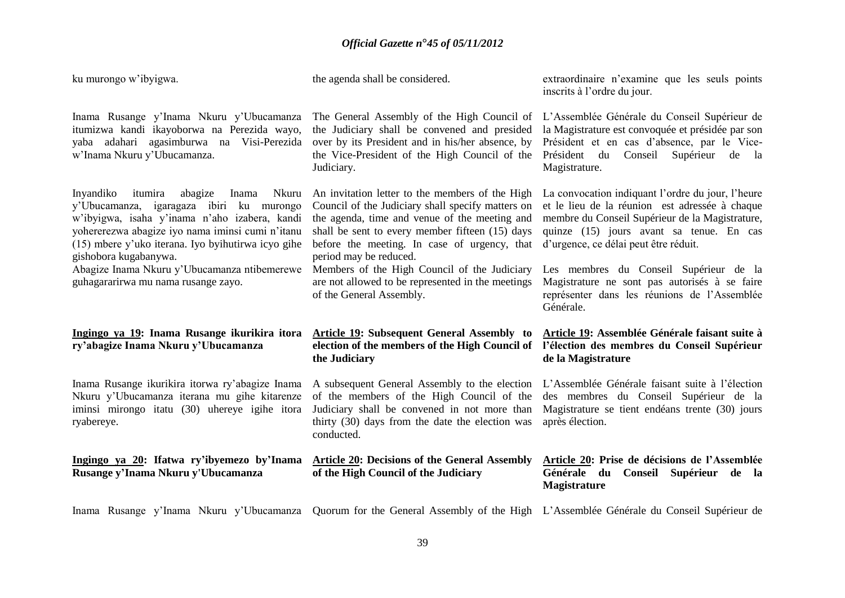| ku murongo w'ibyigwa.                                                                                                                                                                                                                                                                                                                                                    | the agenda shall be considered.                                                                                                                                                                                                                                                                                                                                                                                     | extraordinaire n'examine que les seuls points<br>inscrits à l'ordre du jour.                                                                                                                                                                                                                                                                                                           |
|--------------------------------------------------------------------------------------------------------------------------------------------------------------------------------------------------------------------------------------------------------------------------------------------------------------------------------------------------------------------------|---------------------------------------------------------------------------------------------------------------------------------------------------------------------------------------------------------------------------------------------------------------------------------------------------------------------------------------------------------------------------------------------------------------------|----------------------------------------------------------------------------------------------------------------------------------------------------------------------------------------------------------------------------------------------------------------------------------------------------------------------------------------------------------------------------------------|
| Inama Rusange y'Inama Nkuru y'Ubucamanza<br>itumizwa kandi ikayoborwa na Perezida wayo,<br>yaba adahari agasimburwa na Visi-Perezida<br>w'Inama Nkuru y'Ubucamanza.                                                                                                                                                                                                      | The General Assembly of the High Council of<br>the Judiciary shall be convened and presided<br>over by its President and in his/her absence, by<br>the Vice-President of the High Council of the<br>Judiciary.                                                                                                                                                                                                      | L'Assemblée Générale du Conseil Supérieur de<br>la Magistrature est convoquée et présidée par son<br>Président et en cas d'absence, par le Vice-<br>Conseil<br>Supérieur<br>Président du<br>de la<br>Magistrature.                                                                                                                                                                     |
| Inyandiko<br>itumira<br>abagize<br>Inama<br>Nkuru<br>y'Ubucamanza, igaragaza ibiri ku murongo<br>w'ibyigwa, isaha y'inama n'aho izabera, kandi<br>yohererezwa abagize iyo nama iminsi cumi n'itanu<br>(15) mbere y'uko iterana. Iyo byihutirwa icyo gihe<br>gishobora kugabanywa.<br>Abagize Inama Nkuru y'Ubucamanza ntibemerewe<br>guhagararirwa mu nama rusange zayo. | An invitation letter to the members of the High<br>Council of the Judiciary shall specify matters on<br>the agenda, time and venue of the meeting and<br>shall be sent to every member fifteen (15) days<br>before the meeting. In case of urgency, that<br>period may be reduced.<br>Members of the High Council of the Judiciary<br>are not allowed to be represented in the meetings<br>of the General Assembly. | La convocation indiquant l'ordre du jour, l'heure<br>et le lieu de la réunion est adressée à chaque<br>membre du Conseil Supérieur de la Magistrature,<br>quinze (15) jours avant sa tenue. En cas<br>d'urgence, ce délai peut être réduit.<br>Les membres du Conseil Supérieur de la<br>Magistrature ne sont pas autorisés à se faire<br>représenter dans les réunions de l'Assemblée |
|                                                                                                                                                                                                                                                                                                                                                                          |                                                                                                                                                                                                                                                                                                                                                                                                                     | Générale.                                                                                                                                                                                                                                                                                                                                                                              |
| Ingingo ya 19: Inama Rusange ikurikira itora<br>ry'abagize Inama Nkuru y'Ubucamanza                                                                                                                                                                                                                                                                                      | <b>Article 19: Subsequent General Assembly to</b><br>election of the members of the High Council of<br>the Judiciary                                                                                                                                                                                                                                                                                                | Article 19: Assemblée Générale faisant suite à<br>l'élection des membres du Conseil Supérieur<br>de la Magistrature                                                                                                                                                                                                                                                                    |
| Inama Rusange ikurikira itorwa ry'abagize Inama<br>Nkuru y'Ubucamanza iterana mu gihe kitarenze<br>iminsi mirongo itatu (30) uhereye igihe itora<br>ryabereye.                                                                                                                                                                                                           | A subsequent General Assembly to the election<br>of the members of the High Council of the<br>Judiciary shall be convened in not more than<br>thirty (30) days from the date the election was<br>conducted.                                                                                                                                                                                                         | L'Assemblée Générale faisant suite à l'élection<br>des membres du Conseil Supérieur de la<br>Magistrature se tient endéans trente (30) jours<br>après élection.                                                                                                                                                                                                                        |
| Ingingo ya 20: Ifatwa ry'ibyemezo by'Inama<br>Rusange y'Inama Nkuru y'Ubucamanza                                                                                                                                                                                                                                                                                         | <b>Article 20: Decisions of the General Assembly</b><br>of the High Council of the Judiciary                                                                                                                                                                                                                                                                                                                        | Article 20: Prise de décisions de l'Assemblée<br>Générale du<br>Conseil Supérieur de la<br><b>Magistrature</b>                                                                                                                                                                                                                                                                         |

Inama Rusange y'Inama Nkuru y'Ubucamanza Quorum for the General Assembly of the High L'Assemblée Générale du Conseil Supérieur de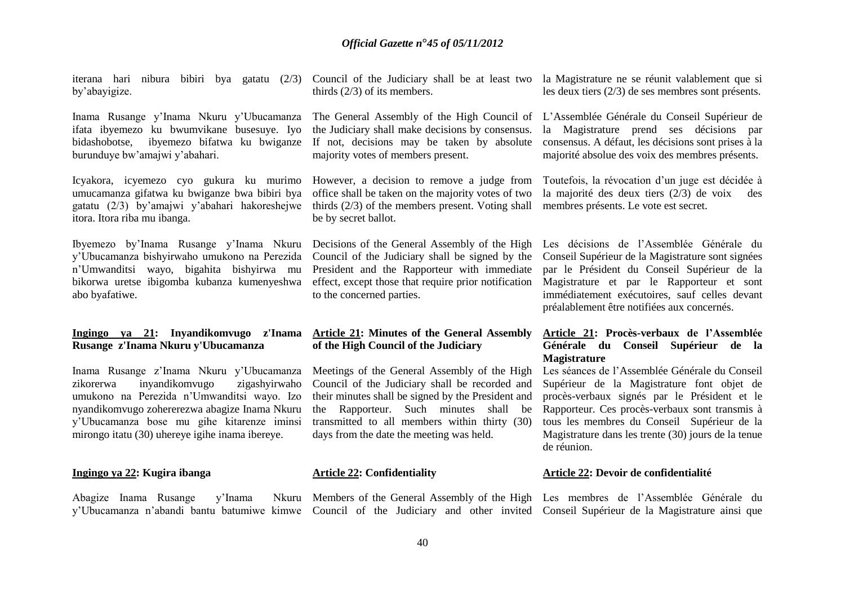iterana hari nibura bibiri bya gatatu (2/3) Council of the Judiciary shall be at least two la Magistrature ne se réunit valablement que si by'abayigize.

Inama Rusange y'Inama Nkuru y'Ubucamanza ifata ibyemezo ku bwumvikane busesuye. Iyo bidashobotse, ibyemezo bifatwa ku bwiganze If not, decisions may be taken by absolute burunduye bw'amajwi y'abahari.

Icyakora, icyemezo cyo gukura ku murimo However, a decision to remove a judge from umucamanza gifatwa ku bwiganze bwa bibiri bya gatatu (2/3) by'amajwi y'abahari hakoreshejwe thirds (2/3) of the members present. Voting shall membres présents. Le vote est secret. itora. Itora riba mu ibanga.

Ibyemezo by'Inama Rusange y'Inama Nkuru Decisions of the General Assembly of the High y'Ubucamanza bishyirwaho umukono na Perezida n'Umwanditsi wayo, bigahita bishyirwa mu bikorwa uretse ibigomba kubanza kumenyeshwa abo byafatiwe.

#### **Ingingo ya 21: Inyandikomvugo z'Inama Rusange z'Inama Nkuru y'Ubucamanza**

Inama Rusange z'Inama Nkuru y'Ubucamanza zikorerwa inyandikomvugo zigashyirwaho umukono na Perezida n'Umwanditsi wayo. Izo nyandikomvugo zohererezwa abagize Inama Nkuru y'Ubucamanza bose mu gihe kitarenze iminsi mirongo itatu (30) uhereye igihe inama ibereye.

#### **Ingingo ya 22: Kugira ibanga**

Abagize Inama Rusange y'Inama y'Ubucamanza n'abandi bantu batumiwe kimwe Council of the Judiciary and other invited Conseil Supérieur de la Magistrature ainsi que

thirds (2/3) of its members.

the Judiciary shall make decisions by consensus. majority votes of members present.

office shall be taken on the majority votes of two be by secret ballot.

Council of the Judiciary shall be signed by the President and the Rapporteur with immediate effect, except those that require prior notification to the concerned parties.

#### **Article 21: Minutes of the General Assembly of the High Council of the Judiciary**

Meetings of the General Assembly of the High Council of the Judiciary shall be recorded and their minutes shall be signed by the President and the Rapporteur. Such minutes shall be transmitted to all members within thirty (30) days from the date the meeting was held.

#### **Article 22: Confidentiality**

Members of the General Assembly of the High Les membres de l'Assemblée Générale du

les deux tiers (2/3) de ses membres sont présents.

The General Assembly of the High Council of L'Assemblée Générale du Conseil Supérieur de la Magistrature prend ses décisions par consensus. A défaut, les décisions sont prises à la majorité absolue des voix des membres présents.

> Toutefois, la révocation d'un juge est décidée à la majorité des deux tiers (2/3) de voix des

> Les décisions de l'Assemblée Générale du Conseil Supérieur de la Magistrature sont signées par le Président du Conseil Supérieur de la Magistrature et par le Rapporteur et sont immédiatement exécutoires, sauf celles devant préalablement être notifiées aux concernés.

#### **Article 21: Procès-verbaux de l'Assemblée Générale du Conseil Supérieur de la Magistrature**

Les séances de l'Assemblée Générale du Conseil Supérieur de la Magistrature font objet de procès-verbaux signés par le Président et le Rapporteur. Ces procès-verbaux sont transmis à tous les membres du Conseil Supérieur de la Magistrature dans les trente (30) jours de la tenue de réunion.

#### **Article 22: Devoir de confidentialité**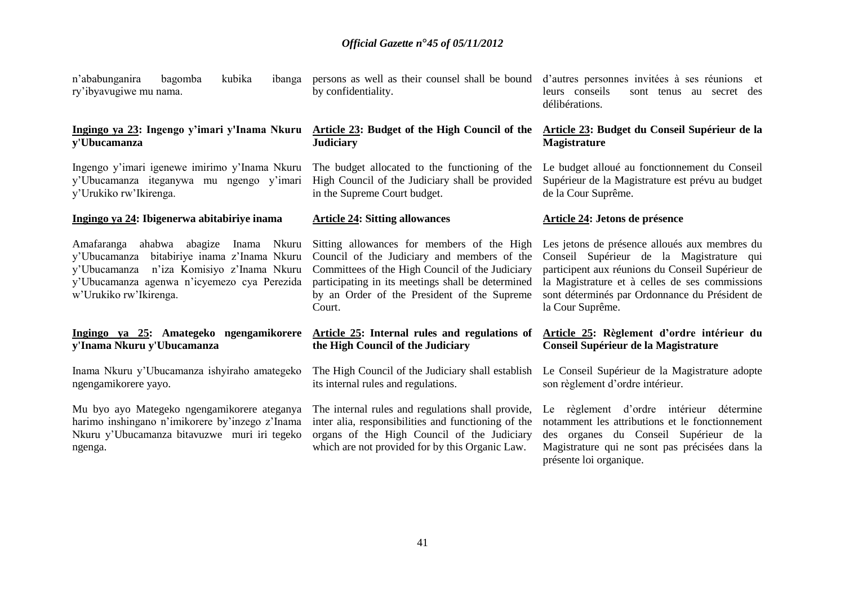n'ababunganira bagomba kubika ry'ibyavugiwe mu nama.

#### **Ingingo ya 23: Ingengo y'imari y'Inama Nkuru y'Ubucamanza**

Ingengo y'imari igenewe imirimo y'Inama Nkuru y'Ubucamanza iteganywa mu ngengo y'imari y'Urukiko rw'Ikirenga.

#### **Ingingo ya 24: Ibigenerwa abitabiriye inama**

y'Ubucamanza bitabiriye inama z'Inama Nkuru y'Ubucamanza n'iza Komisiyo z'Inama Nkuru y'Ubucamanza agenwa n'icyemezo cya Perezida w'Urukiko rw'Ikirenga.

#### **Ingingo ya 25: Amategeko ngengamikorere y'Inama Nkuru y'Ubucamanza**

Inama Nkuru y'Ubucamanza ishyiraho amategeko ngengamikorere yayo.

Mu byo ayo Mategeko ngengamikorere ateganya harimo inshingano n'imikorere by'inzego z'Inama Nkuru y'Ubucamanza bitavuzwe muri iri tegeko ngenga.

ibanga persons as well as their counsel shall be bound by confidentiality.

#### **Article 23: Budget of the High Council of the Judiciary**

The budget allocated to the functioning of the High Council of the Judiciary shall be provided in the Supreme Court budget.

#### **Article 24: Sitting allowances**

Amafaranga ahabwa abagize Inama Nkuru Sitting allowances for members of the High Council of the Judiciary and members of the Committees of the High Council of the Judiciary participating in its meetings shall be determined by an Order of the President of the Supreme Court.

#### **Article 25: Internal rules and regulations of the High Council of the Judiciary**

The High Council of the Judiciary shall establish its internal rules and regulations.

The internal rules and regulations shall provide, inter alia, responsibilities and functioning of the organs of the High Council of the Judiciary which are not provided for by this Organic Law.

d'autres personnes invitées à ses réunions et leurs conseils sont tenus au secret des délibérations.

#### **Article 23: Budget du Conseil Supérieur de la Magistrature**

Le budget alloué au fonctionnement du Conseil Supérieur de la Magistrature est prévu au budget de la Cour Suprême.

#### **Article 24: Jetons de présence**

Les jetons de présence alloués aux membres du Conseil Supérieur de la Magistrature qui participent aux réunions du Conseil Supérieur de la Magistrature et à celles de ses commissions sont déterminés par Ordonnance du Président de la Cour Suprême.

#### **Article 25: Règlement d'ordre intérieur du Conseil Supérieur de la Magistrature**

Le Conseil Supérieur de la Magistrature adopte son règlement d'ordre intérieur.

Le règlement d'ordre intérieur détermine notamment les attributions et le fonctionnement des organes du Conseil Supérieur de la Magistrature qui ne sont pas précisées dans la présente loi organique.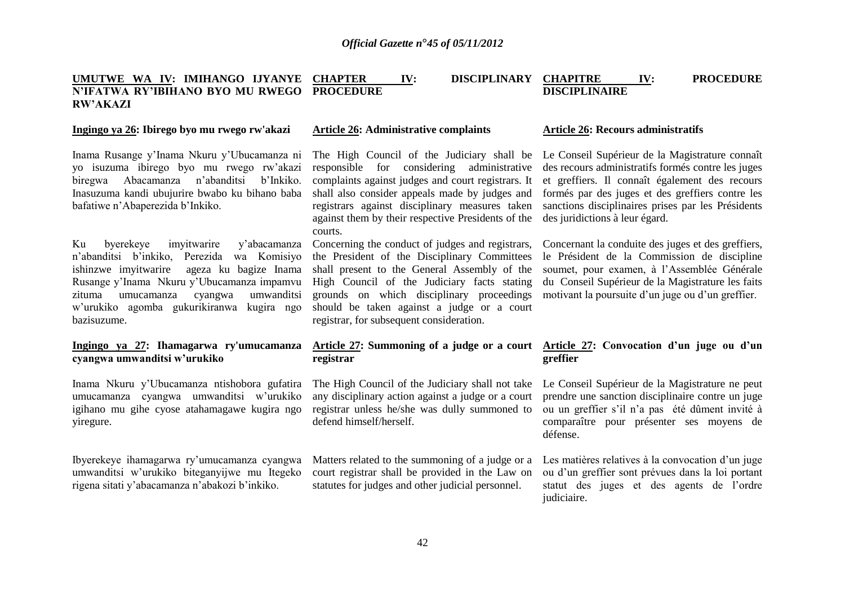#### **UMUTWE WA IV: IMIHANGO IJYANYE N'IFATWA RY'IBIHANO BYO MU RWEGO PROCEDURE RW'AKAZI IV: DISCIPLINARY CHAPITRE IV: PROCEDURE DISCIPLINAIRE**

#### **Ingingo ya 26: Ibirego byo mu rwego rw'akazi**

Inama Rusange y'Inama Nkuru y'Ubucamanza ni yo isuzuma ibirego byo mu rwego rw'akazi biregwa Abacamanza n'abanditsi b'Inkiko. Inasuzuma kandi ubujurire bwabo ku bihano baba bafatiwe n'Abaperezida b'Inkiko.

Ku byerekeye imyitwarire y'abacamanza n'abanditsi b'inkiko, Perezida wa Komisiyo ishinzwe imyitwarire ageza ku bagize Inama Rusange y'Inama Nkuru y'Ubucamanza impamvu zituma umucamanza cyangwa umwanditsi w'urukiko agomba gukurikiranwa kugira ngo bazisuzume.

#### **Ingingo ya 27: Ihamagarwa ry'umucamanza cyangwa umwanditsi w'urukiko**

Inama Nkuru y'Ubucamanza ntishobora gufatira umucamanza cyangwa umwanditsi w'urukiko igihano mu gihe cyose atahamagawe kugira ngo yiregure.

Ibyerekeye ihamagarwa ry'umucamanza cyangwa umwanditsi w'urukiko biteganyijwe mu Itegeko rigena sitati y'abacamanza n'abakozi b'inkiko.

#### **Article 26: Administrative complaints**

The High Council of the Judiciary shall be Le Conseil Supérieur de la Magistrature connaît responsible for considering administrative complaints against judges and court registrars. It shall also consider appeals made by judges and registrars against disciplinary measures taken against them by their respective Presidents of the courts.

Concerning the conduct of judges and registrars, the President of the Disciplinary Committees shall present to the General Assembly of the High Council of the Judiciary facts stating grounds on which disciplinary proceedings should be taken against a judge or a court registrar, for subsequent consideration.

# **registrar**

any disciplinary action against a judge or a court registrar unless he/she was dully summoned to defend himself/herself.

Matters related to the summoning of a judge or a court registrar shall be provided in the Law on statutes for judges and other judicial personnel.

#### **Article 26: Recours administratifs**

des recours administratifs formés contre les juges et greffiers. Il connaît également des recours formés par des juges et des greffiers contre les sanctions disciplinaires prises par les Présidents des juridictions à leur égard.

Concernant la conduite des juges et des greffiers, le Président de la Commission de discipline soumet, pour examen, à l'Assemblée Générale du Conseil Supérieur de la Magistrature les faits motivant la poursuite d'un juge ou d'un greffier.

#### **Article 27: Summoning of a judge or a court Article 27: Convocation d'un juge ou d'un greffier**

The High Council of the Judiciary shall not take Le Conseil Supérieur de la Magistrature ne peut prendre une sanction disciplinaire contre un juge ou un greffier s'il n'a pas été dûment invité à comparaître pour présenter ses moyens de défense.

> Les matières relatives à la convocation d'un juge ou d'un greffier sont prévues dans la loi portant statut des juges et des agents de l'ordre judiciaire.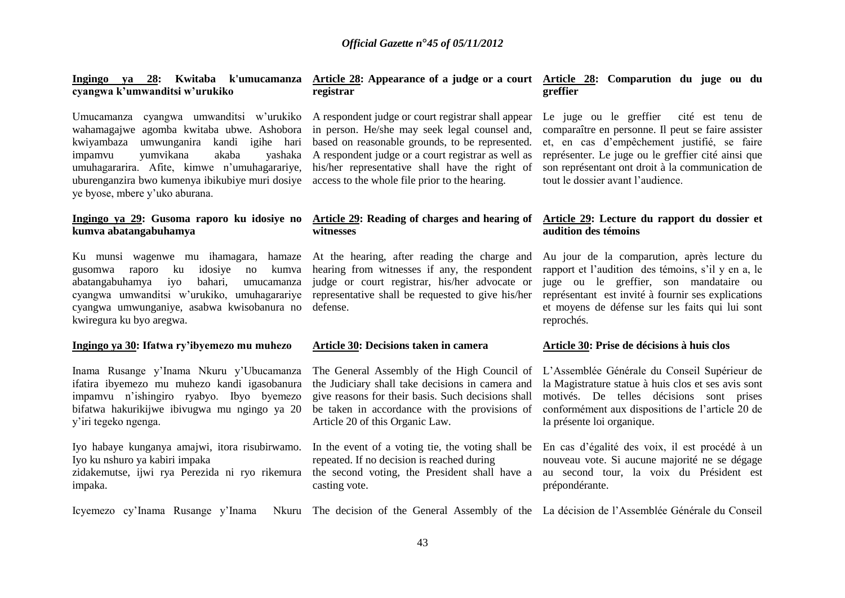#### **Ingingo ya 28: Kwitaba k'umucamanza Article 28: Appearance of a judge or a court Article 28: Comparution du juge ou du cyangwa k'umwanditsi w'urukiko**

Umucamanza cyangwa umwanditsi w'urukiko A respondent judge or court registrar shall appear wahamagajwe agomba kwitaba ubwe. Ashobora kwiyambaza umwunganira kandi igihe hari based on reasonable grounds, to be represented. impamvu vumvikana akaba umuhagararira. Afite, kimwe n'umuhagarariye, his/her representative shall have the right of uburenganzira bwo kumenya ibikubiye muri dosiye access to the whole file prior to the hearing. ye byose, mbere y'uko aburana.

# **kumva abatangabuhamya**

Ku munsi wagenwe mu ihamagara, hamaze gusomwa raporo ku idosiye no kumva abatangabuhamya iyo bahari, umucamanza cyangwa umwanditsi w'urukiko, umuhagarariye representative shall be requested to give his/her cyangwa umwunganiye, asabwa kwisobanura no defense. kwiregura ku byo aregwa.

#### **Ingingo ya 30: Ifatwa ry'ibyemezo mu muhezo**

Inama Rusange y'Inama Nkuru y'Ubucamanza ifatira ibyemezo mu muhezo kandi igasobanura impamvu n'ishingiro ryabyo. Ibyo byemezo bifatwa hakurikijwe ibivugwa mu ngingo ya 20 y'iri tegeko ngenga.

Iyo habaye kunganya amajwi, itora risubirwamo. Iyo ku nshuro ya kabiri impaka zidakemutse, ijwi rya Perezida ni ryo rikemura impaka.

# **registrar**

in person. He/she may seek legal counsel and, A respondent judge or a court registrar as well as

# **witnesses**

At the hearing, after reading the charge and hearing from witnesses if any, the respondent judge or court registrar, his/her advocate or

#### **Article 30: Decisions taken in camera**

the Judiciary shall take decisions in camera and give reasons for their basis. Such decisions shall be taken in accordance with the provisions of Article 20 of this Organic Law.

In the event of a voting tie, the voting shall be En cas d'égalité des voix, il est procédé à un repeated. If no decision is reached during casting vote.

# **greffier**

Le juge ou le greffier cité est tenu de comparaître en personne. Il peut se faire assister et, en cas d'empêchement justifié, se faire représenter. Le juge ou le greffier cité ainsi que son représentant ont droit à la communication de tout le dossier avant l'audience.

#### **Ingingo ya 29: Gusoma raporo ku idosiye no Article 29: Reading of charges and hearing of Article 29: Lecture du rapport du dossier et audition des témoins**

Au jour de la comparution, après lecture du rapport et l'audition des témoins, s'il y en a, le juge ou le greffier, son mandataire ou représentant est invité à fournir ses explications et moyens de défense sur les faits qui lui sont reprochés.

#### **Article 30: Prise de décisions à huis clos**

The General Assembly of the High Council of L'Assemblée Générale du Conseil Supérieur de la Magistrature statue à huis clos et ses avis sont motivés. De telles décisions sont prises conformément aux dispositions de l'article 20 de la présente loi organique.

the second voting, the President shall have a au second tour, la voix du Président est nouveau vote. Si aucune majorité ne se dégage prépondérante.

Icyemezo cy'Inama Rusange y'Inama Nkuru The decision of the General Assembly of the La décision de l'Assemblée Générale du Conseil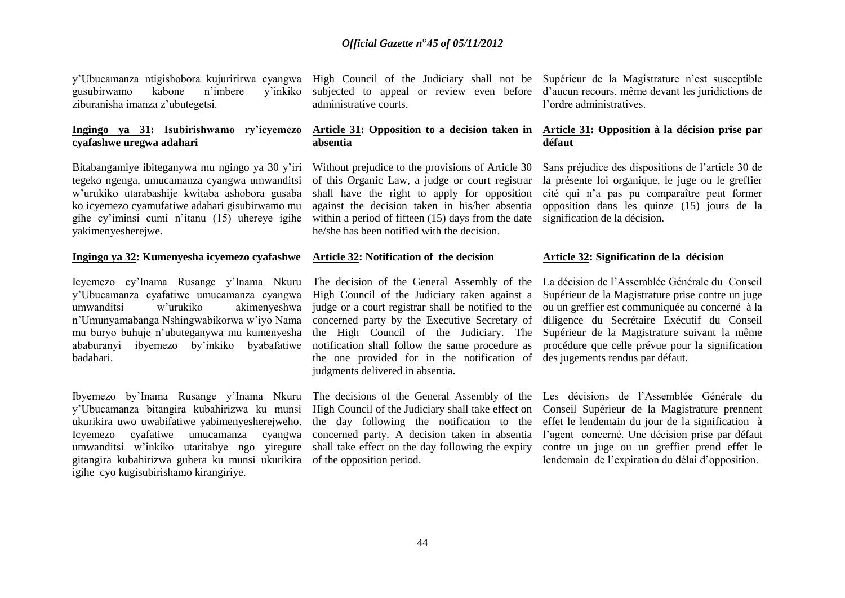y'Ubucamanza ntigishobora kujuririrwa cyangwa High Council of the Judiciary shall not be Supérieur de la Magistrature n'est susceptible gusubirwamo kabone n'imbere y'inkiko ziburanisha imanza z'ubutegetsi.

#### **Ingingo ya 31: Isubirishwamo ry'icyemezo cyafashwe uregwa adahari**

Bitabangamiye ibiteganywa mu ngingo ya 30 y'iri tegeko ngenga, umucamanza cyangwa umwanditsi w'urukiko utarabashije kwitaba ashobora gusaba ko icyemezo cyamufatiwe adahari gisubirwamo mu gihe cy'iminsi cumi n'itanu (15) uhereye igihe yakimenyesherejwe.

#### **Ingingo ya 32: Kumenyesha icyemezo cyafashwe Article 32: Notification of the decision**

Icyemezo cy'Inama Rusange y'Inama Nkuru y'Ubucamanza cyafatiwe umucamanza cyangwa umwanditsi w'urukiko akimenyeshwa n'Umunyamabanga Nshingwabikorwa w'iyo Nama mu buryo buhuje n'ubuteganywa mu kumenyesha ababuranyi ibyemezo by'inkiko byabafatiwe badahari.

Ibyemezo by'Inama Rusange y'Inama Nkuru The decisions of the General Assembly of the Les décisions de l'Assemblée Générale du y'Ubucamanza bitangira kubahirizwa ku munsi ukurikira uwo uwabifatiwe yabimenyesherejweho. Icyemezo cyafatiwe umucamanza cyangwa concerned party. A decision taken in absentia umwanditsi w'inkiko utaritabye ngo yiregure shall take effect on the day following the expiry gitangira kubahirizwa guhera ku munsi ukurikira of the opposition period. igihe cyo kugisubirishamo kirangiriye.

administrative courts.

#### **Article 31: Opposition to a decision taken in absentia**

Without prejudice to the provisions of Article 30 of this Organic Law, a judge or court registrar shall have the right to apply for opposition against the decision taken in his/her absentia within a period of fifteen (15) days from the date he/she has been notified with the decision.

The decision of the General Assembly of the High Council of the Judiciary taken against a judge or a court registrar shall be notified to the concerned party by the Executive Secretary of the High Council of the Judiciary. The notification shall follow the same procedure as the one provided for in the notification of des jugements rendus par défaut. judgments delivered in absentia.

High Council of the Judiciary shall take effect on the day following the notification to the

subjected to appeal or review even before d'aucun recours, même devant les juridictions de l'ordre administratives.

#### **Article 31: Opposition à la décision prise par défaut**

Sans préjudice des dispositions de l'article 30 de la présente loi organique, le juge ou le greffier cité qui n'a pas pu comparaître peut former opposition dans les quinze (15) jours de la signification de la décision.

#### **Article 32: Signification de la décision**

La décision de l'Assemblée Générale du Conseil Supérieur de la Magistrature prise contre un juge ou un greffier est communiquée au concerné à la diligence du Secrétaire Exécutif du Conseil Supérieur de la Magistrature suivant la même procédure que celle prévue pour la signification

Conseil Supérieur de la Magistrature prennent effet le lendemain du jour de la signification à l'agent concerné. Une décision prise par défaut contre un juge ou un greffier prend effet le lendemain de l'expiration du délai d'opposition.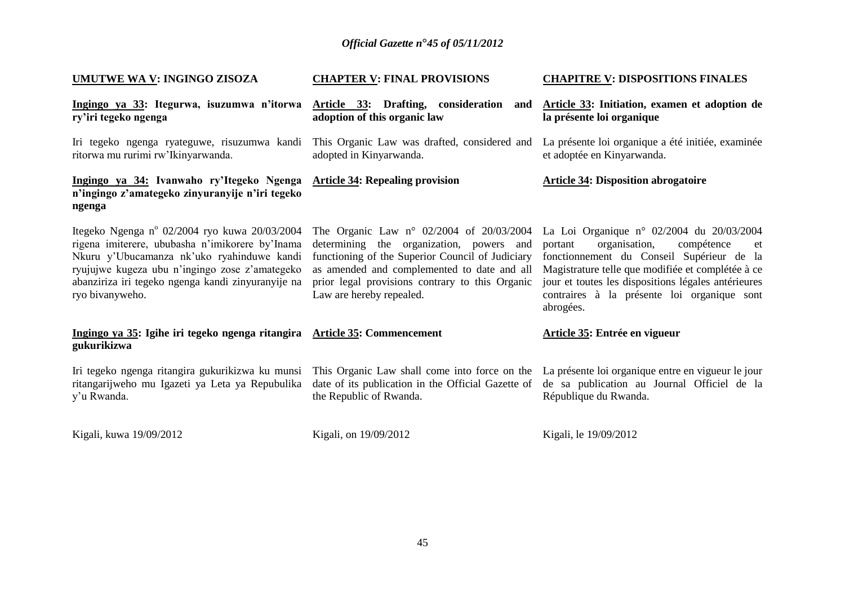| <b>UMUTWE WA V: INGINGO ZISOZA</b>                                                                                                                                                                                                                                        | <b>CHAPTER V: FINAL PROVISIONS</b>                                                                                                                                                                                                                                              | <b>CHAPITRE V: DISPOSITIONS FINALES</b>                                                                                                                                                                                                                                                                        |
|---------------------------------------------------------------------------------------------------------------------------------------------------------------------------------------------------------------------------------------------------------------------------|---------------------------------------------------------------------------------------------------------------------------------------------------------------------------------------------------------------------------------------------------------------------------------|----------------------------------------------------------------------------------------------------------------------------------------------------------------------------------------------------------------------------------------------------------------------------------------------------------------|
| Ingingo ya 33: Itegurwa, isuzumwa n'itorwa<br>ry'iri tegeko ngenga                                                                                                                                                                                                        | Article 33: Drafting, consideration<br>and<br>adoption of this organic law                                                                                                                                                                                                      | Article 33: Initiation, examen et adoption de<br>la présente loi organique                                                                                                                                                                                                                                     |
| Iri tegeko ngenga ryateguwe, risuzumwa kandi<br>ritorwa mu rurimi rw'Ikinyarwanda.                                                                                                                                                                                        | This Organic Law was drafted, considered and La présente loi organique a été initiée, examinée<br>adopted in Kinyarwanda.                                                                                                                                                       | et adoptée en Kinyarwanda.                                                                                                                                                                                                                                                                                     |
| Ingingo ya 34: Ivanwaho ry'Itegeko Ngenga<br>n'ingingo z'amategeko zinyuranyije n'iri tegeko<br>ngenga                                                                                                                                                                    | <b>Article 34: Repealing provision</b>                                                                                                                                                                                                                                          | <b>Article 34: Disposition abrogatoire</b>                                                                                                                                                                                                                                                                     |
| Itegeko Ngenga nº 02/2004 ryo kuwa 20/03/2004<br>rigena imiterere, ububasha n'imikorere by'Inama<br>Nkuru y'Ubucamanza nk'uko ryahinduwe kandi<br>ryujujwe kugeza ubu n'ingingo zose z'amategeko<br>abanziriza iri tegeko ngenga kandi zinyuranyije na<br>ryo bivanyweho. | The Organic Law $n^{\circ}$ 02/2004 of 20/03/2004<br>determining the organization, powers and<br>functioning of the Superior Council of Judiciary<br>as amended and complemented to date and all<br>prior legal provisions contrary to this Organic<br>Law are hereby repealed. | La Loi Organique nº 02/2004 du 20/03/2004<br>organisation,<br>compétence<br>portant<br>et<br>fonctionnement du Conseil Supérieur de la<br>Magistrature telle que modifiée et complétée à ce<br>jour et toutes les dispositions légales antérieures<br>contraires à la présente loi organique sont<br>abrogées. |
| Ingingo ya 35: Igihe iri tegeko ngenga ritangira Article 35: Commencement<br>gukurikizwa                                                                                                                                                                                  |                                                                                                                                                                                                                                                                                 | Article 35: Entrée en vigueur                                                                                                                                                                                                                                                                                  |
| Iri tegeko ngenga ritangira gukurikizwa ku munsi<br>ritangarijweho mu Igazeti ya Leta ya Repubulika<br>y'u Rwanda.                                                                                                                                                        | This Organic Law shall come into force on the La présente loi organique entre en vigueur le jour<br>date of its publication in the Official Gazette of<br>the Republic of Rwanda.                                                                                               | de sa publication au Journal Officiel de la<br>République du Rwanda.                                                                                                                                                                                                                                           |
| Kigali, kuwa 19/09/2012                                                                                                                                                                                                                                                   | Kigali, on 19/09/2012                                                                                                                                                                                                                                                           | Kigali, le 19/09/2012                                                                                                                                                                                                                                                                                          |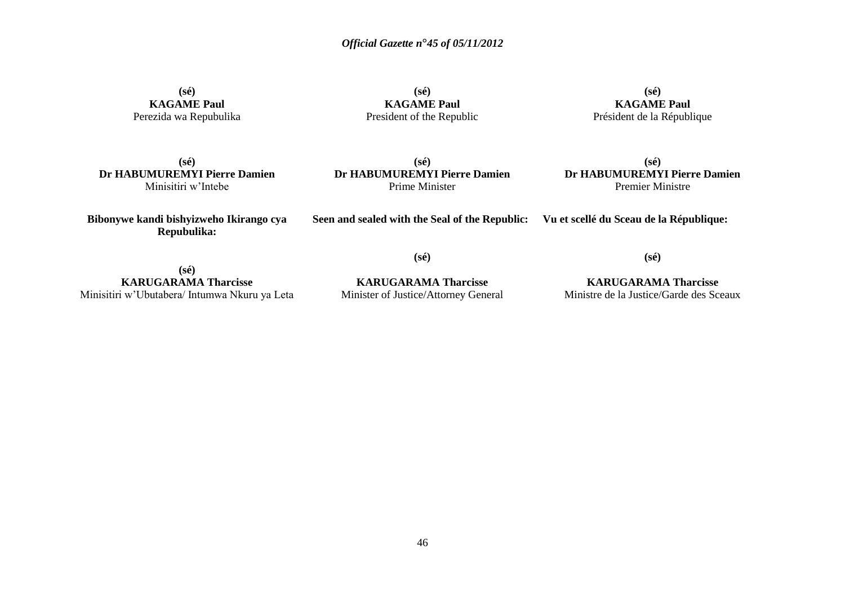**(sé) KAGAME Paul** Perezida wa Repubulika

**(sé) KAGAME Paul** President of the Republic

**(sé) KAGAME Paul** Président de la République

**(sé) Dr HABUMUREMYI Pierre Damien** Minisitiri w'Intebe

**(sé) Dr HABUMUREMYI Pierre Damien** Prime Minister

**(sé) Dr HABUMUREMYI Pierre Damien** Premier Ministre

**Bibonywe kandi bishyizweho Ikirango cya Repubulika:**

**Seen and sealed with the Seal of the Republic: Vu et scellé du Sceau de la République:**

**(sé)**

**(sé) KARUGARAMA Tharcisse** Minisitiri w'Ubutabera/ Intumwa Nkuru ya Leta

**KARUGARAMA Tharcisse** Minister of Justice/Attorney General

**(sé)**

**KARUGARAMA Tharcisse** Ministre de la Justice/Garde des Sceaux

46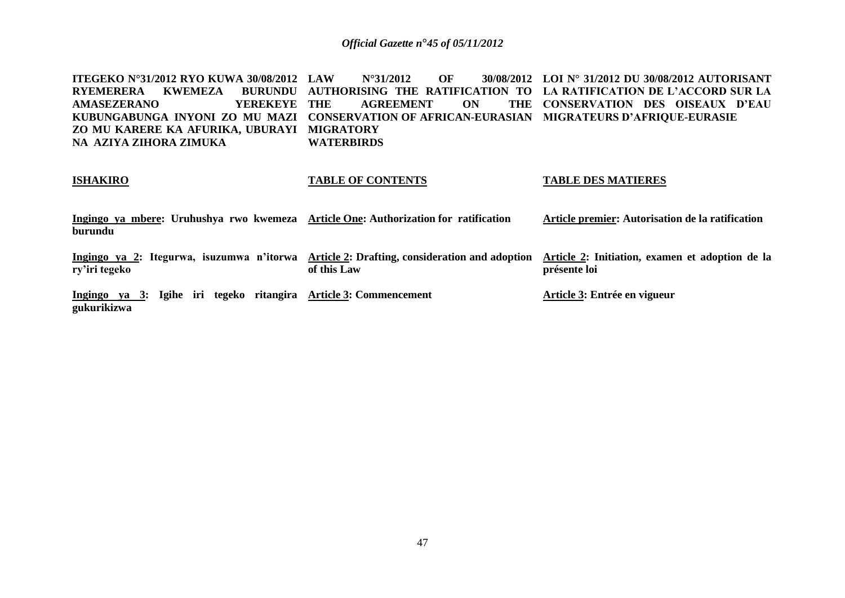**ITEGEKO N°31/2012 RYO KUWA 30/08/2012 RYEMERERA KWEMEZA BURUNDU AUTHORISING THE RATIFICATION TO LA RATIFICATION DE L'ACCORD SUR LA AMASEZERANO YEREKEYE KUBUNGABUNGA INYONI ZO MU MAZI CONSERVATION OF AFRICAN-EURASIAN MIGRATEURS D'AFRIQUE-EURASIE ZO MU KARERE KA AFURIKA, UBURAYI MIGRATORY NA AZIYA ZIHORA ZIMUKA LAU ASSEMBLE 2012 OF AGREEMENT ON WATERBIRDS LOI N° 31/2012 DU 30/08/2012 AUTORISANT CONSERVATION DES OISEAUX D'EAU** 

| <b>ISHAKIRO</b>                                                                                | <b>TABLE OF CONTENTS</b>                                                                                 | <b>TABLE DES MATIERES</b>                                       |
|------------------------------------------------------------------------------------------------|----------------------------------------------------------------------------------------------------------|-----------------------------------------------------------------|
| Ingingo ya mbere: Uruhushya rwo kwemeza Article One: Authorization for ratification<br>burundu |                                                                                                          | Article premier: Autorisation de la ratification                |
| ry'iri tegeko                                                                                  | Ingingo ya 2: Itegurwa, isuzumwa n'itorwa Article 2: Drafting, consideration and adoption<br>of this Law | Article 2: Initiation, examen et adoption de la<br>présente loi |
| Ingingo ya 3: Igihe iri tegeko ritangira Article 3: Commencement<br>gukurikizwa                |                                                                                                          | Article 3: Entrée en vigueur                                    |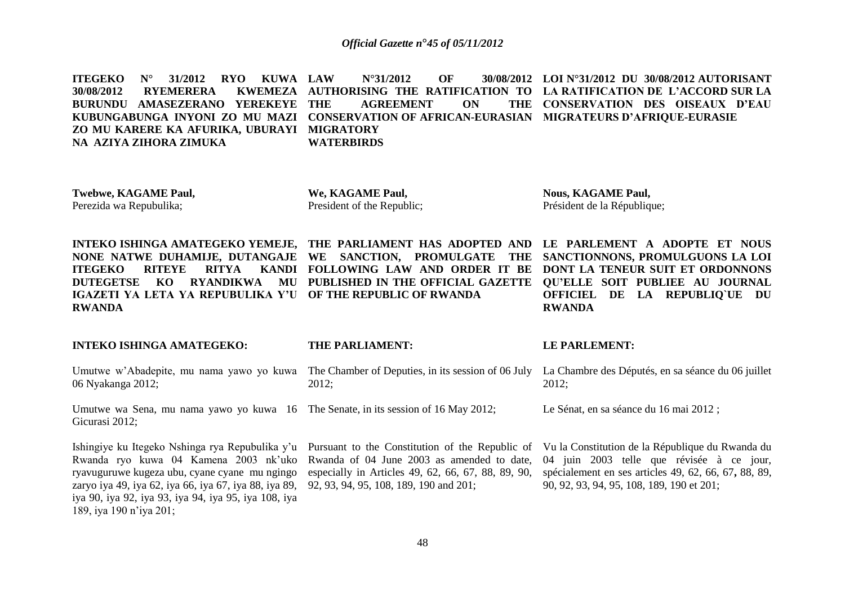**ITEGEKO N° 31/2012 RYO KUWA 30/08/2012 RYEMERERA BURUNDU AMASEZERANO YEREKEYE KUBUNGABUNGA INYONI ZO MU MAZI CONSERVATION OF AFRICAN-EURASIAN MIGRATEURS D'AFRIQUE-EURASIE ZO MU KARERE KA AFURIKA, UBURAYI MIGRATORY NA AZIYA ZIHORA ZIMUKA LAU SEX 12012 OF AUTHORISING THE RATIFICATION TO LA RATIFICATION DE L'ACCORD SUR LA AGREEMENT ON WATERBIRDS LOI N°31/2012 DU 30/08/2012 AUTORISANT CONSERVATION DES OISEAUX D'EAU** 

**Twebwe, KAGAME Paul,**  Perezida wa Repubulika;

**We, KAGAME Paul,**  President of the Republic;

**Nous, KAGAME Paul,**  Président de la République;

**INTEKO ISHINGA AMATEGEKO YEMEJE, THE PARLIAMENT HAS ADOPTED AND LE PARLEMENT A ADOPTE ET NOUS NONE NATWE DUHAMIJE, DUTANGAJE WE SANCTION, PROMULGATE THE SANCTIONNONS, PROMULGUONS LA LOI ITEGEKO RITEYE RITYA DUTEGETSE KO RYANDIKWA MU PUBLISHED IN THE OFFICIAL GAZETTE QU'ELLE SOIT PUBLIEE AU JOURNAL IGAZETI YA LETA YA REPUBULIKA Y'U OF THE REPUBLIC OF RWANDA RWANDA** 

**FOLLOWING LAW AND ORDER IT BE DONT LA TENEUR SUIT ET ORDONNONS OFFICIEL DE LA REPUBLIQ`UE DU RWANDA**

**INTEKO ISHINGA AMATEGEKO:** 

**THE PARLIAMENT:** 

06 Nyakanga 2012; 2012;

Umutwe wa Sena, mu nama yawo yo kuwa 16 The Senate, in its session of 16 May 2012; Gicurasi 2012;

Ishingiye ku Itegeko Nshinga rya Repubulika y'u Pursuant to the Constitution of the Republic of Rwanda ryo kuwa 04 Kamena 2003 nk'uko ryavuguruwe kugeza ubu, cyane cyane mu ngingo zaryo iya 49, iya 62, iya 66, iya 67, iya 88, iya 89, 92, 93, 94, 95, 108, 189, 190 and 201; iya 90, iya 92, iya 93, iya 94, iya 95, iya 108, iya 189, iya 190 n'iya 201;

Rwanda of 04 June 2003 as amended to date, especially in Articles 49, 62, 66, 67, 88, 89, 90,

#### **LE PARLEMENT:**

Umutwe w'Abadepite, mu nama yawo yo kuwa The Chamber of Deputies, in its session of 06 July La Chambre des Députés, en sa séance du 06 juillet 2012;

Le Sénat, en sa séance du 16 mai 2012 ;

Vu la Constitution de la République du Rwanda du 04 juin 2003 telle que révisée à ce jour, spécialement en ses articles 49, 62, 66, 67**,** 88, 89, 90, 92, 93, 94, 95, 108, 189, 190 et 201;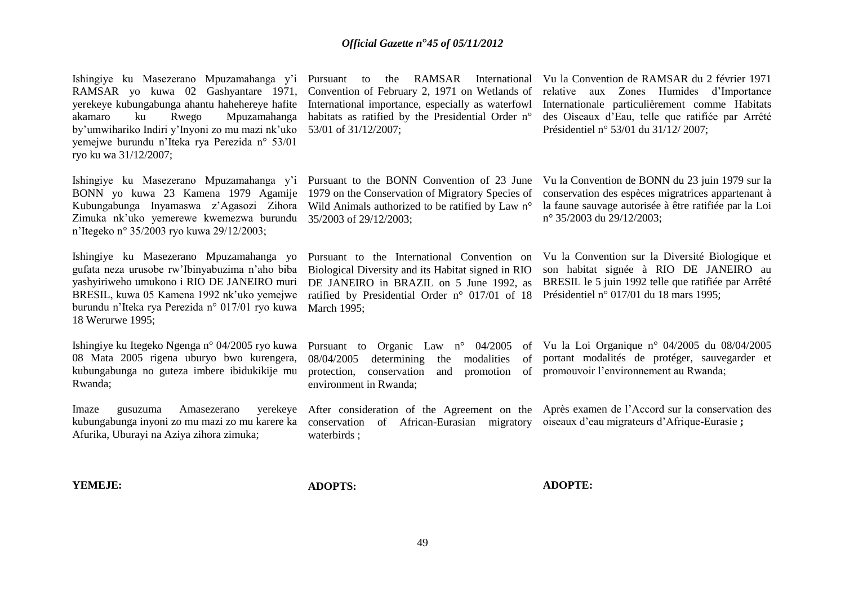Ishingiye ku Masezerano Mpuzamahanga y'i Pursuant to the RAMSAR International Vu la Convention de RAMSAR du 2 février 1971 RAMSAR yo kuwa 02 Gashyantare 1971, Convention of February 2, 1971 on Wetlands of yerekeye kubungabunga ahantu hahehereye hafite International importance, especially as waterfowl akamaro ku Rwego Mpuzamahanga habitats as ratified by the Presidential Order n° by'umwihariko Indiri y'Inyoni zo mu mazi nk'uko 53/01 of 31/12/2007; yemejwe burundu n'Iteka rya Perezida n° 53/01 ryo ku wa 31/12/2007; Ishingiye ku Masezerano Mpuzamahanga y'i Pursuant to the BONN Convention of 23 June BONN yo kuwa 23 Kamena 1979 Agamije Kubungabunga Inyamaswa z'Agasozi Zihora Wild Animals authorized to be ratified by Law n° Zimuka nk'uko yemerewe kwemezwa burundu 35/2003 of 29/12/2003; n'Itegeko n° 35/2003 ryo kuwa 29/12/2003; Ishingiye ku Masezerano Mpuzamahanga yo gufata neza urusobe rw'Ibinyabuzima n'aho biba yashyiriweho umukono i RIO DE JANEIRO muri BRESIL, kuwa 05 Kamena 1992 nk'uko yemejwe burundu n'Iteka rya Perezida n° 017/01 ryo kuwa March 1995; 18 Werurwe 1995; Ishingiye ku Itegeko Ngenga n° 04/2005 ryo kuwa 08 Mata 2005 rigena uburyo bwo kurengera, kubungabunga no guteza imbere ibidukikije mu Rwanda; Imaze gusuzuma Amasezerano kubungabunga inyoni zo mu mazi zo mu karere ka conservation of African-Eurasian migratory oiseaux d'eau migrateurs d'Afrique-Eurasie **;** Afurika, Uburayi na Aziya zihora zimuka; 1979 on the Conservation of Migratory Species of Pursuant to the International Convention on Biological Diversity and its Habitat signed in RIO DE JANEIRO in BRAZIL on 5 June 1992, as ratified by Presidential Order n° 017/01 of 18 Présidentiel n° 017/01 du 18 mars 1995; Pursuant to Organic Law n° 04/2005 of Vu la Loi Organique n° 04/2005 du 08/04/2005 08/04/2005 determining the modalities of protection, conservation and promotion of promouvoir l'environnement au Rwanda; environment in Rwanda; After consideration of the Agreement on the Après examen de l'Accord sur la conservation des waterbirds ; relative aux Zones Humides d'Importance Internationale particulièrement comme Habitats des Oiseaux d'Eau, telle que ratifiée par Arrêté Présidentiel n° 53/01 du 31/12/ 2007; Vu la Convention de BONN du 23 juin 1979 sur la conservation des espèces migratrices appartenant à la faune sauvage autorisée à être ratifiée par la Loi n° 35/2003 du 29/12/2003; Vu la Convention sur la Diversité Biologique et son habitat signée à RIO DE JANEIRO au BRESIL le 5 juin 1992 telle que ratifiée par Arrêté portant modalités de protéger, sauvegarder et

**YEMEJE:** 

**ADOPTS:** 

**ADOPTE:**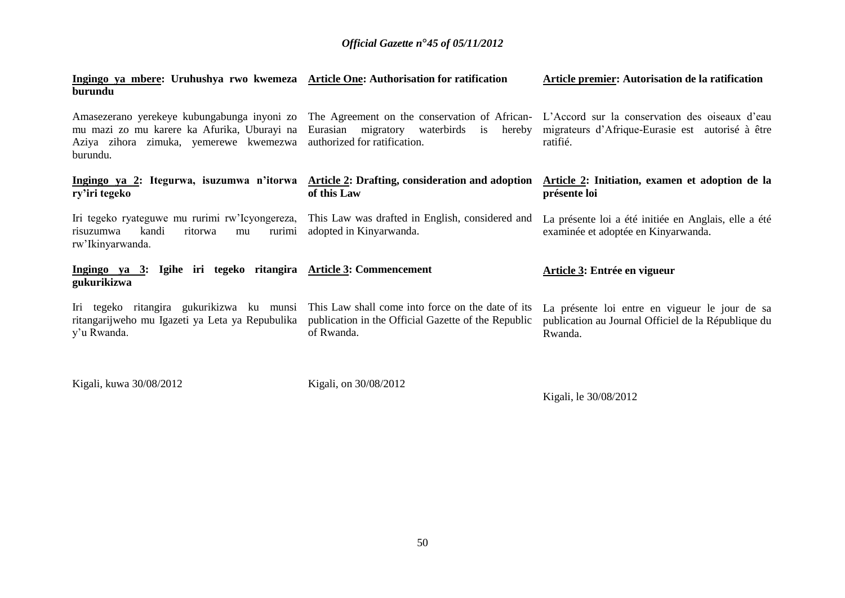| Ingingo ya mbere: Uruhushya rwo kwemeza Article One: Authorisation for ratification<br>burundu                                                                      |                                                                                                                        | Article premier: Autorisation de la ratification                                                                                                                                                                                                 |
|---------------------------------------------------------------------------------------------------------------------------------------------------------------------|------------------------------------------------------------------------------------------------------------------------|--------------------------------------------------------------------------------------------------------------------------------------------------------------------------------------------------------------------------------------------------|
| mu mazi zo mu karere ka Afurika, Uburayi na<br>Aziya zihora zimuka, yemerewe kwemezwa<br>burundu.                                                                   | authorized for ratification.                                                                                           | Amasezerano yerekeye kubungabunga inyoni zo The Agreement on the conservation of African- L'Accord sur la conservation des oiseaux d'eau<br>Eurasian migratory waterbirds is hereby migrateurs d'Afrique-Eurasie est autorisé à être<br>ratifié. |
| Ingingo ya 2: Itegurwa, isuzumwa n'itorwa Article 2: Drafting, consideration and adoption<br>ry'iri tegeko                                                          | of this Law                                                                                                            | Article 2: Initiation, examen et adoption de la<br>présente loi                                                                                                                                                                                  |
| Iri tegeko ryateguwe mu rurimi rw'Icyongereza, This Law was drafted in English, considered and<br>kandi<br>risuzumwa<br>ritorwa<br>rurimi<br>mu<br>rw'Ikinyarwanda. | adopted in Kinyarwanda.                                                                                                | La présente loi a été initiée en Anglais, elle a été<br>examinée et adoptée en Kinyarwanda.                                                                                                                                                      |
| Ingingo ya 3: Igihe iri tegeko ritangira Article 3: Commencement<br>gukurikizwa                                                                                     |                                                                                                                        | Article 3: Entrée en vigueur                                                                                                                                                                                                                     |
| Iri tegeko ritangira gukurikizwa ku munsi<br>ritangarijweho mu Igazeti ya Leta ya Repubulika<br>y'u Rwanda.                                                         | This Law shall come into force on the date of its<br>publication in the Official Gazette of the Republic<br>of Rwanda. | La présente loi entre en vigueur le jour de sa<br>publication au Journal Officiel de la République du<br>Rwanda.                                                                                                                                 |
| Kigali, kuwa 30/08/2012                                                                                                                                             | Kigali, on 30/08/2012                                                                                                  |                                                                                                                                                                                                                                                  |

Kigali, le 30/08/2012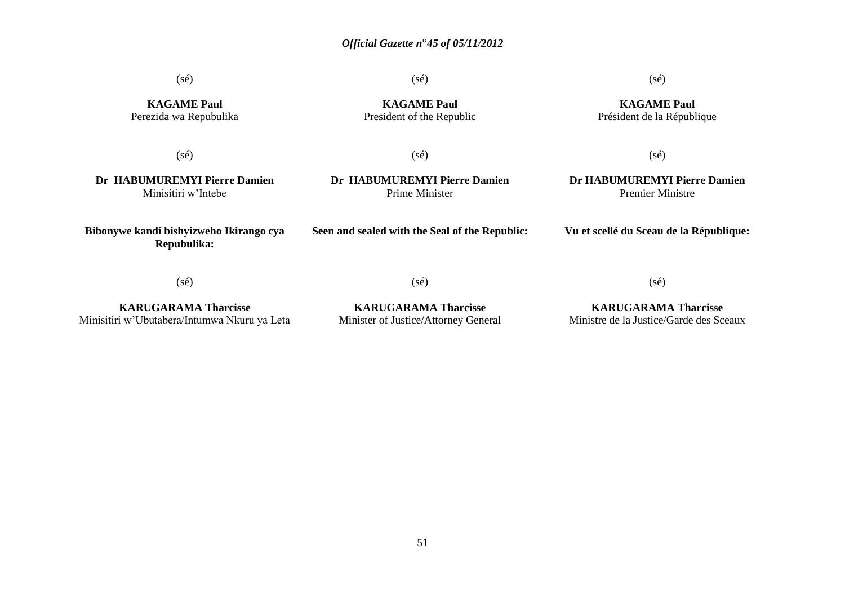(sé)

(sé)

### (sé)

**KAGAME Paul** Perezida wa Repubulika

**KAGAME Paul** President of the Republic

**KAGAME Paul** Président de la République

(sé)

(sé)

(sé)

**Dr HABUMUREMYI Pierre Damien** Minisitiri w'Intebe

**Bibonywe kandi bishyizweho Ikirango cya Repubulika:**

**Dr HABUMUREMYI Pierre Damien** Prime Minister

**Dr HABUMUREMYI Pierre Damien** Premier Ministre

**Vu et scellé du Sceau de la République:**

(sé)

(sé)

**Seen and sealed with the Seal of the Republic:**

**KARUGARAMA Tharcisse** Minisitiri w'Ubutabera/Intumwa Nkuru ya Leta

**KARUGARAMA Tharcisse** Minister of Justice/Attorney General

**KARUGARAMA Tharcisse** Ministre de la Justice/Garde des Sceaux

(sé)

51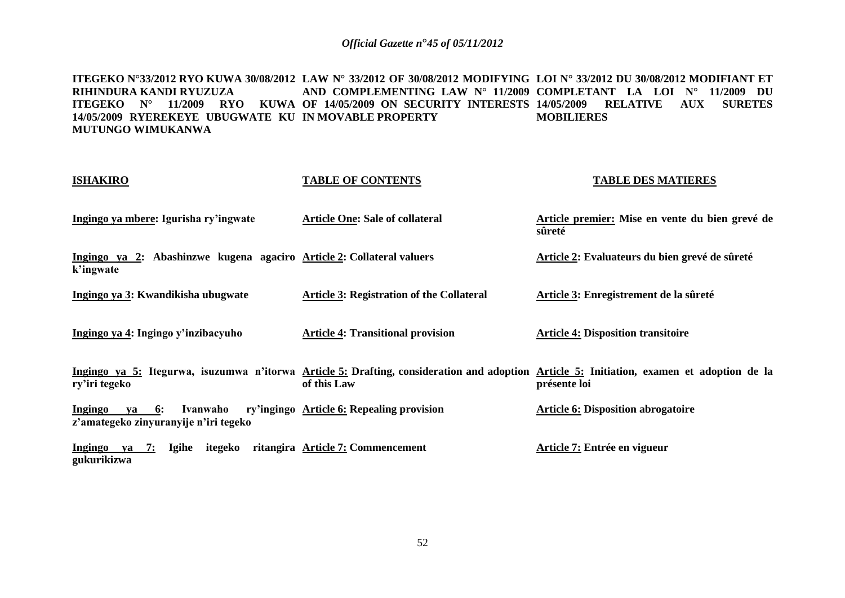**ITEGEKO N°33/2012 RYO KUWA 30/08/2012 LAW N° 33/2012 OF 30/08/2012 MODIFYING LOI N° 33/2012 DU 30/08/2012 MODIFIANT ET RIHINDURA KANDI RYUZUZA ITEGEKO N° 11/2009 RYO KUWA OF 14/05/2009 ON SECURITY INTERESTS 14/05/2009 RELATIVE AUX SURETES 14/05/2009 RYEREKEYE UBUGWATE KU IN MOVABLE PROPERTY MUTUNGO WIMUKANWA AND COMPLEMENTING LAW N° 11/2009 COMPLETANT LA LOI N° 11/2009 DU MOBILIERES** 

| <b>ISHAKIRO</b>                                                                    | <b>TABLE OF CONTENTS</b>                         | <b>TABLE DES MATIERES</b>                                                                                                                                 |
|------------------------------------------------------------------------------------|--------------------------------------------------|-----------------------------------------------------------------------------------------------------------------------------------------------------------|
| Ingingo ya mbere: Igurisha ry'ingwate                                              | <b>Article One: Sale of collateral</b>           | Article premier: Mise en vente du bien grevé de<br>sûreté                                                                                                 |
| Ingingo ya 2: Abashinzwe kugena agaciro Article 2: Collateral valuers<br>k'ingwate |                                                  | Article 2: Evaluateurs du bien grevé de sûreté                                                                                                            |
| Ingingo ya 3: Kwandikisha ubugwate                                                 | <b>Article 3: Registration of the Collateral</b> | Article 3: Enregistrement de la sûreté                                                                                                                    |
| Ingingo ya 4: Ingingo y'inzibacyuho                                                | <b>Article 4: Transitional provision</b>         | <b>Article 4: Disposition transitoire</b>                                                                                                                 |
| ry'iri tegeko                                                                      | of this Law                                      | Ingingo ya 5: Itegurwa, isuzumwa n'itorwa Article 5: Drafting, consideration and adoption Article 5: Initiation, examen et adoption de la<br>présente loi |
| Ingingo<br>6:<br>Ivanwaho<br>va<br>z'amategeko zinyuranyije n'iri tegeko           | ry'ingingo Article 6: Repealing provision        | <b>Article 6: Disposition abrogatoire</b>                                                                                                                 |
| Ingingo ya 7:<br>Igihe<br>itegeko<br>gukurikizwa                                   | ritangira Article 7: Commencement                | Article 7: Entrée en vigueur                                                                                                                              |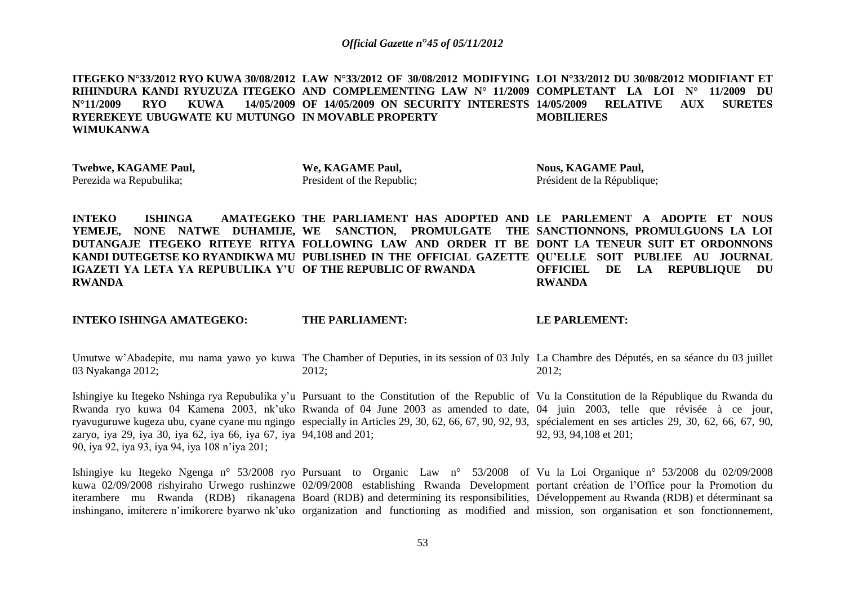**ITEGEKO N°33/2012 RYO KUWA 30/08/2012 LAW N°33/2012 OF 30/08/2012 MODIFYING LOI N°33/2012 DU 30/08/2012 MODIFIANT ET RIHINDURA KANDI RYUZUZA ITEGEKO AND COMPLEMENTING LAW N° 11/2009 COMPLETANT LA LOI N° 11/2009 DU N°11/2009 RYO KUWA 14/05/2009 OF 14/05/2009 ON SECURITY INTERESTS 14/05/2009 RELATIVE AUX SURETES RYEREKEYE UBUGWATE KU MUTUNGO IN MOVABLE PROPERTY WIMUKANWA MOBILIERES** 

**Twebwe, KAGAME Paul,**  Perezida wa Repubulika;

**We, KAGAME Paul,** President of the Republic;

**Nous, KAGAME Paul,** Président de la République;

**INTEKO ISHINGA AMATEGEKO THE PARLIAMENT HAS ADOPTED AND LE PARLEMENT A ADOPTE ET NOUS YEMEJE, NONE NATWE DUHAMIJE, WE SANCTION, PROMULGATE THE SANCTIONNONS, PROMULGUONS LA LOI DUTANGAJE ITEGEKO RITEYE RITYA FOLLOWING LAW AND ORDER IT BE DONT LA TENEUR SUIT ET ORDONNONS KANDI DUTEGETSE KO RYANDIKWA MU PUBLISHED IN THE OFFICIAL GAZETTE QU'ELLE SOIT PUBLIEE AU JOURNAL IGAZETI YA LETA YA REPUBULIKA Y'U OF THE REPUBLIC OF RWANDA RWANDA OFFICIEL DE LA REPUBLIQUE DU RWANDA**

**INTEKO ISHINGA AMATEGEKO:**

**THE PARLIAMENT:**

#### **LE PARLEMENT:**

Umutwe w'Abadepite, mu nama yawo yo kuwa The Chamber of Deputies, in its session of 03 July La Chambre des Députés, en sa séance du 03 juillet 03 Nyakanga 2012; 2012; 2012;

Ishingiye ku Itegeko Nshinga rya Repubulika y'u Pursuant to the Constitution of the Republic of Vu la Constitution de la République du Rwanda du Rwanda ryo kuwa 04 Kamena 2003, nk'uko Rwanda of 04 June 2003 as amended to date, 04 juin 2003, telle que révisée à ce jour, ryavuguruwe kugeza ubu, cyane cyane mu ngingo especially in Articles 29, 30, 62, 66, 67, 90, 92, 93, spécialement en ses articles 29, 30, 62, 66, 67, 90, zaryo, iya 29, iya 30, iya 62, iya 66, iya 67, iya 94,108 and 201; 90, iya 92, iya 93, iya 94, iya 108 n'iya 201; 92, 93, 94,108 et 201;

Ishingiye ku Itegeko Ngenga n° 53/2008 ryo Pursuant to Organic Law n° 53/2008 of Vu la Loi Organique n° 53/2008 du 02/09/2008 kuwa 02/09/2008 rishyiraho Urwego rushinzwe 02/09/2008 establishing Rwanda Development portant création de l'Office pour la Promotion du iterambere mu Rwanda (RDB) rikanagena Board (RDB) and determining its responsibilities, Développement au Rwanda (RDB) et déterminant sa inshingano, imiterere n'imikorere byarwo nk'uko organization and functioning as modified and mission, son organisation et son fonctionnement,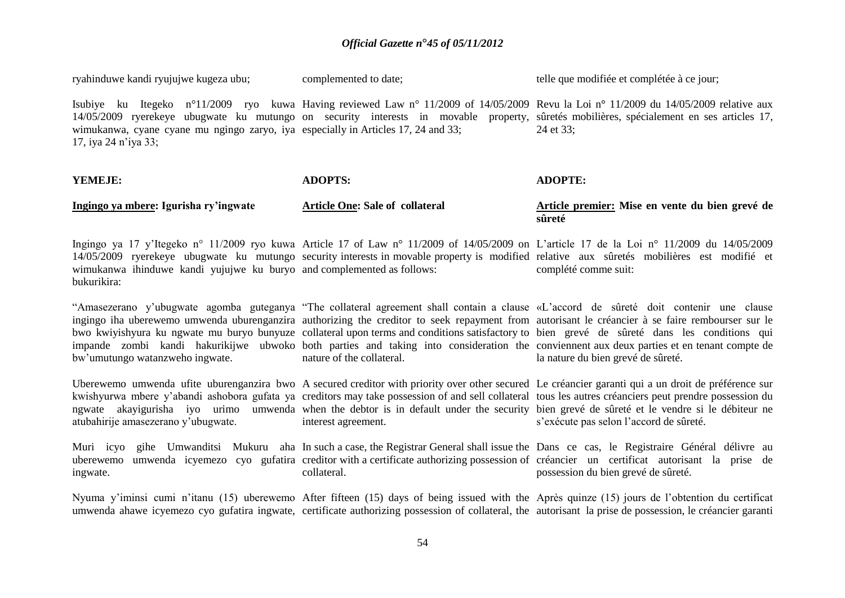| ryahinduwe kandi ryujujwe kugeza ubu;                                                                     | complemented to date;                  | telle que modifiée et complétée à ce jour;                                                                                                                                                                                                                                                                                                                                                                                                                                                                                                                                                                                    |
|-----------------------------------------------------------------------------------------------------------|----------------------------------------|-------------------------------------------------------------------------------------------------------------------------------------------------------------------------------------------------------------------------------------------------------------------------------------------------------------------------------------------------------------------------------------------------------------------------------------------------------------------------------------------------------------------------------------------------------------------------------------------------------------------------------|
| wimukanwa, cyane cyane mu ngingo zaryo, iya especially in Articles 17, 24 and 33;<br>17, iya 24 n'iya 33; |                                        | Isubiye ku Itegeko n°11/2009 ryo kuwa Having reviewed Law n° 11/2009 of 14/05/2009 Revu la Loi n° 11/2009 du 14/05/2009 relative aux<br>14/05/2009 ryerekeye ubugwate ku mutungo on security interests in movable property, sûretés mobilières, spécialement en ses articles 17,<br>24 et 33;                                                                                                                                                                                                                                                                                                                                 |
| YEMEJE:                                                                                                   | <b>ADOPTS:</b>                         | <b>ADOPTE:</b>                                                                                                                                                                                                                                                                                                                                                                                                                                                                                                                                                                                                                |
| Ingingo ya mbere: Igurisha ry'ingwate                                                                     | <b>Article One: Sale of collateral</b> | Article premier: Mise en vente du bien grevé de<br>sûreté                                                                                                                                                                                                                                                                                                                                                                                                                                                                                                                                                                     |
| wimukanwa ihinduwe kandi yujujwe ku buryo and complemented as follows:<br>bukurikira:                     |                                        | Ingingo ya 17 y'Itegeko nº 11/2009 ryo kuwa Article 17 of Law nº 11/2009 of 14/05/2009 on L'article 17 de la Loi nº 11/2009 du 14/05/2009<br>14/05/2009 ryerekeye ubugwate ku mutungo security interests in movable property is modified relative aux sûretés mobilières est modifié et<br>complété comme suit:                                                                                                                                                                                                                                                                                                               |
| bw'umutungo watanzweho ingwate.                                                                           | nature of the collateral.              | "Amasezerano y'ubugwate agomba guteganya "The collateral agreement shall contain a clause «L'accord de sûreté doit contenir une clause<br>ingingo iha uberewemo umwenda uburenganzira authorizing the creditor to seek repayment from autorisant le créancier à se faire rembourser sur le<br>bwo kwiyishyura ku ngwate mu buryo bunyuze collateral upon terms and conditions satisfactory to bien grevé de sûreté dans les conditions qui<br>impande zombi kandi hakurikijwe ubwoko both parties and taking into consideration the conviennent aux deux parties et en tenant compte de<br>la nature du bien grevé de sûreté. |
| atubahirije amasezerano y'ubugwate.                                                                       | interest agreement.                    | Uberewemo umwenda ufite uburenganzira bwo A secured creditor with priority over other secured Le créancier garanti qui a un droit de préférence sur<br>kwishyurwa mbere y'abandi ashobora gufata ya creditors may take possession of and sell collateral tous les autres créanciers peut prendre possession du<br>ngwate akayigurisha iyo urimo umwenda when the debtor is in default under the security bien grevé de sûreté et le vendre si le débiteur ne<br>s'exécute pas selon l'accord de sûreté.                                                                                                                       |
| Muri icyo<br>uberewemo<br>ingwate.                                                                        | collateral.                            | gihe Umwanditsi Mukuru aha In such a case, the Registrar General shall issue the Dans ce cas, le Registraire Général délivre au<br>umwenda icyemezo cyo gufatira creditor with a certificate authorizing possession of créancier un certificat autorisant la prise de<br>possession du bien grevé de sûreté.                                                                                                                                                                                                                                                                                                                  |
|                                                                                                           |                                        | Nyuma y'iminsi cumi n'itanu (15) uberewemo After fifteen (15) days of being issued with the Après quinze (15) jours de l'obtention du certificat<br>umwenda ahawe icyemezo cyo gufatira ingwate, certificate authorizing possession of collateral, the autorisant la prise de possession, le créancier garanti                                                                                                                                                                                                                                                                                                                |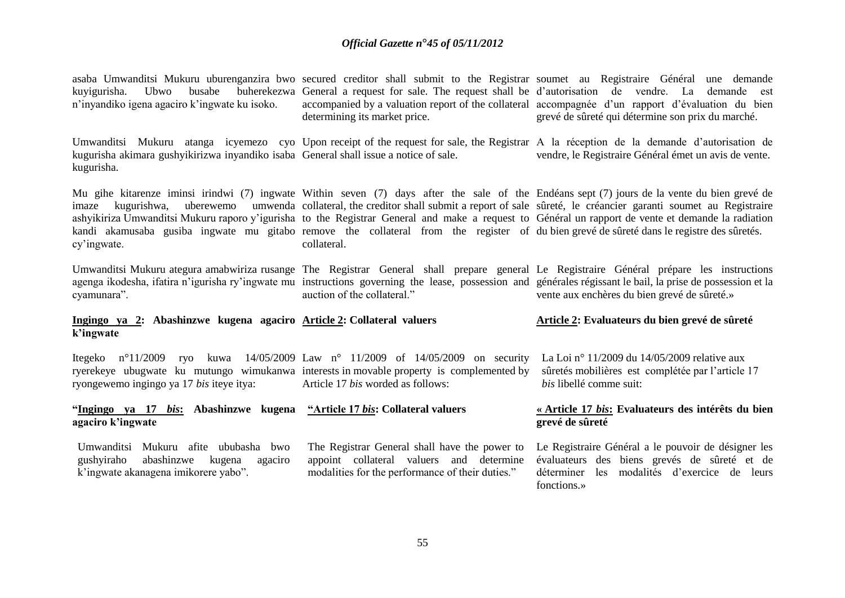| Ubwo<br>busabe<br>kuyigurisha.<br>n'inyandiko igena agaciro k'ingwate ku isoko.                     | buherekezwa General a request for sale. The request shall be d'autorisation de vendre. La<br>determining its market price.                                                                                      | asaba Umwanditsi Mukuru uburenganzira bwo secured creditor shall submit to the Registrar soumet au Registraire Général une demande<br>demande est<br>accompanied by a valuation report of the collateral accompagnée d'un rapport d'évaluation du bien<br>grevé de sûreté qui détermine son prix du marché.                                                                                                                       |
|-----------------------------------------------------------------------------------------------------|-----------------------------------------------------------------------------------------------------------------------------------------------------------------------------------------------------------------|-----------------------------------------------------------------------------------------------------------------------------------------------------------------------------------------------------------------------------------------------------------------------------------------------------------------------------------------------------------------------------------------------------------------------------------|
| kugurisha akimara gushyikirizwa inyandiko isaba General shall issue a notice of sale.<br>kugurisha. |                                                                                                                                                                                                                 | Umwanditsi Mukuru atanga icyemezo cyo Upon receipt of the request for sale, the Registrar A la réception de la demande d'autorisation de<br>vendre, le Registraire Général émet un avis de vente.                                                                                                                                                                                                                                 |
| kugurishwa.<br>imaze<br>cy'ingwate.                                                                 | kandi akamusaba gusiba ingwate mu gitabo remove the collateral from the register of du bien grevé de sûreté dans le registre des sûretés.<br>collateral.                                                        | Mu gihe kitarenze iminsi irindwi (7) ingwate Within seven (7) days after the sale of the Endéans sept (7) jours de la vente du bien grevé de<br>uberewemo umwenda collateral, the creditor shall submit a report of sale sûreté, le créancier garanti soumet au Registraire<br>ashyikiriza Umwanditsi Mukuru raporo y'igurisha to the Registrar General and make a request to Général un rapport de vente et demande la radiation |
| cyamunara".                                                                                         | auction of the collateral."                                                                                                                                                                                     | Umwanditsi Mukuru ategura amabwiriza rusange The Registrar General shall prepare general Le Registraire Général prépare les instructions<br>agenga ikodesha, ifatira n'igurisha ry'ingwate mu instructions governing the lease, possession and générales régissant le bail, la prise de possession et la<br>vente aux enchères du bien grevé de sûreté.»                                                                          |
| Ingingo ya 2: Abashinzwe kugena agaciro Article 2: Collateral valuers<br>k'ingwate                  |                                                                                                                                                                                                                 | Article 2: Evaluateurs du bien grevé de sûreté                                                                                                                                                                                                                                                                                                                                                                                    |
| ryongewemo ingingo ya 17 bis iteye itya:                                                            | Itegeko nº11/2009 ryo kuwa 14/05/2009 Law nº 11/2009 of 14/05/2009 on security<br>ryerekeye ubugwate ku mutungo wimukanwa interests in movable property is complemented by<br>Article 17 bis worded as follows: | La Loi nº 11/2009 du 14/05/2009 relative aux<br>sûretés mobilières est complétée par l'article 17<br><i>bis</i> libellé comme suit:                                                                                                                                                                                                                                                                                               |

#### **"Ingingo ya 17** *bis***: Abashinzwe kugena "Article 17** *bis***: Collateral valuers agaciro k'ingwate**

Umwanditsi Mukuru afite ububasha bwo gushyiraho abashinzwe kugena agaciro k'ingwate akanagena imikorere yabo".

The Registrar General shall have the power to appoint collateral valuers and determine modalities for the performance of their duties."

**« Article 17** *bis***: Evaluateurs des intérêts du bien grevé de sûreté**

Le Registraire Général a le pouvoir de désigner les évaluateurs des biens grevés de sûreté et de déterminer les modalités d'exercice de leurs fonctions.»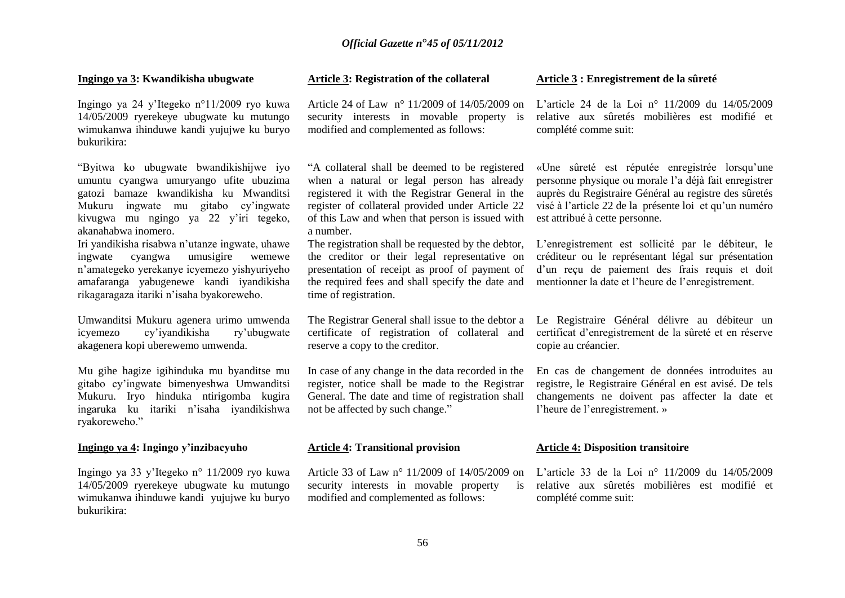#### **Ingingo ya 3: Kwandikisha ubugwate**

Ingingo ya 24 y'Itegeko n°11/2009 ryo kuwa 14/05/2009 ryerekeye ubugwate ku mutungo wimukanwa ihinduwe kandi yujujwe ku buryo bukurikira:

"Byitwa ko ubugwate bwandikishijwe iyo umuntu cyangwa umuryango ufite ubuzima gatozi bamaze kwandikisha ku Mwanditsi Mukuru ingwate mu gitabo cy'ingwate kivugwa mu ngingo ya 22 y'iri tegeko, akanahabwa inomero.

Iri yandikisha risabwa n'utanze ingwate, uhawe ingwate cyangwa umusigire wemewe n'amategeko yerekanye icyemezo yishyuriyeho amafaranga yabugenewe kandi iyandikisha rikagaragaza itariki n'isaha byakoreweho.

Umwanditsi Mukuru agenera urimo umwenda icyemezo cy'iyandikisha ry'ubugwate akagenera kopi uberewemo umwenda.

Mu gihe hagize igihinduka mu byanditse mu gitabo cy'ingwate bimenyeshwa Umwanditsi Mukuru. Iryo hinduka ntirigomba kugira ingaruka ku itariki n'isaha iyandikishwa ryakoreweho."

#### **Ingingo ya 4: Ingingo y'inzibacyuho**

Ingingo ya 33 y'Itegeko n° 11/2009 ryo kuwa 14/05/2009 ryerekeye ubugwate ku mutungo wimukanwa ihinduwe kandi yujujwe ku buryo bukurikira:

#### **Article 3: Registration of the collateral**

security interests in movable property is modified and complemented as follows:

"A collateral shall be deemed to be registered when a natural or legal person has already registered it with the Registrar General in the register of collateral provided under Article 22 of this Law and when that person is issued with a number.

The registration shall be requested by the debtor, the creditor or their legal representative on presentation of receipt as proof of payment of the required fees and shall specify the date and time of registration.

The Registrar General shall issue to the debtor a certificate of registration of collateral and reserve a copy to the creditor.

In case of any change in the data recorded in the register, notice shall be made to the Registrar General. The date and time of registration shall not be affected by such change."

#### **Article 4: Transitional provision**

Article 33 of Law n° 11/2009 of 14/05/2009 on security interests in movable property modified and complemented as follows:

#### **Article 3 : Enregistrement de la sûreté**

Article 24 of Law n° 11/2009 of 14/05/2009 on L'article 24 de la Loi n° 11/2009 du 14/05/2009 relative aux sûretés mobilières est modifié et complété comme suit:

> «Une sûreté est réputée enregistrée lorsqu'une personne physique ou morale l'a déjà fait enregistrer auprès du Registraire Général au registre des sûretés visé à l'article 22 de la présente loi et qu'un numéro est attribué à cette personne.

> L'enregistrement est sollicité par le débiteur, le créditeur ou le représentant légal sur présentation d'un reçu de paiement des frais requis et doit mentionner la date et l'heure de l'enregistrement.

> Le Registraire Général délivre au débiteur un certificat d'enregistrement de la sûreté et en réserve copie au créancier.

> En cas de changement de données introduites au registre, le Registraire Général en est avisé. De tels changements ne doivent pas affecter la date et l'heure de l'enregistrement. »

#### **Article 4: Disposition transitoire**

L'article 33 de la Loi n° 11/2009 du 14/05/2009 relative aux sûretés mobilières est modifié et complété comme suit: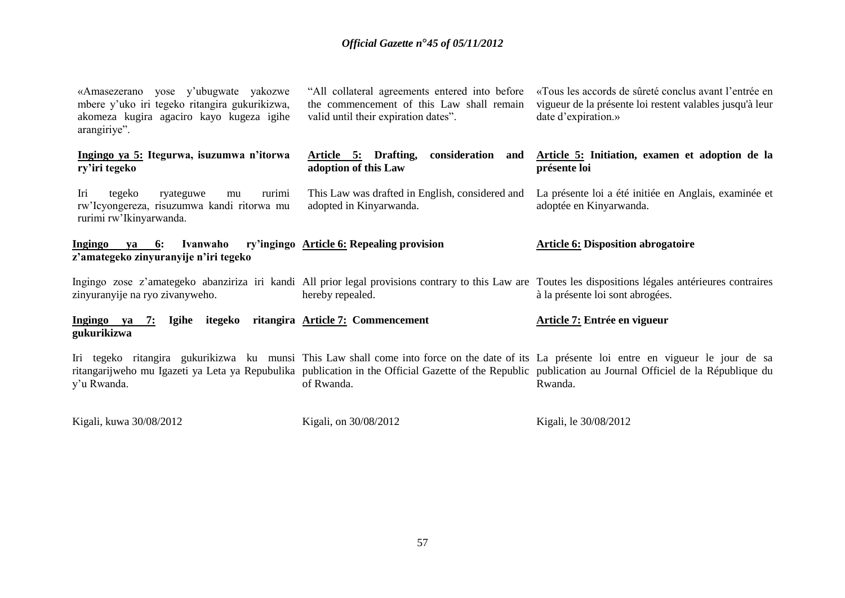| «Amasezerano yose y'ubugwate yakozwe<br>mbere y'uko iri tegeko ritangira gukurikizwa,<br>akomeza kugira agaciro kayo kugeza igihe<br>arangiriye". | "All collateral agreements entered into before<br>the commencement of this Law shall remain<br>valid until their expiration dates". | «Tous les accords de sûreté conclus avant l'entrée en<br>vigueur de la présente loi restent valables jusqu'à leur<br>date d'expiration.»                                                                                                                                                                         |
|---------------------------------------------------------------------------------------------------------------------------------------------------|-------------------------------------------------------------------------------------------------------------------------------------|------------------------------------------------------------------------------------------------------------------------------------------------------------------------------------------------------------------------------------------------------------------------------------------------------------------|
| Ingingo ya 5: Itegurwa, isuzumwa n'itorwa<br>ry'iri tegeko                                                                                        | Article 5: Drafting,<br>consideration and<br>adoption of this Law                                                                   | Article 5: Initiation, examen et adoption de la<br>présente loi                                                                                                                                                                                                                                                  |
| Iri<br>rurimi<br>tegeko<br>ryateguwe<br>mu<br>rw'Icyongereza, risuzumwa kandi ritorwa mu<br>rurimi rw'Ikinyarwanda.                               | This Law was drafted in English, considered and<br>adopted in Kinyarwanda.                                                          | La présente loi a été initiée en Anglais, examinée et<br>adoptée en Kinyarwanda.                                                                                                                                                                                                                                 |
| Ingingo<br>$ya = 6$ :<br>Ivanwaho<br>z'amategeko zinyuranyije n'iri tegeko                                                                        | ry'ingingo Article 6: Repealing provision                                                                                           | <b>Article 6: Disposition abrogatoire</b>                                                                                                                                                                                                                                                                        |
| zinyuranyije na ryo zivanyweho.                                                                                                                   | hereby repealed.                                                                                                                    | Ingingo zose z'amategeko abanziriza iri kandi All prior legal provisions contrary to this Law are Toutes les dispositions légales antérieures contraires<br>à la présente loi sont abrogées.                                                                                                                     |
| 7: Igihe itegeko ritangira Article 7: Commencement<br>Ingingo ya<br>gukurikizwa                                                                   |                                                                                                                                     | Article 7: Entrée en vigueur                                                                                                                                                                                                                                                                                     |
| y'u Rwanda.                                                                                                                                       | of Rwanda.                                                                                                                          | Iri tegeko ritangira gukurikizwa ku munsi This Law shall come into force on the date of its La présente loi entre en vigueur le jour de sa<br>ritangarijweho mu Igazeti ya Leta ya Repubulika publication in the Official Gazette of the Republic publication au Journal Officiel de la République du<br>Rwanda. |
| Kigali, kuwa 30/08/2012                                                                                                                           | Kigali, on 30/08/2012                                                                                                               | Kigali, le 30/08/2012                                                                                                                                                                                                                                                                                            |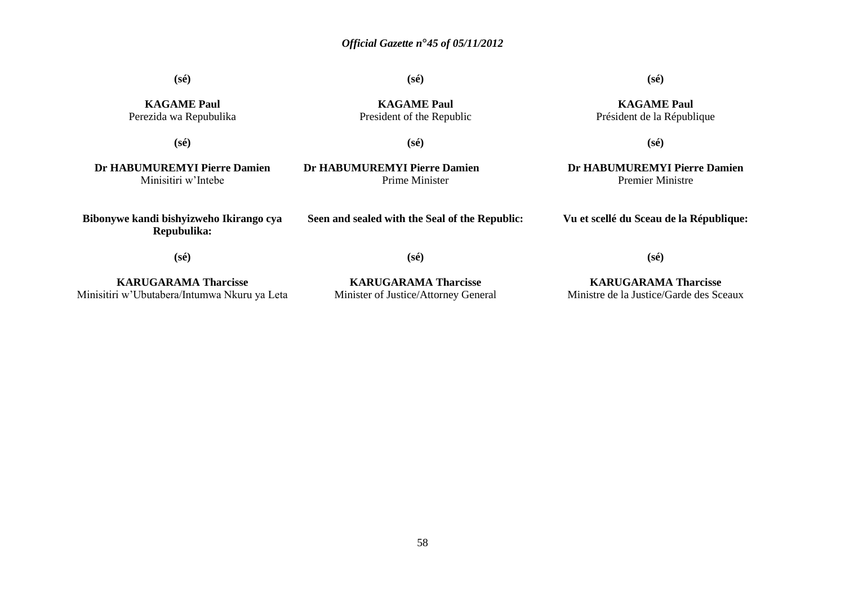**(sé)**

| <b>KAGAME Paul</b><br>Perezida wa Repubulika           | <b>KAGAME Paul</b><br>President of the Republic | <b>KAGAME Paul</b><br>Président de la République        |
|--------------------------------------------------------|-------------------------------------------------|---------------------------------------------------------|
| $(s\acute{e})$                                         | $(s\acute{e})$                                  | $(s\acute{e})$                                          |
| Dr HABUMUREMYI Pierre Damien<br>Minisitiri w'Intebe    | Dr HABUMUREMYI Pierre Damien<br>Prime Minister  | Dr HABUMUREMYI Pierre Damien<br><b>Premier Ministre</b> |
| Bibonywe kandi bishyizweho Ikirango cya<br>Repubulika: | Seen and sealed with the Seal of the Republic:  | Vu et scellé du Sceau de la République:                 |
| $(s\acute{e})$                                         | $(s\acute{e})$                                  | $(s\acute{e})$                                          |
| <b>KARUGARAMA Tharcisse</b>                            | <b>KARUGARAMA Tharcisse</b>                     | <b>KARUGARAMA Tharcisse</b>                             |

Minisitiri w'Ubutabera/Intumwa Nkuru ya Leta

**KARUGARAMA Tharcisse** Minister of Justice/Attorney General

58

Ministre de la Justice/Garde des Sceaux

**(sé)**

**(sé)**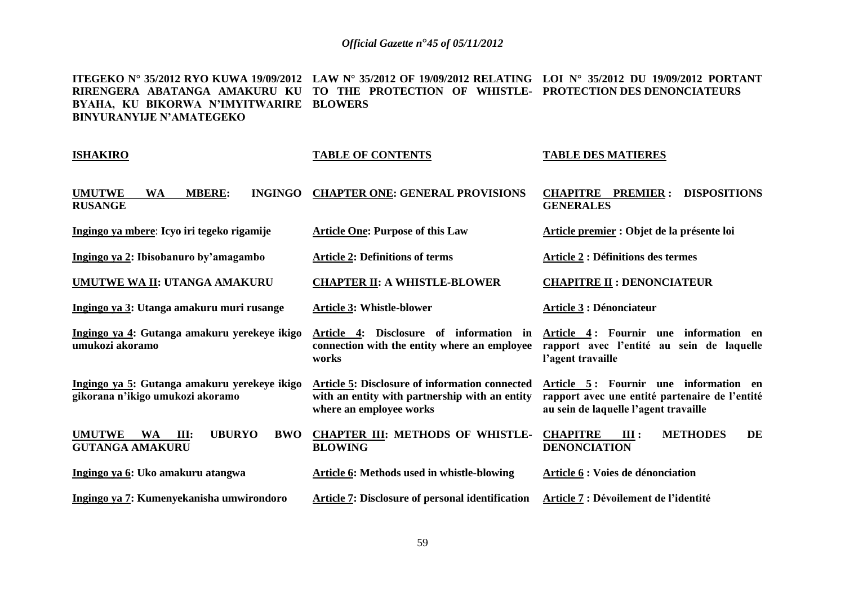**ITEGEKO N° 35/2012 RYO KUWA 19/09/2012 LAW N° 35/2012 OF 19/09/2012 RELATING LOI N° 35/2012 DU 19/09/2012 PORTANT RIRENGERA ABATANGA AMAKURU KU TO THE PROTECTION OF WHISTLE-PROTECTION DES DENONCIATEURS BYAHA, KU BIKORWA N'IMYITWARIRE BLOWERS BINYURANYIJE N'AMATEGEKO**

| <b>ISHAKIRO</b>                                                                             | <b>TABLE OF CONTENTS</b>                                                                                                    | <b>TABLE DES MATIERES</b>                                                                                                        |
|---------------------------------------------------------------------------------------------|-----------------------------------------------------------------------------------------------------------------------------|----------------------------------------------------------------------------------------------------------------------------------|
| <b>UMUTWE</b><br><b>WA</b><br><b>MBERE:</b><br><b>INGINGO</b><br><b>RUSANGE</b>             | <b>CHAPTER ONE: GENERAL PROVISIONS</b>                                                                                      | <b>PREMIER:</b><br><b>DISPOSITIONS</b><br><b>CHAPITRE</b><br><b>GENERALES</b>                                                    |
| Ingingo ya mbere: Icyo iri tegeko rigamije                                                  | <b>Article One: Purpose of this Law</b>                                                                                     | Article premier : Objet de la présente loi                                                                                       |
| Ingingo ya 2: Ibisobanuro by'amagambo                                                       | <b>Article 2: Definitions of terms</b>                                                                                      | <b>Article 2 : Définitions des termes</b>                                                                                        |
| UMUTWE WA II: UTANGA AMAKURU                                                                | <b>CHAPTER II: A WHISTLE-BLOWER</b>                                                                                         | <b>CHAPITRE II: DENONCIATEUR</b>                                                                                                 |
| Ingingo ya 3: Utanga amakuru muri rusange                                                   | <b>Article 3: Whistle-blower</b>                                                                                            | <b>Article 3: Dénonciateur</b>                                                                                                   |
| Ingingo ya 4: Gutanga amakuru yerekeye ikigo<br>umukozi akoramo                             | Article 4: Disclosure of information in<br>connection with the entity where an employee<br>works                            | Article 4: Fournir une information en<br>rapport avec l'entité au sein de laquelle<br>l'agent travaille                          |
| Ingingo ya 5: Gutanga amakuru yerekeye ikigo<br>gikorana n'ikigo umukozi akoramo            | Article 5: Disclosure of information connected<br>with an entity with partnership with an entity<br>where an employee works | Article 5: Fournir une information en<br>rapport avec une entité partenaire de l'entité<br>au sein de laquelle l'agent travaille |
| <b>UMUTWE</b><br><b>UBURYO</b><br><b>WA</b><br>III:<br><b>BWO</b><br><b>GUTANGA AMAKURU</b> | <b>CHAPTER III: METHODS OF WHISTLE-</b><br><b>BLOWING</b>                                                                   | <b>METHODES</b><br><b>CHAPITRE</b><br>DE<br>III:<br><b>DENONCIATION</b>                                                          |
| Ingingo ya 6: Uko amakuru atangwa                                                           | <b>Article 6: Methods used in whistle-blowing</b>                                                                           | <b>Article 6 : Voies de dénonciation</b>                                                                                         |
| Ingingo ya 7: Kumenyekanisha umwirondoro                                                    | <b>Article 7: Disclosure of personal identification</b>                                                                     | Article 7 : Dévoilement de l'identité                                                                                            |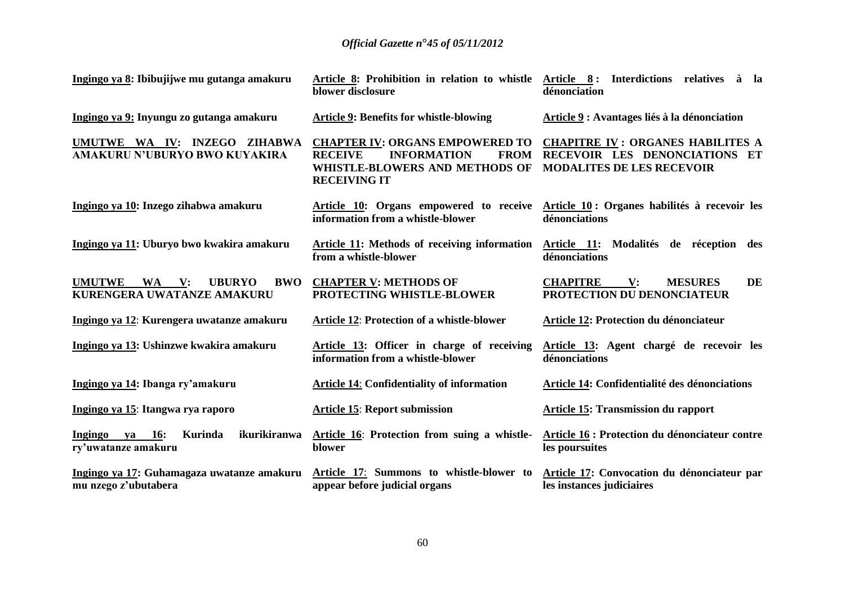| Ingingo ya 8: Ibibujijwe mu gutanga amakuru                                         | Article 8: Prohibition in relation to whistle<br>blower disclosure                                                                                     | Article 8: Interdictions relatives à la<br>dénonciation                                                      |
|-------------------------------------------------------------------------------------|--------------------------------------------------------------------------------------------------------------------------------------------------------|--------------------------------------------------------------------------------------------------------------|
| Ingingo ya 9: Inyungu zo gutanga amakuru                                            | <b>Article 9: Benefits for whistle-blowing</b>                                                                                                         | Article 9 : Avantages liés à la dénonciation                                                                 |
| UMUTWE WA IV: INZEGO ZIHABWA<br>AMAKURU N'UBURYO BWO KUYAKIRA                       | <b>CHAPTER IV: ORGANS EMPOWERED TO</b><br><b>RECEIVE</b><br><b>INFORMATION</b><br><b>FROM</b><br>WHISTLE-BLOWERS AND METHODS OF<br><b>RECEIVING IT</b> | <b>CHAPITRE IV: ORGANES HABILITES A</b><br>RECEVOIR LES DENONCIATIONS ET<br><b>MODALITES DE LES RECEVOIR</b> |
| Ingingo ya 10: Inzego zihabwa amakuru                                               | information from a whistle-blower                                                                                                                      | Article 10: Organs empowered to receive Article 10: Organes habilités à recevoir les<br>dénonciations        |
| Ingingo ya 11: Uburyo bwo kwakira amakuru                                           | Article 11: Methods of receiving information<br>from a whistle-blower                                                                                  | Article 11: Modalités de réception des<br>dénonciations                                                      |
| <b>UMUTWE</b><br>WA V:<br><b>UBURYO</b><br><b>BWO</b><br>KURENGERA UWATANZE AMAKURU | <b>CHAPTER V: METHODS OF</b><br>PROTECTING WHISTLE-BLOWER                                                                                              | <b>MESURES</b><br>DE<br><b>CHAPITRE</b><br>V:<br>PROTECTION DU DENONCIATEUR                                  |
| Ingingo ya 12: Kurengera uwatanze amakuru                                           | <b>Article 12: Protection of a whistle-blower</b>                                                                                                      | Article 12: Protection du dénonciateur                                                                       |
| Ingingo ya 13: Ushinzwe kwakira amakuru                                             | Article 13: Officer in charge of receiving<br>information from a whistle-blower                                                                        | Article 13: Agent chargé de recevoir les<br>dénonciations                                                    |
| Ingingo ya 14: Ibanga ry'amakuru                                                    | <b>Article 14: Confidentiality of information</b>                                                                                                      | Article 14: Confidentialité des dénonciations                                                                |
| Ingingo ya 15: Itangwa rya raporo                                                   | <b>Article 15: Report submission</b>                                                                                                                   | Article 15: Transmission du rapport                                                                          |
| Ingingo ya 16:<br>ikurikiranwa<br>Kurinda<br>ry'uwatanze amakuru                    | Article 16: Protection from suing a whistle-<br>blower                                                                                                 | Article 16 : Protection du dénonciateur contre<br>les poursuites                                             |
| Ingingo ya 17: Guhamagaza uwatanze amakuru<br>mu nzego z'ubutabera                  | Article 17: Summons to whistle-blower to<br>appear before judicial organs                                                                              | Article 17: Convocation du dénonciateur par<br>les instances judiciaires                                     |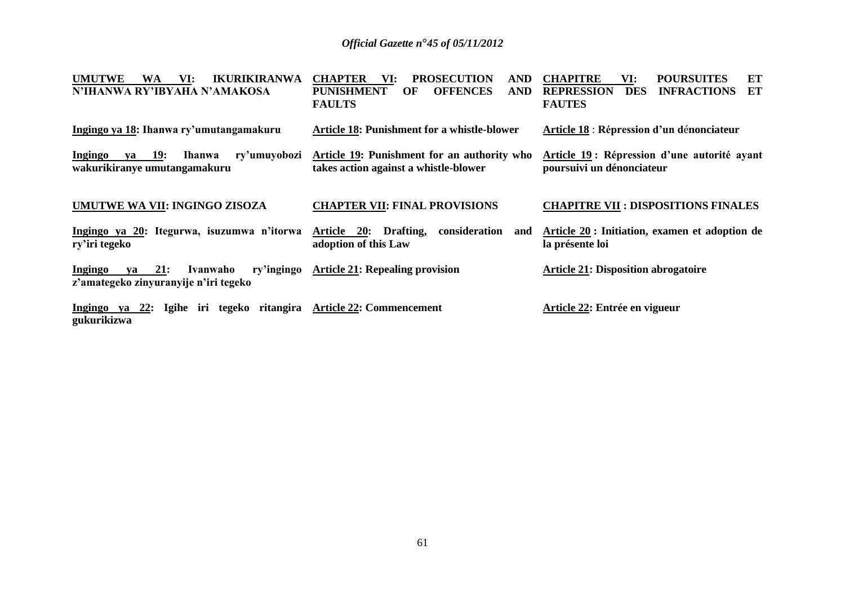| <b>IKURIKIRANWA</b><br><b>UMUTWE</b><br>WA<br>VI:<br>N'IHANWA RY'IBYAHA N'AMAKOSA                   | <b>CHAPTER</b><br><b>PROSECUTION</b><br><b>AND</b><br>VI:<br><b>OFFENCES</b><br><b>PUNISHMENT</b><br><b>AND</b><br>OF<br><b>FAULTS</b> | <b>CHAPITRE</b><br><b>POURSUITES</b><br>ET<br>VI:<br><b>ET</b><br><b>REPRESSION</b><br><b>INFRACTIONS</b><br><b>DES</b><br><b>FAUTES</b> |
|-----------------------------------------------------------------------------------------------------|----------------------------------------------------------------------------------------------------------------------------------------|------------------------------------------------------------------------------------------------------------------------------------------|
| Ingingo ya 18: Ihanwa ry'umutangamakuru                                                             | <b>Article 18: Punishment for a whistle-blower</b>                                                                                     | Article 18 : Répression d'un dénonciateur                                                                                                |
| <b>19:</b><br><b>Ingingo</b><br>ry'umuyobozi<br><b>Ihanwa</b><br>va<br>wakurikiranye umutangamakuru | Article 19: Punishment for an authority who<br>takes action against a whistle-blower                                                   | Article 19: Répression d'une autorité ayant<br>poursuivi un dénonciateur                                                                 |
| UMUTWE WA VII: INGINGO ZISOZA                                                                       | <b>CHAPTER VII: FINAL PROVISIONS</b>                                                                                                   | <b>CHAPITRE VII : DISPOSITIONS FINALES</b>                                                                                               |
| Ingingo ya 20: Itegurwa, isuzumwa n'itorwa<br>ry'iri tegeko                                         | consideration<br>Article<br><b>20:</b><br>Drafting,<br>and<br>adoption of this Law                                                     | Article 20 : Initiation, examen et adoption de<br>la présente loi                                                                        |
| 21:<br>ry'ingingo<br><b>Ingingo</b><br>Ivanwaho<br>va<br>z'amategeko zinyuranyije n'iri tegeko      | <b>Article 21: Repealing provision</b>                                                                                                 | <b>Article 21: Disposition abrogatoire</b>                                                                                               |
| Ingingo ya 22: Igihe iri tegeko ritangira Article 22: Commencement<br>gukurikizwa                   |                                                                                                                                        | Article 22: Entrée en vigueur                                                                                                            |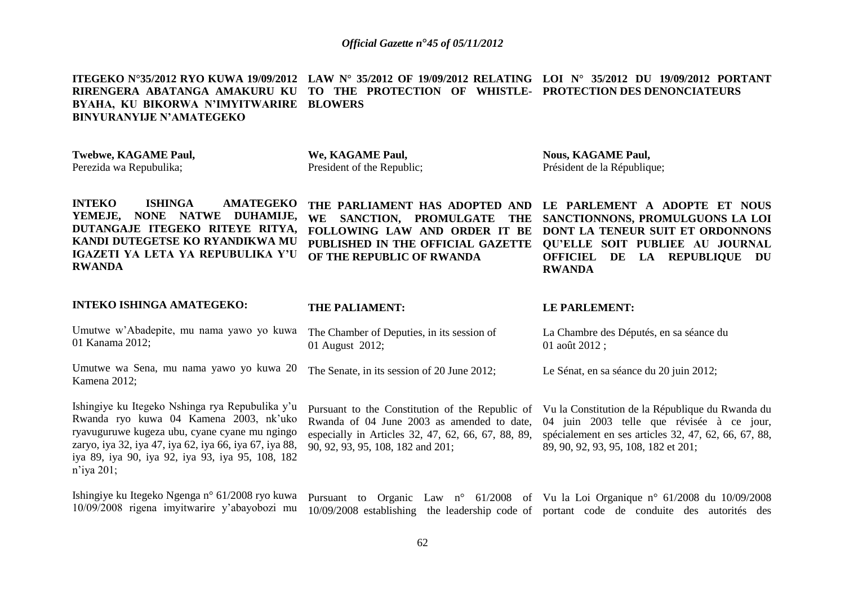**ITEGEKO N°35/2012 RYO KUWA 19/09/2012 LAW N° 35/2012 OF 19/09/2012 RELATING LOI N° 35/2012 DU 19/09/2012 PORTANT RIRENGERA ABATANGA AMAKURU KU TO THE PROTECTION OF WHISTLE-PROTECTION DES DENONCIATEURS BYAHA, KU BIKORWA N'IMYITWARIRE BLOWERS BINYURANYIJE N'AMATEGEKO**

| <b>Twebwe, KAGAME Paul,</b><br>Perezida wa Repubulika;                                                                                                                                                                | We, KAGAME Paul,<br>President of the Republic;                                                                                                                             | <b>Nous, KAGAME Paul,</b><br>Président de la République;                                                                                                                                                         |
|-----------------------------------------------------------------------------------------------------------------------------------------------------------------------------------------------------------------------|----------------------------------------------------------------------------------------------------------------------------------------------------------------------------|------------------------------------------------------------------------------------------------------------------------------------------------------------------------------------------------------------------|
| <b>INTEKO</b><br><b>ISHINGA</b><br><b>AMATEGEKO</b><br>NONE NATWE<br>DUHAMIJE,<br>YEMEJE,<br>DUTANGAJE ITEGEKO RITEYE RITYA,<br>KANDI DUTEGETSE KO RYANDIKWA MU<br>IGAZETI YA LETA YA REPUBULIKA Y'U<br><b>RWANDA</b> | THE PARLIAMENT HAS ADOPTED AND<br>SANCTION, PROMULGATE THE<br><b>WE</b><br>FOLLOWING LAW AND ORDER IT BE<br>PUBLISHED IN THE OFFICIAL GAZETTE<br>OF THE REPUBLIC OF RWANDA | LE PARLEMENT A ADOPTE ET NOUS<br>SANCTIONNONS, PROMULGUONS LA LOI<br>DONT LA TENEUR SUIT ET ORDONNONS<br>QU'ELLE SOIT PUBLIEE AU JOURNAL<br><b>OFFICIEL</b><br>DE<br><b>LA REPUBLIQUE</b><br>DU<br><b>RWANDA</b> |
| <b>INTEKO ISHINGA AMATEGEKO:</b>                                                                                                                                                                                      | <b>THE PALIAMENT:</b>                                                                                                                                                      | <b>LE PARLEMENT:</b>                                                                                                                                                                                             |
| Umutwe w'Abadepite, mu nama yawo yo kuwa<br>01 Kanama 2012;                                                                                                                                                           | The Chamber of Deputies, in its session of<br>01 August 2012;                                                                                                              | La Chambre des Députés, en sa séance du<br>01 août $2012$ ;                                                                                                                                                      |
| Umutwe wa Sena, mu nama yawo yo kuwa 20<br>Kamena 2012;                                                                                                                                                               | The Senate, in its session of 20 June 2012;                                                                                                                                | Le Sénat, en sa séance du 20 juin 2012;                                                                                                                                                                          |

Ishingiye ku Itegeko Nshinga rya Repubulika y'u Rwanda ryo kuwa 04 Kamena 2003, nk'uko ryavuguruwe kugeza ubu, cyane cyane mu ngingo zaryo, iya 32, iya 47, iya 62, iya 66, iya 67, iya 88, iya 89, iya 90, iya 92, iya 93, iya 95, 108, 182 n'iya 201;

90, 92, 93, 95, 108, 182 and 201;

Pursuant to the Constitution of the Republic of Vu la Constitution de la République du Rwanda du Rwanda of 04 June 2003 as amended to date, 04 juin 2003 telle que révisée à ce jour, especially in Articles 32, 47, 62, 66, 67, 88, 89, spécialement en ses articles 32, 47, 62, 66, 67, 88, 89, 90, 92, 93, 95, 108, 182 et 201;

Ishingiye ku Itegeko Ngenga n° 61/2008 ryo kuwa 10/09/2008 rigena imyitwarire y'abayobozi mu 10/09/2008 establishing the leadership code of portant code de conduite des autorités des Pursuant to Organic Law n° 61/2008 of Vu la Loi Organique n° 61/2008 du 10/09/2008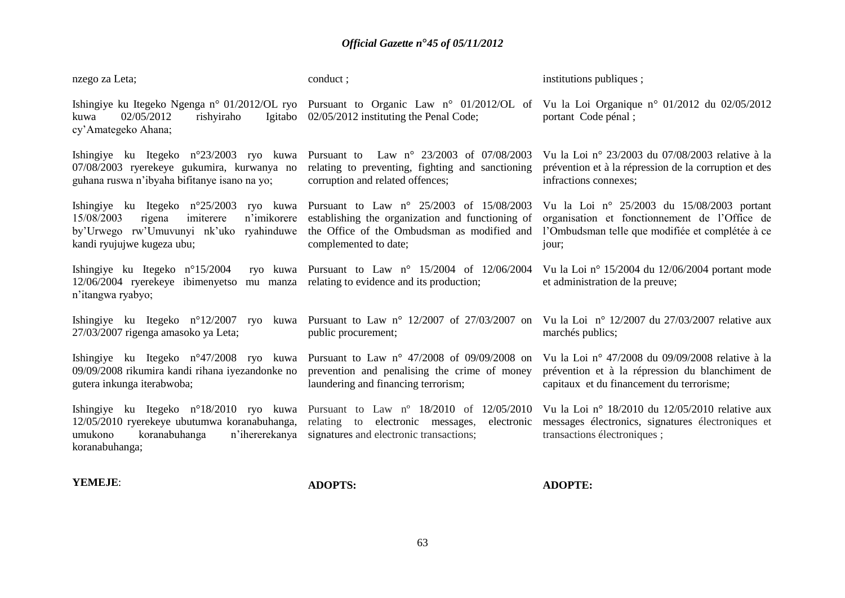| nzego za Leta;                                                                                                                                                                                                  | conduct;                                                                                                                                                             | institutions publiques;                                                                                                                                  |
|-----------------------------------------------------------------------------------------------------------------------------------------------------------------------------------------------------------------|----------------------------------------------------------------------------------------------------------------------------------------------------------------------|----------------------------------------------------------------------------------------------------------------------------------------------------------|
| 02/05/2012<br>rishyiraho<br>Igitabo<br>kuwa<br>cy'Amategeko Ahana;                                                                                                                                              | Ishingiye ku Itegeko Ngenga n° 01/2012/OL ryo Pursuant to Organic Law n° 01/2012/OL of<br>02/05/2012 instituting the Penal Code;                                     | Vu la Loi Organique nº 01/2012 du 02/05/2012<br>portant Code pénal;                                                                                      |
| Ishingiye ku Itegeko $n^{\circ}23/2003$ ryo kuwa<br>07/08/2003 ryerekeye gukumira, kurwanya no<br>guhana ruswa n'ibyaha bifitanye isano na yo;                                                                  | Law n° 23/2003 of 07/08/2003<br>Pursuant to<br>relating to preventing, fighting and sanctioning<br>corruption and related offences;                                  | Vu la Loi nº 23/2003 du 07/08/2003 relative à la<br>prévention et à la répression de la corruption et des<br>infractions connexes;                       |
| Ishingiye ku Itegeko $n^{\circ}25/2003$<br>ryo kuwa<br>imiterere<br>n'imikorere<br>15/08/2003<br>rigena<br>by'Urwego rw'Umuvunyi nk'uko<br>ryahinduwe<br>kandi ryujujwe kugeza ubu;                             | Pursuant to Law n° 25/2003 of 15/08/2003<br>establishing the organization and functioning of<br>the Office of the Ombudsman as modified and<br>complemented to date; | Vu la Loi nº 25/2003 du 15/08/2003 portant<br>organisation et fonctionnement de l'Office de<br>l'Ombudsman telle que modifiée et complétée à ce<br>jour; |
| Ishingiye ku Itegeko $n^{\circ}15/2004$<br>12/06/2004 ryerekeye ibimenyetso<br>mu manza<br>n'itangwa ryabyo;                                                                                                    | ryo kuwa Pursuant to Law $n^{\circ}$ 15/2004 of 12/06/2004<br>relating to evidence and its production;                                                               | Vu la Loi nº 15/2004 du 12/06/2004 portant mode<br>et administration de la preuve;                                                                       |
| Ishingiye ku Itegeko $n^{\circ}12/2007$<br>27/03/2007 rigenga amasoko ya Leta;                                                                                                                                  | ryo kuwa Pursuant to Law n° 12/2007 of 27/03/2007 on<br>public procurement;                                                                                          | Vu la Loi $n^{\circ}$ 12/2007 du 27/03/2007 relative aux<br>marchés publics;                                                                             |
| Ishingiye ku Itegeko n°47/2008 ryo kuwa Pursuant to Law n° 47/2008 of 09/09/2008 on<br>09/09/2008 rikumira kandi rihana iyezandonke no<br>gutera inkunga iterabwoba;                                            | prevention and penalising the crime of money<br>laundering and financing terrorism;                                                                                  | Vu la Loi nº 47/2008 du 09/09/2008 relative à la<br>prévention et à la répression du blanchiment de<br>capitaux et du financement du terrorisme;         |
| Ishingiye ku Itegeko n°18/2010 ryo kuwa Pursuant to Law n° 18/2010 of 12/05/2010<br>12/05/2010 ryerekeye ubutumwa koranabuhanga, relating to electronic messages,<br>umukono<br>koranabuhanga<br>koranabuhanga; | electronic<br>n'ihererekanya signatures and electronic transactions;                                                                                                 | Vu la Loi nº 18/2010 du 12/05/2010 relative aux<br>messages électronics, signatures électroniques et<br>transactions électroniques;                      |

**YEMEJE**:

**ADOPTS:**

**ADOPTE:**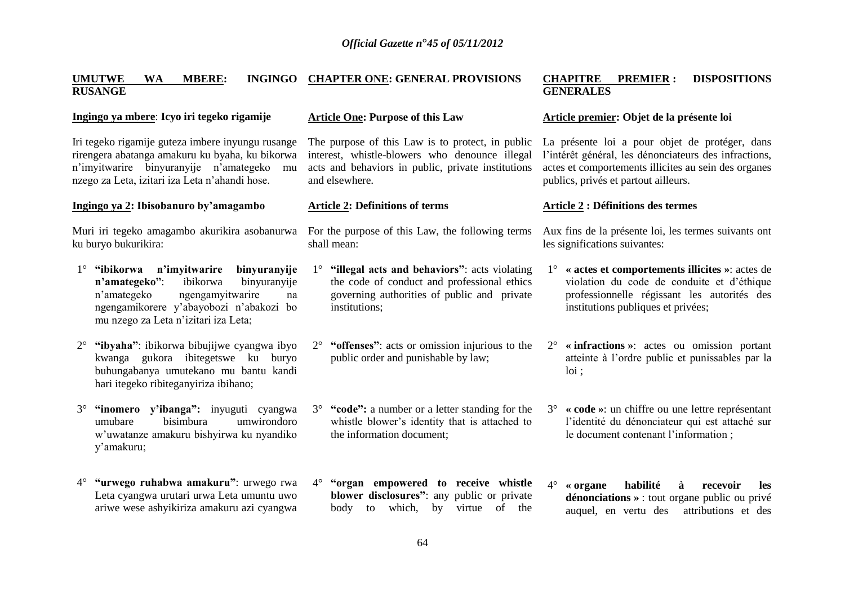#### **UMUTWE WA MBERE: INGINGO CHAPTER ONE: GENERAL PROVISIONS RUSANGE**

#### **Ingingo ya mbere**: **Icyo iri tegeko rigamije**

Iri tegeko rigamije guteza imbere inyungu rusange rirengera abatanga amakuru ku byaha, ku bikorwa n'imyitwarire binyuranyije n'amategeko mu nzego za Leta, izitari iza Leta n'ahandi hose.

#### **Ingingo ya 2: Ibisobanuro by'amagambo**

ku buryo bukurikira:

- 1° **"ibikorwa n'imyitwarire binyuranyije n'amategeko"**: ibikorwa binyuranyije n'amategeko ngengamyitwarire na ngengamikorere y'abayobozi n'abakozi bo mu nzego za Leta n'izitari iza Leta;
- 2° **"ibyaha"**: ibikorwa bibujijwe cyangwa ibyo kwanga gukora ibitegetswe ku buryo buhungabanya umutekano mu bantu kandi hari itegeko ribiteganyiriza ibihano;
- 3° **"inomero y'ibanga":** inyuguti cyangwa umubare bisimbura umwirondoro w'uwatanze amakuru bishyirwa ku nyandiko y'amakuru;
- 4° **"urwego ruhabwa amakuru"**: urwego rwa Leta cyangwa urutari urwa Leta umuntu uwo ariwe wese ashyikiriza amakuru azi cyangwa

#### **Article One: Purpose of this Law**

The purpose of this Law is to protect, in public interest, whistle-blowers who denounce illegal acts and behaviors in public, private institutions and elsewhere.

#### **Article 2: Definitions of terms**

Muri iri tegeko amagambo akurikira asobanurwa For the purpose of this Law, the following terms shall mean:

- 1° **"illegal acts and behaviors"**: acts violating the code of conduct and professional ethics governing authorities of public and private institutions;
- 2° **"offenses"**: acts or omission injurious to the public order and punishable by law;
- 3° **"code":** a number or a letter standing for the whistle blower's identity that is attached to the information document;
- 4° **"organ empowered to receive whistle blower disclosures"**: any public or private body to which, by virtue of the

#### **CHAPITRE PREMIER : DISPOSITIONS GENERALES**

#### **Article premier: Objet de la présente loi**

La présente loi a pour objet de protéger, dans l'intérêt général, les dénonciateurs des infractions, actes et comportements illicites au sein des organes publics, privés et partout ailleurs.

#### **Article 2 : Définitions des termes**

Aux fins de la présente loi, les termes suivants ont les significations suivantes:

- 1° **« actes et comportements illicites »**: actes de violation du code de conduite et d'éthique professionnelle régissant les autorités des institutions publiques et privées;
- 2° **« infractions »**: actes ou omission portant atteinte à l'ordre public et punissables par la loi ;
- 3° **« code »**: un chiffre ou une lettre représentant l'identité du dénonciateur qui est attaché sur le document contenant l'information ;
- 4° **« organe habilité à recevoir les dénonciations »** : tout organe public ou privé auquel, en vertu des attributions et des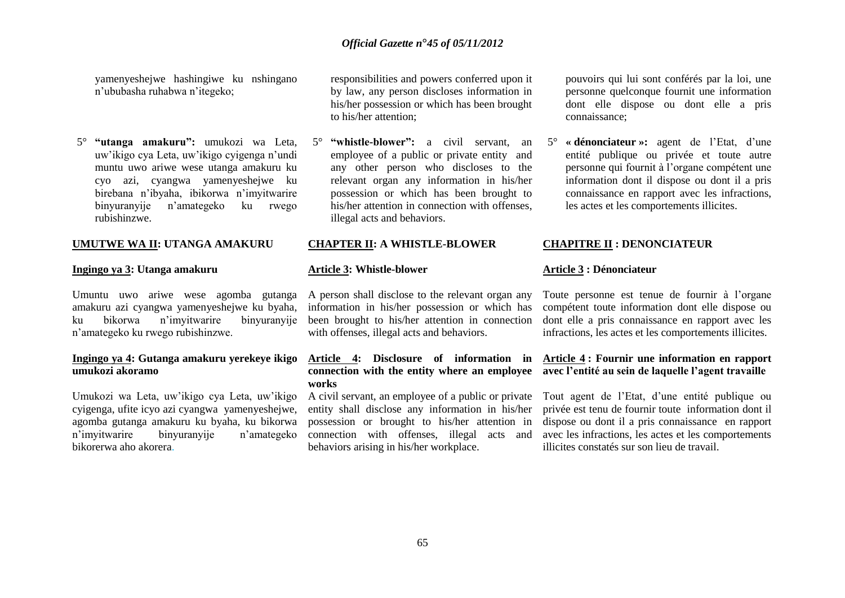yamenyeshejwe hashingiwe ku nshingano n'ububasha ruhabwa n'itegeko;

5° **"utanga amakuru":** umukozi wa Leta, uw'ikigo cya Leta, uw'ikigo cyigenga n'undi muntu uwo ariwe wese utanga amakuru ku cyo azi, cyangwa yamenyeshejwe ku birebana n'ibyaha, ibikorwa n'imyitwarire binyuranyije n'amategeko ku rwego rubishinzwe.

#### **UMUTWE WA II: UTANGA AMAKURU**

#### **Ingingo ya 3: Utanga amakuru**

Umuntu uwo ariwe wese agomba gutanga A person shall disclose to the relevant organ any amakuru azi cyangwa yamenyeshejwe ku byaha, ku bikorwa n'imyitwarire binyuranyije n'amategeko ku rwego rubishinzwe.

#### **Ingingo ya 4: Gutanga amakuru yerekeye ikigo umukozi akoramo**

Umukozi wa Leta, uw'ikigo cya Leta, uw'ikigo cyigenga, ufite icyo azi cyangwa yamenyeshejwe, agomba gutanga amakuru ku byaha, ku bikorwa n'imyitwarire binyuranyije n'amategeko bikorerwa aho akorera.

responsibilities and powers conferred upon it by law, any person discloses information in his/her possession or which has been brought to his/her attention;

5° **"whistle-blower":** a civil servant, an employee of a public or private entity and any other person who discloses to the relevant organ any information in his/her possession or which has been brought to his/her attention in connection with offenses, illegal acts and behaviors.

#### **CHAPTER II: A WHISTLE-BLOWER**

#### **Article 3: Whistle-blower**

information in his/her possession or which has been brought to his/her attention in connection with offenses, illegal acts and behaviors.

# **Article 4: Disclosure of information in Article 4 : Fournir une information en rapport works**

A civil servant, an employee of a public or private entity shall disclose any information in his/her possession or brought to his/her attention in connection with offenses, illegal acts and behaviors arising in his/her workplace.

pouvoirs qui lui sont conférés par la loi, une personne quelconque fournit une information dont elle dispose ou dont elle a pris connaissance;

5° **« dénonciateur »:** agent de l'Etat, d'une entité publique ou privée et toute autre personne qui fournit à l'organe compétent une information dont il dispose ou dont il a pris connaissance en rapport avec les infractions, les actes et les comportements illicites.

#### **CHAPITRE II : DENONCIATEUR**

#### **Article 3 : Dénonciateur**

Toute personne est tenue de fournir à l'organe compétent toute information dont elle dispose ou dont elle a pris connaissance en rapport avec les infractions, les actes et les comportements illicites.

# **connection with the entity where an employee avec l'entité au sein de laquelle l'agent travaille**

Tout agent de l'Etat, d'une entité publique ou privée est tenu de fournir toute information dont il dispose ou dont il a pris connaissance en rapport avec les infractions, les actes et les comportements illicites constatés sur son lieu de travail.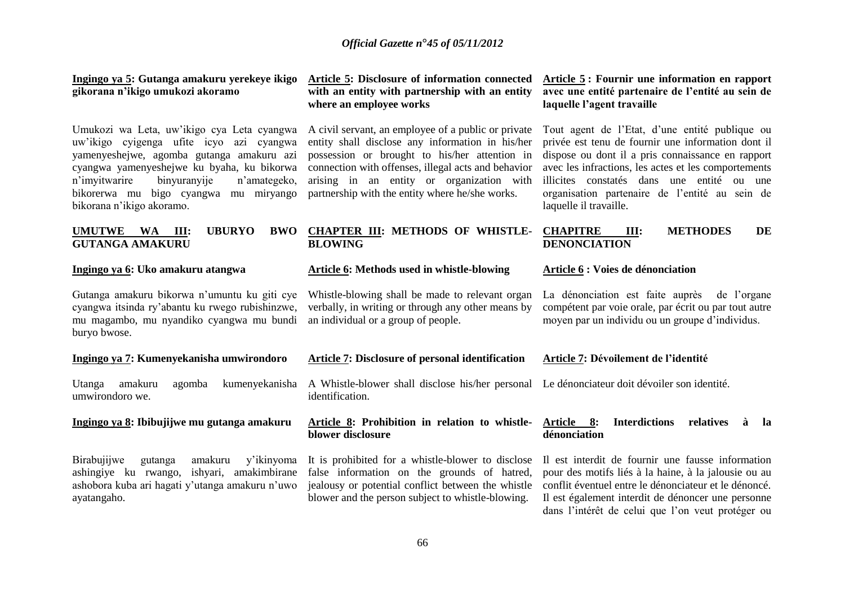| Ingingo ya 5: Gutanga amakuru yerekeye ikigo<br>gikorana n'ikigo umukozi akoramo                                                                                                                                                                                                                         | Article 5: Disclosure of information connected<br>with an entity with partnership with an entity<br>where an employee works                                                                                                                                                                                     | Article 5: Fournir une information en rapport<br>avec une entité partenaire de l'entité au sein de<br>laquelle l'agent travaille                                                                                                                                                                                                            |
|----------------------------------------------------------------------------------------------------------------------------------------------------------------------------------------------------------------------------------------------------------------------------------------------------------|-----------------------------------------------------------------------------------------------------------------------------------------------------------------------------------------------------------------------------------------------------------------------------------------------------------------|---------------------------------------------------------------------------------------------------------------------------------------------------------------------------------------------------------------------------------------------------------------------------------------------------------------------------------------------|
| Umukozi wa Leta, uw'ikigo cya Leta cyangwa<br>uw'ikigo cyigenga ufite icyo azi cyangwa<br>yamenyeshejwe, agomba gutanga amakuru azi<br>cyangwa yamenyeshejwe ku byaha, ku bikorwa<br>n'imyitwarire<br>binyuranyije<br>n'amategeko,<br>bikorerwa mu bigo cyangwa mu miryango<br>bikorana n'ikigo akoramo. | A civil servant, an employee of a public or private<br>entity shall disclose any information in his/her<br>possession or brought to his/her attention in<br>connection with offenses, illegal acts and behavior<br>arising in an entity or organization with<br>partnership with the entity where he/she works. | Tout agent de l'Etat, d'une entité publique ou<br>privée est tenu de fournir une information dont il<br>dispose ou dont il a pris connaissance en rapport<br>avec les infractions, les actes et les comportements<br>illicites constatés dans une entité ou une<br>organisation partenaire de l'entité au sein de<br>laquelle il travaille. |
| <b>UBURYO</b><br><b>UMUTWE</b><br><b>BWO</b><br>$W\mathbf{A}$<br>Ш:<br><b>GUTANGA AMAKURU</b>                                                                                                                                                                                                            | <b>CHAPTER III: METHODS OF WHISTLE-</b><br><b>BLOWING</b>                                                                                                                                                                                                                                                       | <b>METHODES</b><br><b>CHAPITRE</b><br>III:<br>DE<br><b>DENONCIATION</b>                                                                                                                                                                                                                                                                     |
| Ingingo ya 6: Uko amakuru atangwa                                                                                                                                                                                                                                                                        | Article 6: Methods used in whistle-blowing                                                                                                                                                                                                                                                                      | Article 6 : Voies de dénonciation                                                                                                                                                                                                                                                                                                           |
| Gutanga amakuru bikorwa n'umuntu ku giti cye<br>cyangwa itsinda ry'abantu ku rwego rubishinzwe,<br>mu magambo, mu nyandiko cyangwa mu bundi<br>buryo bwose.                                                                                                                                              | Whistle-blowing shall be made to relevant organ<br>verbally, in writing or through any other means by<br>an individual or a group of people.                                                                                                                                                                    | La dénonciation est faite auprès<br>de l'organe<br>compétent par voie orale, par écrit ou par tout autre<br>moyen par un individu ou un groupe d'individus.                                                                                                                                                                                 |
| Ingingo ya 7: Kumenyekanisha umwirondoro                                                                                                                                                                                                                                                                 | <b>Article 7: Disclosure of personal identification</b>                                                                                                                                                                                                                                                         | Article 7: Dévoilement de l'identité                                                                                                                                                                                                                                                                                                        |
| amakuru<br>kumenyekanisha<br>Utanga<br>agomba<br>umwirondoro we.                                                                                                                                                                                                                                         | A Whistle-blower shall disclose his/her personal<br>identification.                                                                                                                                                                                                                                             | Le dénonciateur doit dévoiler son identité.                                                                                                                                                                                                                                                                                                 |
| Ingingo ya 8: Ibibujijwe mu gutanga amakuru                                                                                                                                                                                                                                                              | Article 8: Prohibition in relation to whistle-<br>blower disclosure                                                                                                                                                                                                                                             | Article 8:<br><b>Interdictions</b><br>relatives<br>à<br><sub>la</sub><br>dénonciation                                                                                                                                                                                                                                                       |
| Birabujijwe<br>amakuru<br>y'ikinyoma<br>gutanga<br>ishyari, amakimbirane<br>ashingiye ku rwango,<br>ashobora kuba ari hagati y'utanga amakuru n'uwo<br>ayatangaho.                                                                                                                                       | It is prohibited for a whistle-blower to disclose<br>false information on the grounds of hatred,<br>jealousy or potential conflict between the whistle<br>blower and the person subject to whistle-blowing.                                                                                                     | Il est interdit de fournir une fausse information<br>pour des motifs liés à la haine, à la jalousie ou au<br>conflit éventuel entre le dénonciateur et le dénoncé.<br>Il est également interdit de dénoncer une personne<br>dans l'intérêt de celui que l'on veut protéger ou                                                               |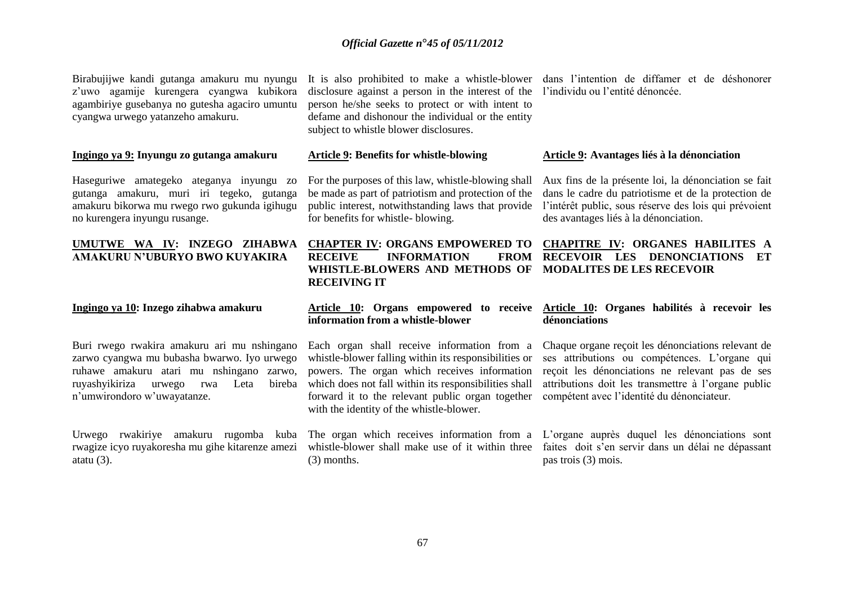Birabujijwe kandi gutanga amakuru mu nyungu z'uwo agamije kurengera cyangwa kubikora agambiriye gusebanya no gutesha agaciro umuntu cyangwa urwego yatanzeho amakuru.

#### **Ingingo ya 9: Inyungu zo gutanga amakuru**

Haseguriwe amategeko ateganya inyungu zo gutanga amakuru, muri iri tegeko, gutanga amakuru bikorwa mu rwego rwo gukunda igihugu no kurengera inyungu rusange.

#### **UMUTWE WA IV: INZEGO ZIHABWA AMAKURU N'UBURYO BWO KUYAKIRA**

#### **Ingingo ya 10: Inzego zihabwa amakuru**

Buri rwego rwakira amakuru ari mu nshingano zarwo cyangwa mu bubasha bwarwo. Iyo urwego ruhawe amakuru atari mu nshingano zarwo, ruyashyikiriza urwego rwa Leta n'umwirondoro w'uwayatanze.

Urwego rwakiriye amakuru rugomba kuba The organ which receives information from a L'organe auprès duquel les dénonciations sont atatu  $(3)$ .

disclosure against a person in the interest of the l'individu ou l'entité dénoncée. person he/she seeks to protect or with intent to defame and dishonour the individual or the entity subject to whistle blower disclosures.

#### **Article 9: Benefits for whistle-blowing**

For the purposes of this law, whistle-blowing shall be made as part of patriotism and protection of the public interest, notwithstanding laws that provide for benefits for whistle- blowing.

# **RECEIVE INFORMATION WHISTLE-BLOWERS AND METHODS OF MODALITES DE LES RECEVOIR RECEIVING IT**

# **information from a whistle-blower**

Each organ shall receive information from a whistle-blower falling within its responsibilities or powers. The organ which receives information which does not fall within its responsibilities shall forward it to the relevant public organ together compétent avec l'identité du dénonciateur. with the identity of the whistle-blower.

(3) months.

It is also prohibited to make a whistle-blower dans l'intention de diffamer et de déshonorer

#### **Article 9: Avantages liés à la dénonciation**

Aux fins de la présente loi, la dénonciation se fait dans le cadre du patriotisme et de la protection de l'intérêt public, sous réserve des lois qui prévoient des avantages liés à la dénonciation.

# **CHAPTER IV: ORGANS EMPOWERED TO CHAPITRE IV: ORGANES HABILITES A RECEVOIR LES DENONCIATIONS ET**

#### **Article 10: Organs empowered to receive Article 10: Organes habilités à recevoir les dénonciations**

Chaque organe reçoit les dénonciations relevant de ses attributions ou compétences. L'organe qui reçoit les dénonciations ne relevant pas de ses attributions doit les transmettre à l'organe public

rwagize icyo ruyakoresha mu gihe kitarenze amezi whistle-blower shall make use of it within three faites doit s'en servir dans un délai ne dépassant pas trois (3) mois.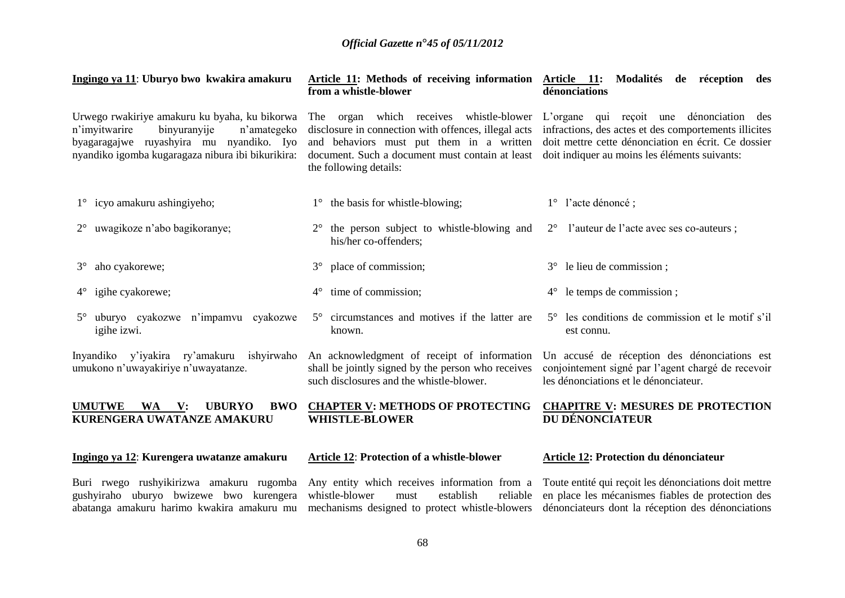| Ingingo ya 11: Uburyo bwo kwakira amakuru                                                                                                                                                      | from a whistle-blower                                                                                                                                                                                                       | Article 11: Methods of receiving information Article 11: Modalités de réception des<br>dénonciations                                                                                                      |
|------------------------------------------------------------------------------------------------------------------------------------------------------------------------------------------------|-----------------------------------------------------------------------------------------------------------------------------------------------------------------------------------------------------------------------------|-----------------------------------------------------------------------------------------------------------------------------------------------------------------------------------------------------------|
| Urwego rwakiriye amakuru ku byaha, ku bikorwa<br>binyuranyije<br>n'imyitwarire<br>n'amategeko<br>byagaragajwe ruyashyira mu nyandiko. Iyo<br>nyandiko igomba kugaragaza nibura ibi bikurikira: | organ which receives whistle-blower<br>The<br>disclosure in connection with offences, illegal acts<br>and behaviors must put them in a written<br>document. Such a document must contain at least<br>the following details: | L'organe qui reçoit une dénonciation des<br>infractions, des actes et des comportements illicites<br>doit mettre cette dénonciation en écrit. Ce dossier<br>doit indiquer au moins les éléments suivants: |
| 1° icyo amakuru ashingiyeho;                                                                                                                                                                   | 1° the basis for whistle-blowing;                                                                                                                                                                                           | 1° l'acte dénoncé;                                                                                                                                                                                        |
| uwagikoze n'abo bagikoranye;<br>$2^{\circ}$                                                                                                                                                    | the person subject to whistle-blowing and<br>his/her co-offenders;                                                                                                                                                          | l'auteur de l'acte avec ses co-auteurs ;<br>$2^{\circ}$                                                                                                                                                   |
| 3° aho cyakorewe;                                                                                                                                                                              | place of commission;<br>$3^\circ$                                                                                                                                                                                           | 3° le lieu de commission;                                                                                                                                                                                 |
| $4^{\circ}$ igihe cyakorewe;                                                                                                                                                                   | time of commission;<br>$4^{\circ}$                                                                                                                                                                                          | $4^{\circ}$ le temps de commission;                                                                                                                                                                       |
| uburyo cyakozwe n'impamvu cyakozwe<br>$5^{\circ}$<br>igihe izwi.                                                                                                                               | 5° circumstances and motives if the latter are<br>known.                                                                                                                                                                    | 5° les conditions de commission et le motif s'il<br>est connu.                                                                                                                                            |
| Inyandiko y'iyakira ry'amakuru ishyirwaho<br>umukono n'uwayakiriye n'uwayatanze.                                                                                                               | An acknowledgment of receipt of information<br>shall be jointly signed by the person who receives<br>such disclosures and the whistle-blower.                                                                               | Un accusé de réception des dénonciations est<br>conjointement signé par l'agent chargé de recevoir<br>les dénonciations et le dénonciateur.                                                               |
| <b>BWO</b><br><b>UMUTWE</b><br><b>WA</b><br>$\mathbf{V}$ :<br><b>UBURYO</b><br>KURENGERA UWATANZE AMAKURU                                                                                      | <b>CHAPTER V: METHODS OF PROTECTING</b><br><b>WHISTLE-BLOWER</b>                                                                                                                                                            | <b>CHAPITRE V: MESURES DE PROTECTION</b><br>DU DÉNONCIATEUR                                                                                                                                               |
| Ingingo ya 12: Kurengera uwatanze amakuru                                                                                                                                                      | <b>Article 12: Protection of a whistle-blower</b>                                                                                                                                                                           | <b>Article 12: Protection du dénonciateur</b>                                                                                                                                                             |
|                                                                                                                                                                                                |                                                                                                                                                                                                                             | Buri rwego rushyikirizwa amakuru rugomba Any entity which receives information from a Toute entité qui reçoit les dénonciations doit mettre                                                               |

gushyiraho uburyo bwizewe bwo kurengera abatanga amakuru harimo kwakira amakuru mu whistle-blower must establish reliable mechanisms designed to protect whistle-blowers Toute entité qui reçoit les dénonciations doit mettre en place les mécanismes fiables de protection des dénonciateurs dont la réception des dénonciations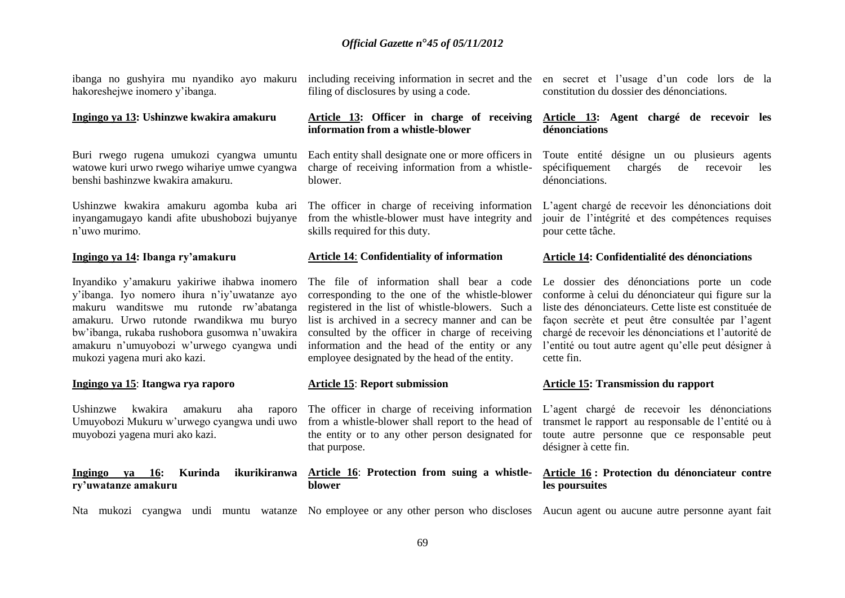ibanga no gushyira mu nyandiko ayo makuru hakoreshejwe inomero y'ibanga.

#### **Ingingo ya 13: Ushinzwe kwakira amakuru**

Buri rwego rugena umukozi cyangwa umuntu watowe kuri urwo rwego wihariye umwe cyangwa benshi bashinzwe kwakira amakuru.

Ushinzwe kwakira amakuru agomba kuba ari inyangamugayo kandi afite ubushobozi bujyanye n'uwo murimo.

#### **Ingingo ya 14: Ibanga ry'amakuru**

Inyandiko y'amakuru yakiriwe ihabwa inomero y'ibanga. Iyo nomero ihura n'iy'uwatanze ayo makuru wanditswe mu rutonde rw'abatanga amakuru. Urwo rutonde rwandikwa mu buryo bw'ibanga, rukaba rushobora gusomwa n'uwakira amakuru n'umuyobozi w'urwego cyangwa undi mukozi yagena muri ako kazi.

#### **Ingingo ya 15**: **Itangwa rya raporo**

Ushinzwe kwakira amakuru aha Umuyobozi Mukuru w'urwego cyangwa undi uwo from a whistle-blower shall report to the head of muyobozi yagena muri ako kazi.

**Ingingo ya 16: Kurinda ikurikiranwa ry'uwatanze amakuru**

filing of disclosures by using a code.

#### **Article 13: Officer in charge of receiving information from a whistle-blower**

Each entity shall designate one or more officers in charge of receiving information from a whistleblower.

The officer in charge of receiving information from the whistle-blower must have integrity and skills required for this duty.

#### **Article 14**: **Confidentiality of information**

corresponding to the one of the whistle-blower registered in the list of whistle-blowers. Such a list is archived in a secrecy manner and can be consulted by the officer in charge of receiving information and the head of the entity or any employee designated by the head of the entity.

#### **Article 15**: **Report submission**

raporo The officer in charge of receiving information the entity or to any other person designated for that purpose.

#### **Article 16**: **Protection from suing a whistleblower**

including receiving information in secret and the en secret et l'usage d'un code lors de la constitution du dossier des dénonciations.

#### **Article 13: Agent chargé de recevoir les dénonciations**

Toute entité désigne un ou plusieurs agents spécifiquement chargés de recevoir les dénonciations.

L'agent chargé de recevoir les dénonciations doit jouir de l'intégrité et des compétences requises pour cette tâche.

#### **Article 14: Confidentialité des dénonciations**

The file of information shall bear a code Le dossier des dénonciations porte un code conforme à celui du dénonciateur qui figure sur la liste des dénonciateurs. Cette liste est constituée de façon secrète et peut être consultée par l'agent chargé de recevoir les dénonciations et l'autorité de l'entité ou tout autre agent qu'elle peut désigner à cette fin.

#### **Article 15: Transmission du rapport**

L'agent chargé de recevoir les dénonciations transmet le rapport au responsable de l'entité ou à toute autre personne que ce responsable peut désigner à cette fin.

#### **Article 16 : Protection du dénonciateur contre les poursuites**

Nta mukozi cyangwa undi muntu watanze No employee or any other person who discloses Aucun agent ou aucune autre personne ayant fait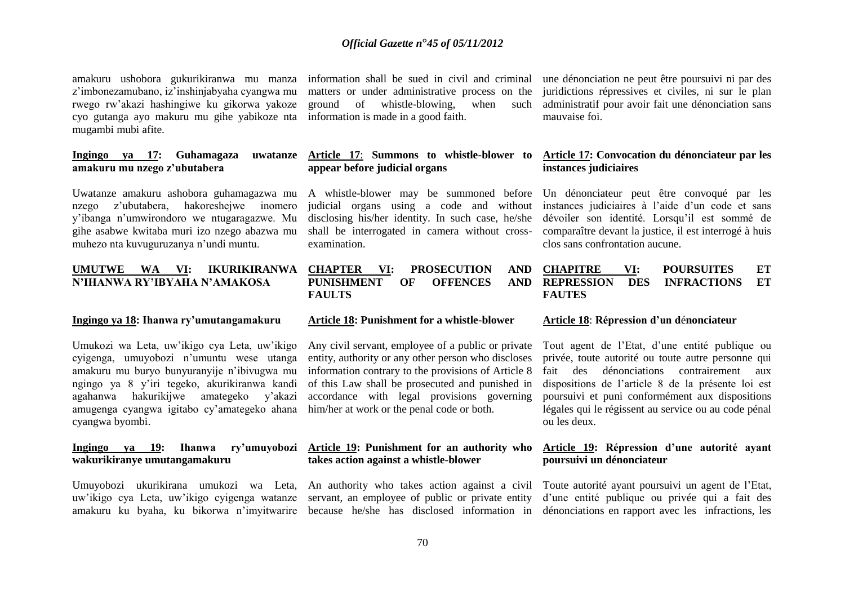amakuru ushobora gukurikiranwa mu manza z'imbonezamubano, iz'inshinjabyaha cyangwa mu rwego rw'akazi hashingiwe ku gikorwa yakoze cyo gutanga ayo makuru mu gihe yabikoze nta mugambi mubi afite.

#### **Ingingo ya 17: Guhamagaza uwatanze amakuru mu nzego z'ubutabera**

Uwatanze amakuru ashobora guhamagazwa mu A whistle-blower may be summoned before nzego z'ubutabera, hakoreshejwe inomero y'ibanga n'umwirondoro we ntugaragazwe. Mu gihe asabwe kwitaba muri izo nzego abazwa mu muhezo nta kuvuguruzanya n'undi muntu.

#### **UMUTWE WA VI: IKURIKIRANWA N'IHANWA RY'IBYAHA N'AMAKOSA**

#### **Ingingo ya 18: Ihanwa ry'umutangamakuru**

Umukozi wa Leta, uw'ikigo cya Leta, uw'ikigo cyigenga, umuyobozi n'umuntu wese utanga amakuru mu buryo bunyuranyije n'ibivugwa mu ngingo ya 8 y'iri tegeko, akurikiranwa kandi agahanwa hakurikijwe amategeko y'akazi amugenga cyangwa igitabo cy'amategeko ahana cyangwa byombi.

# **wakurikiranye umutangamakuru**

information shall be sued in civil and criminal matters or under administrative process on the ground of whistle-blowing, when information is made in a good faith.

#### **Article 17**: **Summons to whistle-blower to appear before judicial organs**

judicial organs using a code and without disclosing his/her identity. In such case, he/she shall be interrogated in camera without crossexamination.

#### **CHAPTER VI: PROSECUTION AND PUNISHMENT OF OFFENCES AND FAULTS**

#### **Article 18: Punishment for a whistle-blower**

Any civil servant, employee of a public or private entity, authority or any other person who discloses information contrary to the provisions of Article 8 of this Law shall be prosecuted and punished in accordance with legal provisions governing him/her at work or the penal code or both.

#### **Ingingo ya 19: Ihanwa ry'umuyobozi Article 19: Punishment for an authority who takes action against a whistle-blower**

une dénonciation ne peut être poursuivi ni par des juridictions répressives et civiles, ni sur le plan administratif pour avoir fait une dénonciation sans mauvaise foi.

#### **Article 17: Convocation du dénonciateur par les instances judiciaires**

Un dénonciateur peut être convoqué par les instances judiciaires à l'aide d'un code et sans dévoiler son identité. Lorsqu'il est sommé de comparaître devant la justice, il est interrogé à huis clos sans confrontation aucune.

#### **CHAPITRE VI: POURSUITES ET DES INFRACTIONS ET FAUTES**

#### **Article 18**: **Répression d'un d**é**nonciateur**

Tout agent de l'Etat, d'une entité publique ou privée, toute autorité ou toute autre personne qui fait des dénonciations contrairement aux dispositions de l'article 8 de la présente loi est poursuivi et puni conformément aux dispositions légales qui le régissent au service ou au code pénal ou les deux.

#### **Article 19: Répression d'une autorité ayant poursuivi un dénonciateur**

Umuyobozi ukurikirana umukozi wa Leta, An authority who takes action against a civil Toute autorité ayant poursuivi un agent de l'Etat, uw'ikigo cya Leta, uw'ikigo cyigenga watanze servant, an employee of public or private entity d'une entité publique ou privée qui a fait des amakuru ku byaha, ku bikorwa n'imyitwarire because he/she has disclosed information in dénonciations en rapport avec les infractions, les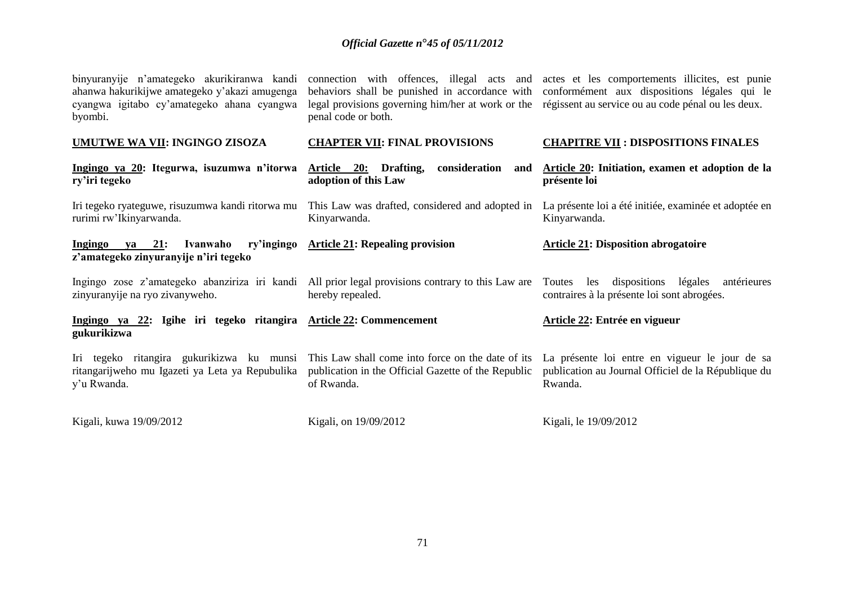| binyuranyije n'amategeko akurikiranwa kandi<br>ahanwa hakurikijwe amategeko y'akazi amugenga<br>cyangwa igitabo cy'amategeko ahana cyangwa<br>byombi. | behaviors shall be punished in accordance with<br>legal provisions governing him/her at work or the régissent au service ou au code pénal ou les deux.<br>penal code or both. | connection with offences, illegal acts and actes et les comportements illicites, est punie<br>conformément aux dispositions légales qui le |
|-------------------------------------------------------------------------------------------------------------------------------------------------------|-------------------------------------------------------------------------------------------------------------------------------------------------------------------------------|--------------------------------------------------------------------------------------------------------------------------------------------|
| <b>UMUTWE WA VII: INGINGO ZISOZA</b>                                                                                                                  | <b>CHAPTER VII: FINAL PROVISIONS</b>                                                                                                                                          | <b>CHAPITRE VII: DISPOSITIONS FINALES</b>                                                                                                  |
| Ingingo ya 20: Itegurwa, isuzumwa n'itorwa<br>ry'iri tegeko                                                                                           | Article 20:<br>Drafting,<br>consideration<br>and<br>adoption of this Law                                                                                                      | Article 20: Initiation, examen et adoption de la<br>présente loi                                                                           |
| Iri tegeko ryateguwe, risuzumwa kandi ritorwa mu<br>rurimi rw'Ikinyarwanda.                                                                           | This Law was drafted, considered and adopted in<br>Kinyarwanda.                                                                                                               | La présente loi a été initiée, examinée et adoptée en<br>Kinyarwanda.                                                                      |
| 21:<br>ry'ingingo<br>Ingingo<br>Ivanwaho<br>va<br>z'amategeko zinyuranyije n'iri tegeko                                                               | <b>Article 21: Repealing provision</b>                                                                                                                                        | <b>Article 21: Disposition abrogatoire</b>                                                                                                 |
| Ingingo zose z'amategeko abanziriza iri kandi All prior legal provisions contrary to this Law are<br>zinyuranyije na ryo zivanyweho.                  | hereby repealed.                                                                                                                                                              | Toutes<br>les<br>dispositions légales<br>antérieures<br>contraires à la présente loi sont abrogées.                                        |
| Ingingo ya 22: Igihe iri tegeko ritangira Article 22: Commencement<br>gukurikizwa                                                                     |                                                                                                                                                                               | Article 22: Entrée en vigueur                                                                                                              |
| Iri tegeko ritangira gukurikizwa ku munsi<br>ritangarijweho mu Igazeti ya Leta ya Repubulika<br>y'u Rwanda.                                           | This Law shall come into force on the date of its<br>publication in the Official Gazette of the Republic<br>of Rwanda.                                                        | La présente loi entre en vigueur le jour de sa<br>publication au Journal Officiel de la République du<br>Rwanda.                           |
| Kigali, kuwa 19/09/2012                                                                                                                               | Kigali, on 19/09/2012                                                                                                                                                         | Kigali, le 19/09/2012                                                                                                                      |